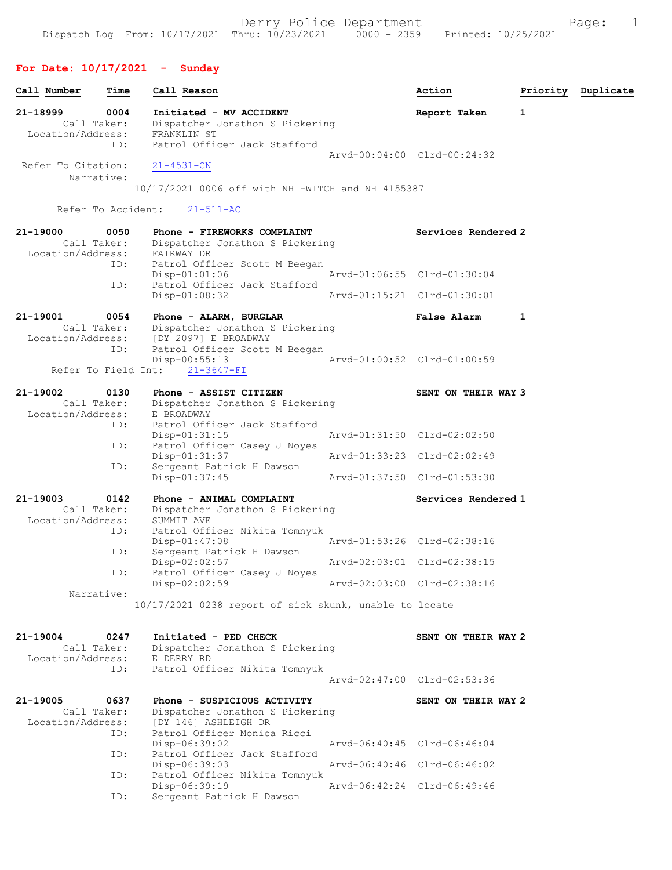# For Date: 10/17/2021 - Sunday

| Call Number                                  | Time        | Call Reason                                                                                                                            |                             | Action                      | Priority | Duplicate |
|----------------------------------------------|-------------|----------------------------------------------------------------------------------------------------------------------------------------|-----------------------------|-----------------------------|----------|-----------|
| 21-18999<br>Call Taker:<br>Location/Address: | 0004<br>ID: | Initiated - MV ACCIDENT<br>Dispatcher Jonathon S Pickering<br>FRANKLIN ST<br>Patrol Officer Jack Stafford                              |                             | Report Taken                | 1        |           |
| Refer To Citation:<br>Narrative:             |             | $21 - 4531 - CN$<br>10/17/2021 0006 off with NH -WITCH and NH 4155387                                                                  |                             | Arvd-00:04:00 Clrd-00:24:32 |          |           |
| Refer To Accident:                           |             | $21 - 511 - AC$                                                                                                                        |                             |                             |          |           |
| 21-19000<br>Call Taker:<br>Location/Address: | 0050        | Phone - FIREWORKS COMPLAINT<br>Dispatcher Jonathon S Pickering<br>FAIRWAY DR                                                           |                             | Services Rendered 2         |          |           |
|                                              | ID:         | Patrol Officer Scott M Beegan<br>$Disp-01:01:06$<br>Patrol Officer Jack Stafford                                                       | Arvd-01:06:55 Clrd-01:30:04 |                             |          |           |
|                                              | ID:         | $Disp-01:08:32$                                                                                                                        |                             | Arvd-01:15:21 Clrd-01:30:01 |          |           |
| 21-19001<br>Call Taker:                      | 0054        | Phone - ALARM, BURGLAR<br>Dispatcher Jonathon S Pickering<br>Location/Address: [DY 2097] E BROADWAY                                    |                             | <b>False Alarm</b>          | 1        |           |
| Refer To Field Int:                          | ID:         | Patrol Officer Scott M Beegan<br>$Disp-00:55:13$<br>$21 - 3647 - FI$                                                                   |                             | Arvd-01:00:52 Clrd-01:00:59 |          |           |
| 21-19002<br>Call Taker:<br>Location/Address: | 0130        | Phone - ASSIST CITIZEN<br>Dispatcher Jonathon S Pickering<br>E BROADWAY                                                                |                             | SENT ON THEIR WAY 3         |          |           |
|                                              | ID:         | Patrol Officer Jack Stafford<br>$Disp-01:31:15$<br>Patrol Officer Casey J Noyes<br>$Disp-01:31:37$<br>Sergeant Patrick H Dawson<br>ID: |                             | Arvd-01:31:50 Clrd-02:02:50 |          |           |
|                                              | ID:         |                                                                                                                                        |                             | Arvd-01:33:23 Clrd-02:02:49 |          |           |
|                                              |             | $Disp-01:37:45$                                                                                                                        |                             | Arvd-01:37:50 Clrd-01:53:30 |          |           |
| 21-19003<br>Call Taker:<br>Location/Address: | 0142        | Phone - ANIMAL COMPLAINT<br>Dispatcher Jonathon S Pickering<br>SUMMIT AVE                                                              |                             | Services Rendered 1         |          |           |
|                                              | ID:         | Patrol Officer Nikita Tomnyuk<br>$Disp-01:47:08$                                                                                       |                             | Arvd-01:53:26 Clrd-02:38:16 |          |           |
|                                              | ID:<br>ID:  | Sergeant Patrick H Dawson<br>$Disp-02:02:57$                                                                                           |                             | Arvd-02:03:01 Clrd-02:38:15 |          |           |
| Narrative:                                   |             | Patrol Officer Casey J Noyes<br>Disp-02:02:59                                                                                          |                             | Arvd-02:03:00 Clrd-02:38:16 |          |           |
|                                              |             | 10/17/2021 0238 report of sick skunk, unable to locate                                                                                 |                             |                             |          |           |
| 21-19004<br>Call Taker:<br>Location/Address: | 0247        | Initiated - PED CHECK<br>Dispatcher Jonathon S Pickering<br>E DERRY RD                                                                 |                             | SENT ON THEIR WAY 2         |          |           |
|                                              | ID:         | Patrol Officer Nikita Tomnyuk                                                                                                          |                             | Arvd-02:47:00 Clrd-02:53:36 |          |           |
| 21-19005<br>Call Taker:<br>Location/Address: | 0637        | Phone - SUSPICIOUS ACTIVITY<br>Dispatcher Jonathon S Pickering<br>[DY 146] ASHLEIGH DR                                                 |                             | SENT ON THEIR WAY 2         |          |           |
|                                              | ID:         | Patrol Officer Monica Ricci<br>Disp-06:39:02                                                                                           |                             | Arvd-06:40:45 Clrd-06:46:04 |          |           |
|                                              | ID:<br>ID:  | Patrol Officer Jack Stafford<br>Disp-06:39:03<br>Patrol Officer Nikita Tomnyuk                                                         |                             | Arvd-06:40:46 Clrd-06:46:02 |          |           |
|                                              | ID:         | $Disp-06:39:19$<br>Sergeant Patrick H Dawson                                                                                           |                             | Arvd-06:42:24 Clrd-06:49:46 |          |           |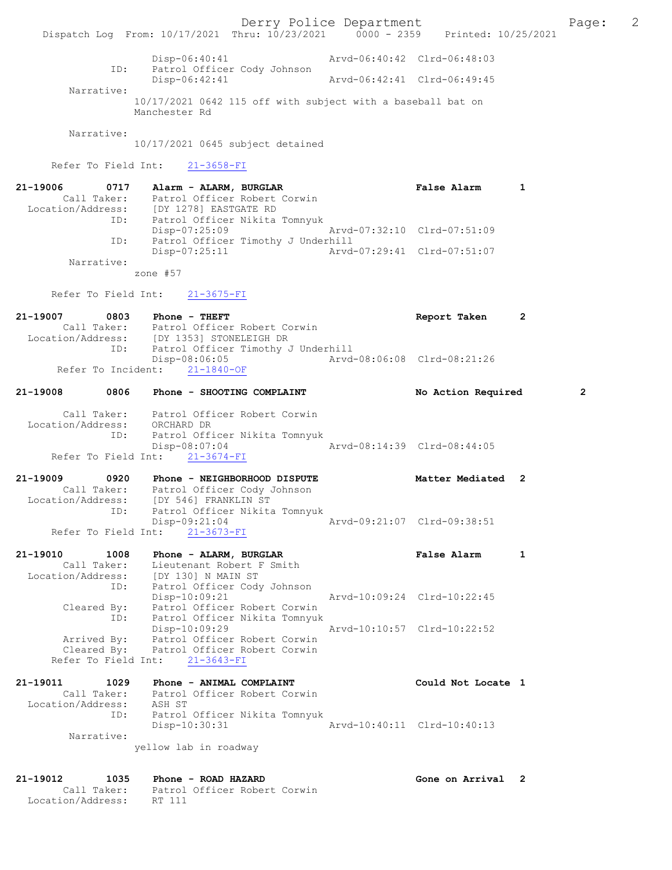Derry Police Department Fage: 2 Dispatch Log From: 10/17/2021 Thru: 10/23/2021 0000 - 2359 Printed: 10/25/2021 Disp-06:40:41 Arvd-06:40:42 Clrd-06:48:03 ID: Patrol Officer Cody Johnson Disp-06:42:41 Arvd-06:42:41 Clrd-06:49:45 Narrative: 10/17/2021 0642 115 off with subject with a baseball bat on Manchester Rd Narrative: 10/17/2021 0645 subject detained Refer To Field Int: 21-3658-FI 21-19006 0717 Alarm - ALARM, BURGLAR False Alarm 1 Call Taker: Patrol Officer Robert Corwin Location/Address: [DY 1278] EASTGATE RD ID: Patrol Officer Nikita Tomnyuk Disp-07:25:09 Arvd-07:32:10 Clrd-07:51:09 ID: Patrol Officer Timothy J Underhill Disp-07:25:11 Arvd-07:29:41 Clrd-07:51:07 Narrative: zone #57 Refer To Field Int: 21-3675-FI 21-19007 0803 Phone - THEFT Report Taken 2 Call Taker: Patrol Officer Robert Corwin Location/Address: [DY 1353] STONELEIGH DR ID: Patrol Officer Timothy J Underhill Disp-08:06:05 Arvd-08:06:08 Clrd-08:21:26 Refer To Incident: 21-1840-OF 21-19008 0806 Phone - SHOOTING COMPLAINT No Action Required 2 Call Taker: Patrol Officer Robert Corwin Location/Address: ORCHARD DR ID: Patrol Officer Nikita Tomnyuk Disp-08:07:04 Arvd-08:14:39 Clrd-08:44:05 Refer To Field Int:  $21-3674-FI$ 21-19009 0920 Phone - NEIGHBORHOOD DISPUTE Matter Mediated 2 Call Taker: Patrol Officer Cody Johnson Location/Address: [DY 546] FRANKLIN ST ID: Patrol Officer Nikita Tomnyuk Disp-09:21:04 Arvd-09:21:07 Clrd-09:38:51 Disp-09:21:04<br>Refer To Field Int: 21-3673-FI<br>Refer To Field Int: 21-3673-FI 21-19010 1008 Phone - ALARM, BURGLAR FALSE Raise Alarm 1 Call Taker: Lieutenant Robert F Smith Location/Address: [DY 130] N MAIN ST ID: Patrol Officer Cody Johnson Disp-10:09:21 Arvd-10:09:24 Clrd-10:22:45 Cleared By: Patrol Officer Robert Corwin ID: Patrol Officer Nikita Tomnyuk Disp-10:09:29 Arvd-10:10:57 Clrd-10:22:52 Arrived By: Patrol Officer Robert Corwin Cleared By: Patrol Officer Robert Corwin Refer To Field Int: 21-3643-FI 21-19011 1029 Phone - ANIMAL COMPLAINT Could Not Locate 1 Call Taker: Patrol Officer Robert Corwin Location/Address: ASH ST ID: Patrol Officer Nikita Tomnyuk Disp-10:30:31 Arvd-10:40:11 Clrd-10:40:13 Narrative: yellow lab in roadway 21-19012 1035 Phone - ROAD HAZARD Call Taker: Patrol Officer Robert Corwin Call Taker: Patrol Officer Robert Corwin

Location/Address: RT 111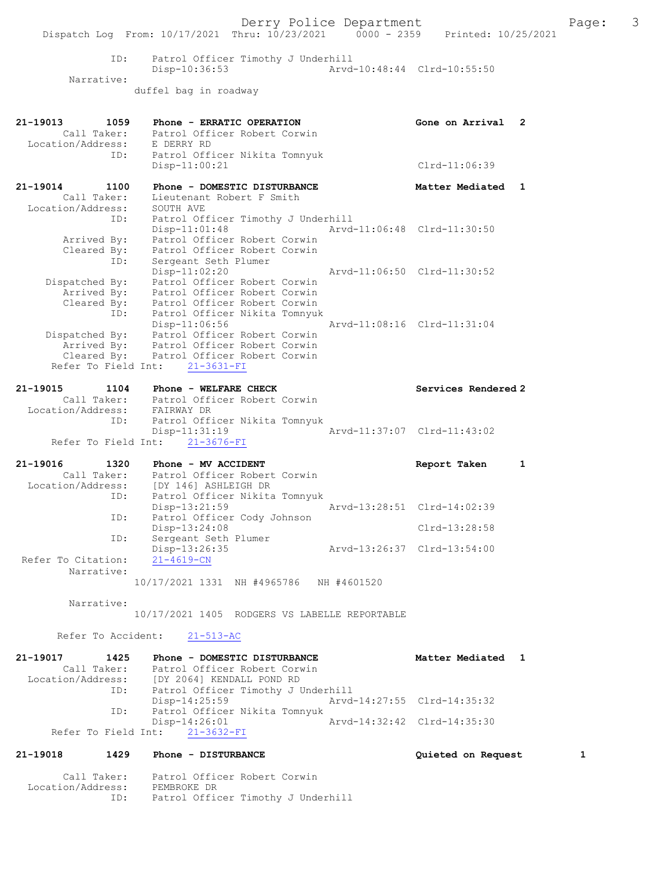Derry Police Department The Page: 3 Dispatch Log From: 10/17/2021 Thru: 10/23/2021 0000 - 2359 Printed: 10/25/2021 ID: Patrol Officer Timothy J Underhill Disp-10:36:53 Arvd-10:48:44 Clrd-10:55:50 Narrative: duffel bag in roadway 21-19013 1059 Phone - ERRATIC OPERATION Gone on Arrival 2 Call Taker: Patrol Officer Robert Corwin Location/Address: E DERRY RD ID: Patrol Officer Nikita Tomnyuk Disp-11:00:21 Clrd-11:06:39 21-19014 1100 Phone - DOMESTIC DISTURBANCE Nearly Matter Mediated 1 Call Taker: Lieutenant Robert F Smith Location/Address: SOUTH AVE ID: Patrol Officer Timothy J Underhill Disp-11:01:48 Arvd-11:06:48 Clrd-11:30:50 Arrived By: Patrol Officer Robert Corwin Cleared By: Patrol Officer Robert Corwin ID: Sergeant Seth Plumer Disp-11:02:20 Arvd-11:06:50 Clrd-11:30:52 Dispatched By: Patrol Officer Robert Corwin Arrived By: Patrol Officer Robert Corwin Cleared By: Patrol Officer Robert Corwin ID: Patrol Officer Nikita Tomnyuk Disp-11:06:56 Arvd-11:08:16 Clrd-11:31:04 Dispatched By: Patrol Officer Robert Corwin Arrived By: Patrol Officer Robert Corwin Cleared By: Patrol Officer Robert Corwin Refer To Field Int: 21-3631-FI 21-19015 1104 Phone - WELFARE CHECK Services Rendered 2 Call Taker: Patrol Officer Robert Corwin Location/Address: FAIRWAY DR ID: Patrol Officer Nikita Tomnyuk Disp-11:31:19 Refer To Field Int: 21-3676-FI 21-19016 1320 Phone - MV ACCIDENT Report Taken 1 Call Taker: Patrol Officer Robert Corwin Location/Address: [DY 146] ASHLEIGH DR ID: Patrol Officer Nikita Tomnyuk Disp-13:21:59 Arvd-13:28:51 Clrd-14:02:39 ID: Patrol Officer Cody Johnson Disp-13:24:08 Clrd-13:28:58 ID: Sergeant Seth Plumer<br>Disp-13:26:35 Disp-13:26:35 Arvd-13:26:37 Clrd-13:54:00<br>21-4619-CN Refer To Citation: Narrative: 10/17/2021 1331 NH #4965786 NH #4601520 Narrative: 10/17/2021 1405 RODGERS VS LABELLE REPORTABLE Refer To Accident: 21-513-AC 21-19017 1425 Phone - DOMESTIC DISTURBANCE Matter Mediated 1 Call Taker: Patrol Officer Robert Corwin Location/Address: [DY 2064] KENDALL POND RD ID: Patrol Officer Timothy J Underhill<br>Disp-14:25:59 Arvd-Disp-14:25:59 Arvd-14:27:55 Clrd-14:35:32<br>TD: Patrol Officer Nikita Tompyuk Patrol Officer Nikita Tomnyuk<br>Disp-14:26:01 Disp-14:26:01 Arvd-14:32:42 Clrd-14:35:30 Refer To Field Int: 21-3632-FI 21-19018 1429 Phone - DISTURBANCE Quieted on Request 1 Call Taker: Patrol Officer Robert Corwin Location/Address: PEMBROKE DR ID: Patrol Officer Timothy J Underhill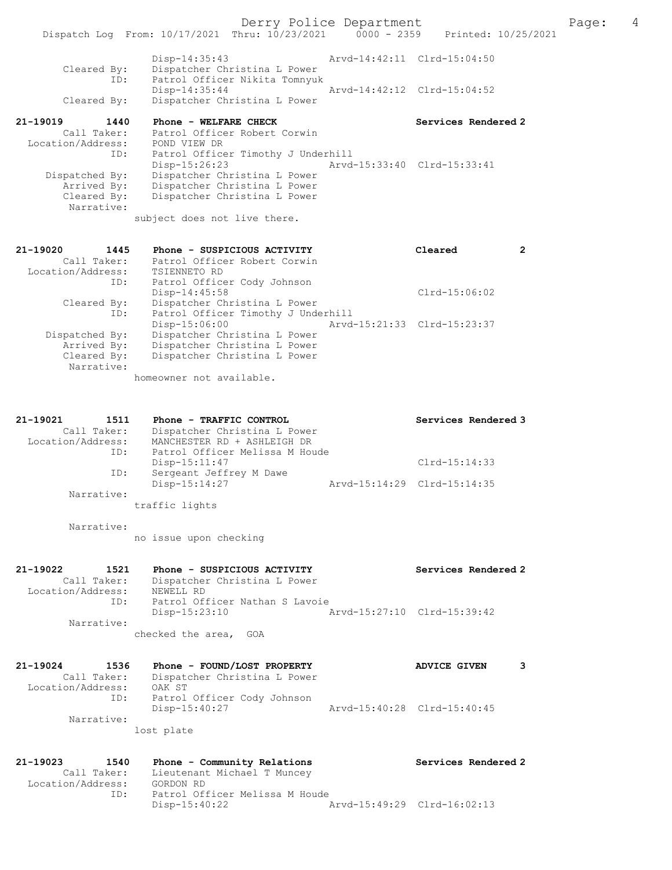|                                  | Dispatch Log From: 10/17/2021 Thru: 10/23/2021                | $0000 - 2359$ | Printed: 10/25/2021         |  |
|----------------------------------|---------------------------------------------------------------|---------------|-----------------------------|--|
| Cleared By:                      | Disp-14:35:43<br>Dispatcher Christina L Power                 |               | Arvd-14:42:11 Clrd-15:04:50 |  |
| ID:                              | Patrol Officer Nikita Tomnyuk<br>Disp-14:35:44                |               | Arvd-14:42:12 Clrd-15:04:52 |  |
| Cleared By:                      | Dispatcher Christina L Power                                  |               |                             |  |
| 21-19019<br>1440                 | Phone - WELFARE CHECK                                         |               | Services Rendered 2         |  |
| Call Taker:                      | Patrol Officer Robert Corwin                                  |               |                             |  |
| Location/Address:<br>ID:         | POND VIEW DR<br>Patrol Officer Timothy J Underhill            |               |                             |  |
|                                  | Disp-15:26:23                                                 |               | Arvd-15:33:40 Clrd-15:33:41 |  |
| Dispatched By:                   | Dispatcher Christina L Power                                  |               |                             |  |
| Arrived By:                      | Dispatcher Christina L Power                                  |               |                             |  |
| Cleared By:<br>Narrative:        | Dispatcher Christina L Power                                  |               |                             |  |
|                                  | subject does not live there.                                  |               |                             |  |
|                                  |                                                               |               |                             |  |
| 21-19020<br>1445                 | Phone - SUSPICIOUS ACTIVITY                                   |               | Cleared<br>$\overline{2}$   |  |
| Call Taker:<br>Location/Address: | Patrol Officer Robert Corwin<br>TSIENNETO RD                  |               |                             |  |
| ID:                              | Patrol Officer Cody Johnson                                   |               |                             |  |
|                                  | Disp-14:45:58                                                 |               | $Clrd-15:06:02$             |  |
| Cleared By:                      | Dispatcher Christina L Power                                  |               |                             |  |
| ID:                              | Patrol Officer Timothy J Underhill                            |               |                             |  |
| Dispatched By:                   | Disp-15:06:00<br>Dispatcher Christina L Power                 |               | Arvd-15:21:33 Clrd-15:23:37 |  |
| Arrived By:                      | Dispatcher Christina L Power                                  |               |                             |  |
| Cleared By:                      | Dispatcher Christina L Power                                  |               |                             |  |
| Narrative:                       |                                                               |               |                             |  |
|                                  | homeowner not available.                                      |               |                             |  |
|                                  |                                                               |               |                             |  |
| 21-19021<br>1511                 | Phone - TRAFFIC CONTROL                                       |               | Services Rendered 3         |  |
| Call Taker:                      | Dispatcher Christina L Power                                  |               |                             |  |
| Location/Address:<br>ID:         | MANCHESTER RD + ASHLEIGH DR<br>Patrol Officer Melissa M Houde |               |                             |  |
|                                  | Disp-15:11:47                                                 |               | $Clrd-15:14:33$             |  |
| ID:                              | Sergeant Jeffrey M Dawe                                       |               |                             |  |
|                                  | Disp-15:14:27                                                 |               | Arvd-15:14:29 Clrd-15:14:35 |  |
| Narrative:                       | traffic lights                                                |               |                             |  |
|                                  |                                                               |               |                             |  |
| Narrative:                       | no issue upon checking                                        |               |                             |  |
|                                  |                                                               |               |                             |  |
| 21-19022<br>1521                 | Phone - SUSPICIOUS ACTIVITY                                   |               | Services Rendered 2         |  |
| Call Taker:<br>Location/Address: | Dispatcher Christina L Power<br>NEWELL RD                     |               |                             |  |
| ID:                              | Patrol Officer Nathan S Lavoie                                |               |                             |  |
|                                  | Disp-15:23:10                                                 |               | Arvd-15:27:10 Clrd-15:39:42 |  |
| Narrative:                       |                                                               |               |                             |  |
|                                  | checked the area, GOA                                         |               |                             |  |
| 21-19024<br>1536                 | Phone - FOUND/LOST PROPERTY                                   |               | 3<br><b>ADVICE GIVEN</b>    |  |
| Call Taker:                      | Dispatcher Christina L Power                                  |               |                             |  |
| Location/Address:                | OAK ST                                                        |               |                             |  |
| ID:                              | Patrol Officer Cody Johnson                                   |               |                             |  |
| Narrative:                       | Disp-15:40:27                                                 |               | Arvd-15:40:28 Clrd-15:40:45 |  |
|                                  | lost plate                                                    |               |                             |  |
|                                  |                                                               |               |                             |  |
| 21-19023<br>1540                 | Phone - Community Relations                                   |               | Services Rendered 2         |  |
| Call Taker:                      | Lieutenant Michael T Muncey                                   |               |                             |  |
| Location/Address:<br>ID:         | GORDON RD<br>Patrol Officer Melissa M Houde                   |               |                             |  |
|                                  | $Disp-15:40:22$                                               |               | Arvd-15:49:29 Clrd-16:02:13 |  |
|                                  |                                                               |               |                             |  |
|                                  |                                                               |               |                             |  |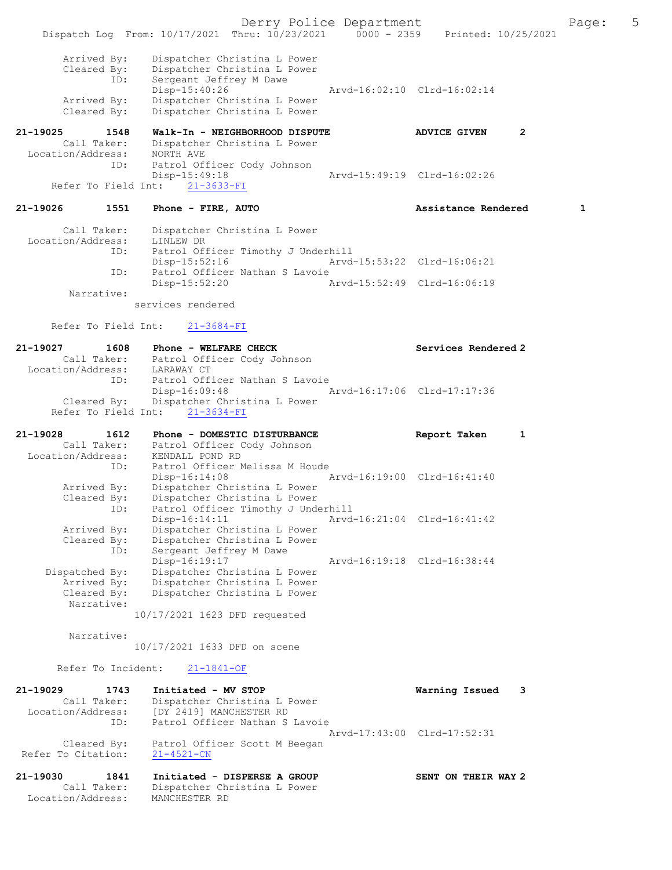Derry Police Department The Page: 5 Dispatch Log From: 10/17/2021 Thru: 10/23/2021 0000 - 2359 Printed: 10/25/2021 Arrived By: Dispatcher Christina L Power Cleared By: Dispatcher Christina L Power ID: Sergeant Jeffrey M Dawe Disp-15:40:26 Arvd-16:02:10 Clrd-16:02:14 Arrived By: Dispatcher Christina L Power Cleared By: Dispatcher Christina L Power 21-19025 1548 Walk-In - NEIGHBORHOOD DISPUTE ADVICE GIVEN 2 Call Taker: Dispatcher Christina L Power Location/Address: NORTH AVE ID: Patrol Officer Cody Johnson<br>Disp-15:49:18 -15:49:18 <br>
21-3633-FI <br>
21-3633-FI <br>
21-3633-FI <br>
21-3633-FI <br>
21-3633-FI <br>
21-3633-FI <br>
21-3633-FI <br>
21-26.02:26 Refer To Field Int: 21-19026 1551 Phone - FIRE, AUTO Assistance Rendered 1 Call Taker: Dispatcher Christina L Power Location/Address: LINLEW DR<br>TD: Patrol Of Patrol Officer Timothy J Underhill Disp-15:52:16 Arvd-15:53:22 Clrd-16:06:21<br>ID: Patrol Officer Nathan S Lavoie ID: Patrol Officer Nathan S Lavoie Disp-15:52:20 Arvd-15:52:49 Clrd-16:06:19 Narrative: services rendered Refer To Field Int: 21-3684-FI 21-19027 1608 Phone - WELFARE CHECK Services Rendered 2<br>Call Taker: Patrol Officer Cody Johnson Call Taker: Patrol Officer Cody Johnson Location/Address: LARAWAY CT ID: Patrol Officer Nathan S Lavoie<br>Disp-16:09:48 Arvd-16:17:06 Clrd-17:17:36 Disp-16:09:48 Arvd-16:17:06 Clrd-17:17:36 Cleared By: Dispatcher Christina L Power Refer To Field Int: 21-3634-FI 21-19028 1612 Phone – DOMESTIC DISTURBANCE Report Taken 1 Call Taker: Patrol Officer Cody Johnson Location/Address: KENDALL POND RD ID: Patrol Officer Melissa M Houde<br>Disp-16:14:08 Mrvd-16:19:00 Clrd-16:41:40 Disp-16:14:08 Arvd-16:19:00 Clrd-16:41:40 Arrived By: Dispatcher Christina L Power Cleared By: Dispatcher Christina L Power ID: Patrol Officer Timothy J Underhill Disp-16:14:11 Arvd-16:21:04 Clrd-16:41:42 Arrived By: Dispatcher Christina L Power Cleared By: Dispatcher Christina L Power ID: Sergeant Jeffrey M Dawe Disp-16:19:17 Arvd-16:19:18 Clrd-16:38:44 Dispatched By: Dispatcher Christina L Power Arrived By: Dispatcher Christina L Power Cleared By: Dispatcher Christina L Power Narrative: 10/17/2021 1623 DFD requested Narrative: 10/17/2021 1633 DFD on scene Refer To Incident: 21-1841-OF 21-19029 1743 Initiated - MV STOP Warning Issued 3 Call Taker: Dispatcher Christina L Power Location/Address: [DY 2419] MANCHESTER RD ID: Patrol Officer Nathan S Lavoie Arvd-17:43:00 Clrd-17:52:31 Cleared By: Patrol Officer Scott M Beegan<br>To Citation: 21-4521-CN Refer To Citation: 21-19030 1841 Initiated - DISPERSE A GROUP SENT ON THEIR WAY 2 Call Taker: Dispatcher Christina L Power Location/Address: MANCHESTER RD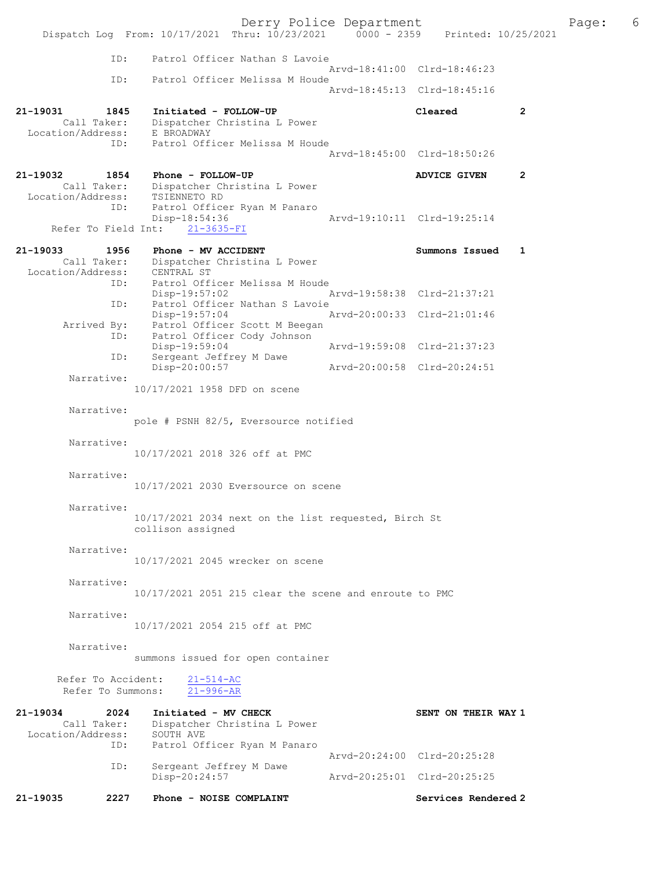Derry Police Department Page: 6 Dispatch Log From: 10/17/2021 Thru: 10/23/2021 ID: Patrol Officer Nathan S Lavoie Arvd-18:41:00 Clrd-18:46:23<br>TD: Patrol Officer Melissa M Houde Patrol Officer Melissa M Houde Arvd-18:45:13 Clrd-18:45:16 21-19031 1845 Initiated - FOLLOW-UP Cleared 2 Call Taker: Dispatcher Christina L Power Location/Address: E BROADWAY ID: Patrol Officer Melissa M Houde Arvd-18:45:00 Clrd-18:50:26 21-19032 1854 Phone - FOLLOW-UP ADVICE GIVEN 2 Call Taker: Dispatcher Christina L Power<br>ion/Address: TSIENNETO RD Location/Address: ID: Patrol Officer Ryan M Panaro<br>Disp-18:54:36 -18:54:36 <br>21-3635-FI <br>21-3635-FI Refer To Field Int: 21-19033 1956 Phone - MV ACCIDENT Summons Issued 1 Call Taker: Dispatcher Christina L Power<br>ion/Address: CENTRAL ST Location/Address:<br>ID: Patrol Officer Melissa M Houde<br>Disp-19:57:02 Disp-19:57:02 Arvd-19:58:38 Clrd-21:37:21 ID: Patrol Officer Nathan S Lavoie<br>Disp-19:57:04 1 Disp-19:57:04 Arvd-20:00:33 Clrd-21:01:46<br>Arrived By: Patrol Officer Scott M Beegan Patrol Officer Scott M Beegan ID: Patrol Officer Cody Johnson<br>Disp-19:59:04 Disp-19:59:04 Arvd-19:59:08 Clrd-21:37:23<br>ID: Sergeant Jeffrey M Dawe Sergeant Jeffrey M Dawe Disp-20:00:57 Arvd-20:00:58 Clrd-20:24:51 Narrative: 10/17/2021 1958 DFD on scene Narrative: pole # PSNH 82/5, Eversource notified Narrative: 10/17/2021 2018 326 off at PMC Narrative: 10/17/2021 2030 Eversource on scene Narrative: 10/17/2021 2034 next on the list requested, Birch St collison assigned Narrative: 10/17/2021 2045 wrecker on scene Narrative: 10/17/2021 2051 215 clear the scene and enroute to PMC Narrative: 10/17/2021 2054 215 off at PMC Narrative: summons issued for open container Refer To Accident:  $\frac{21-514-AC}{21-996-AR}$ Refer To Summons: 21-19034 2024 Initiated - MV CHECK SENT ON THEIR WAY 1<br>Call Taker: Dispatcher Christina L Power Dispatcher Christina L Power Call Taker: Dispacche.<br>Location/Address: SOUTH AVE ID: Patrol Officer Ryan M Panaro Arvd-20:24:00 Clrd-20:25:28<br>TD: Sergeant Jeffrey M Dawe Sergeant Jeffrey M Dawe Disp-20:24:57 Arvd-20:25:01 Clrd-20:25:25 21-19035 2227 Phone - NOISE COMPLAINT Services Rendered 2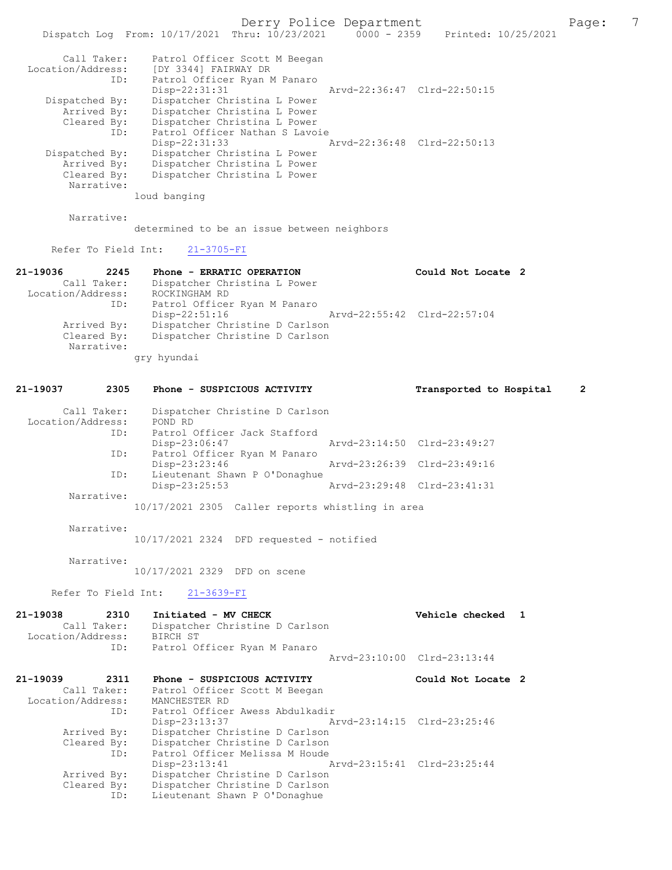Derry Police Department The Page: 7

|                                  | Dispatch Log From: 10/17/2021 Thru: 10/23/2021        | $0000 - 2359$ | Printed: 10/25/2021         |
|----------------------------------|-------------------------------------------------------|---------------|-----------------------------|
| Call Taker:<br>Location/Address: | Patrol Officer Scott M Beegan<br>[DY 3344] FAIRWAY DR |               |                             |
| ID:                              | Patrol Officer Ryan M Panaro<br>$Disp-22:31:31$       |               | Arvd-22:36:47 Clrd-22:50:15 |
| Dispatched By:                   | Dispatcher Christina L Power                          |               |                             |
| Arrived By:                      | Dispatcher Christina L Power                          |               |                             |
| Cleared By:                      | Dispatcher Christina L Power                          |               |                             |
| ID:                              | Patrol Officer Nathan S Lavoie                        |               |                             |
|                                  | Disp-22:31:33                                         |               | Arvd-22:36:48 Clrd-22:50:13 |
| Dispatched By:                   | Dispatcher Christina L Power                          |               |                             |
| Arrived By:                      | Dispatcher Christina L Power                          |               |                             |
| Cleared By:                      | Dispatcher Christina L Power                          |               |                             |
| Narrative:                       |                                                       |               |                             |
|                                  | loud banging                                          |               |                             |

```
 Narrative:
```
determined to be an issue between neighbors

Refer To Field Int: 21-3705-FI

| 21-19036<br>2245  | Phone - ERRATIC OPERATION      | Could Not Locate 2          |  |
|-------------------|--------------------------------|-----------------------------|--|
| Call Taker:       | Dispatcher Christina L Power   |                             |  |
| Location/Address: | ROCKINGHAM RD                  |                             |  |
| ID:               | Patrol Officer Ryan M Panaro   |                             |  |
|                   | Disp-22:51:16                  | Arvd-22:55:42 Clrd-22:57:04 |  |
| Arrived By:       | Dispatcher Christine D Carlson |                             |  |
| Cleared By:       | Dispatcher Christine D Carlson |                             |  |
| Narrative:        |                                |                             |  |
|                   | qry hyundai                    |                             |  |

## 21-19037 2305 Phone - SUSPICIOUS ACTIVITY Transported to Hospital 2

| Call Taker:       | Dispatcher Christine D Carlson                   |                             |  |
|-------------------|--------------------------------------------------|-----------------------------|--|
| Location/Address: | POND RD                                          |                             |  |
| ID:               | Patrol Officer Jack Stafford                     |                             |  |
|                   | Disp-23:06:47                                    | Arvd-23:14:50 Clrd-23:49:27 |  |
| ID:               | Patrol Officer Ryan M Panaro                     |                             |  |
|                   | Disp-23:23:46                                    | Arvd-23:26:39 Clrd-23:49:16 |  |
| ID:               | Lieutenant Shawn P O'Donaghue                    |                             |  |
|                   | Disp-23:25:53                                    | Arvd-23:29:48 Clrd-23:41:31 |  |
| Narrative:        |                                                  |                             |  |
|                   | 10/17/2021 2305 Caller reports whistling in area |                             |  |

Narrative:

10/17/2021 2324 DFD requested - notified

Narrative:

10/17/2021 2329 DFD on scene

Refer To Field Int: 21-3639-FI

| 21-19038<br>Call Taker:<br>Location/Address: BIRCH ST | 2310 | Initiated - MV CHECK<br>Dispatcher Christine D Carlson |  | Vehicle checked 1           |  |
|-------------------------------------------------------|------|--------------------------------------------------------|--|-----------------------------|--|
|                                                       | ID:  | Patrol Officer Ryan M Panaro                           |  | Arvd-23:10:00 Clrd-23:13:44 |  |
| 21-19039 2311                                         |      | Phone - SUSPICIOUS ACTIVITY                            |  | Could Not Locate 2          |  |
| Call Taker:                                           |      | Patrol Officer Scott M Beegan                          |  |                             |  |
| Location/Address:                                     |      | MANCHESTER RD                                          |  |                             |  |
|                                                       | ID:  | Patrol Officer Awess Abdulkadir                        |  |                             |  |
|                                                       |      | Disp-23:13:37                                          |  | Arvd-23:14:15 Clrd-23:25:46 |  |
| Arrived By:                                           |      | Dispatcher Christine D Carlson                         |  |                             |  |
| Cleared By:                                           |      | Dispatcher Christine D Carlson                         |  |                             |  |
|                                                       | ID:  | Patrol Officer Melissa M Houde                         |  |                             |  |
|                                                       |      | $Disp-23:13:41$                                        |  | Arvd-23:15:41 Clrd-23:25:44 |  |
| Arrived By:                                           |      | Dispatcher Christine D Carlson                         |  |                             |  |
| Cleared By:                                           |      | Dispatcher Christine D Carlson                         |  |                             |  |
|                                                       | ID:  | Lieutenant Shawn P O'Donaghue                          |  |                             |  |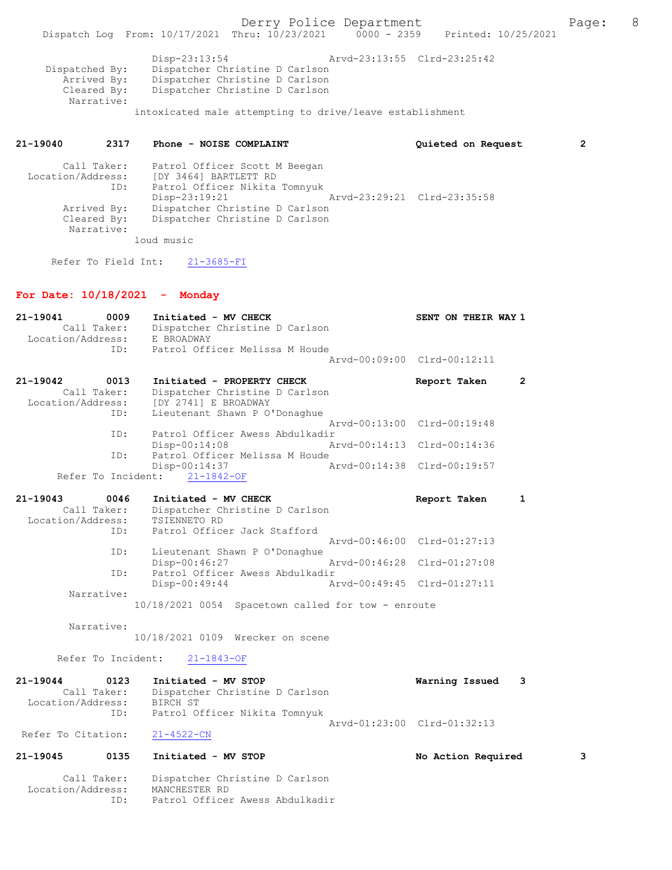Cleared By: Dispatcher Christine D Carlson Narrative: intoxicated male attempting to drive/leave establishment

## 21-19040 2317 Phone - NOISE COMPLAINT Quieted on Request 2

| Call Taker:<br>Location/Address:<br>ID: | Patrol Officer Scott M Beegan<br>[DY 3464] BARTLETT RD<br>Patrol Officer Nikita Tomnyuk |                             |
|-----------------------------------------|-----------------------------------------------------------------------------------------|-----------------------------|
|                                         | Disp-23:19:21                                                                           | Arvd-23:29:21 Clrd-23:35:58 |
| Arrived By:                             | Dispatcher Christine D Carlson                                                          |                             |
| Cleared By:                             | Dispatcher Christine D Carlson                                                          |                             |
| Narrative:                              |                                                                                         |                             |
|                                         | loud music                                                                              |                             |

Refer To Field Int: 21-3685-FI

## For Date: 10/18/2021 - Monday

Location/Address: MANCHESTER RD

ID: Patrol Officer Awess Abdulkadir

| $21 - 19041$       | 0009               | Initiated - MV CHECK                               | SENT ON THEIR WAY 1         |              |
|--------------------|--------------------|----------------------------------------------------|-----------------------------|--------------|
|                    | Call Taker:        | Dispatcher Christine D Carlson                     |                             |              |
| Location/Address:  |                    | E BROADWAY                                         |                             |              |
|                    | TD:                | Patrol Officer Melissa M Houde                     |                             |              |
|                    |                    |                                                    | Arvd-00:09:00 Clrd-00:12:11 |              |
| 21-19042           | 0013               | Initiated - PROPERTY CHECK                         | Report Taken                | $\mathbf{2}$ |
|                    | Call Taker:        | Dispatcher Christine D Carlson                     |                             |              |
| Location/Address:  |                    | [DY 2741] E BROADWAY                               |                             |              |
|                    | ID:                | Lieutenant Shawn P O'Donaghue                      |                             |              |
|                    |                    |                                                    | Arvd-00:13:00 Clrd-00:19:48 |              |
|                    | ID:                | Patrol Officer Awess Abdulkadir                    |                             |              |
|                    |                    | Disp-00:14:08                                      | Arvd-00:14:13 Clrd-00:14:36 |              |
|                    | ID:                | Patrol Officer Melissa M Houde                     |                             |              |
|                    |                    | Disp-00:14:37                                      | Arvd-00:14:38 Clrd-00:19:57 |              |
|                    | Refer To Incident: | $21 - 1842 - OF$                                   |                             |              |
| 21-19043           | 0046               | Initiated - MV CHECK                               | Report Taken                | 1            |
|                    | Call Taker:        | Dispatcher Christine D Carlson                     |                             |              |
| Location/Address:  |                    | TSIENNETO RD                                       |                             |              |
|                    | ID:                | Patrol Officer Jack Stafford                       |                             |              |
|                    |                    |                                                    | Arvd-00:46:00 Clrd-01:27:13 |              |
|                    | ID:                | Lieutenant Shawn P O'Donaghue                      |                             |              |
|                    |                    | Disp-00:46:27                                      | Arvd-00:46:28 Clrd-01:27:08 |              |
|                    | ID:                | Patrol Officer Awess Abdulkadir                    |                             |              |
|                    |                    | $Disp-00:49:44$                                    | Arvd-00:49:45 Clrd-01:27:11 |              |
|                    | Narrative:         |                                                    |                             |              |
|                    |                    | 10/18/2021 0054 Spacetown called for tow - enroute |                             |              |
|                    |                    |                                                    |                             |              |
|                    | Narrative:         |                                                    |                             |              |
|                    |                    | 10/18/2021 0109 Wrecker on scene                   |                             |              |
|                    | Refer To Incident: | $21 - 1843 - OF$                                   |                             |              |
|                    |                    |                                                    |                             |              |
| $21 - 19044$       | 0123               | Initiated - MV STOP                                | Warning Issued              | 3            |
|                    | Call Taker:        | Dispatcher Christine D Carlson                     |                             |              |
| Location/Address:  |                    | BIRCH ST                                           |                             |              |
|                    | ID:                | Patrol Officer Nikita Tomnyuk                      |                             |              |
|                    |                    |                                                    | Aryd-01:23:00 Clrd-01:32:13 |              |
| Refer To Citation: |                    | $21 - 4522 - CN$                                   |                             |              |
|                    |                    |                                                    |                             |              |
| 21-19045           | 0135               | Initiated - MV STOP                                | No Action Required          | 3            |
|                    | Call Taker:        | Dispatcher Christine D Carlson                     |                             |              |
|                    |                    |                                                    |                             |              |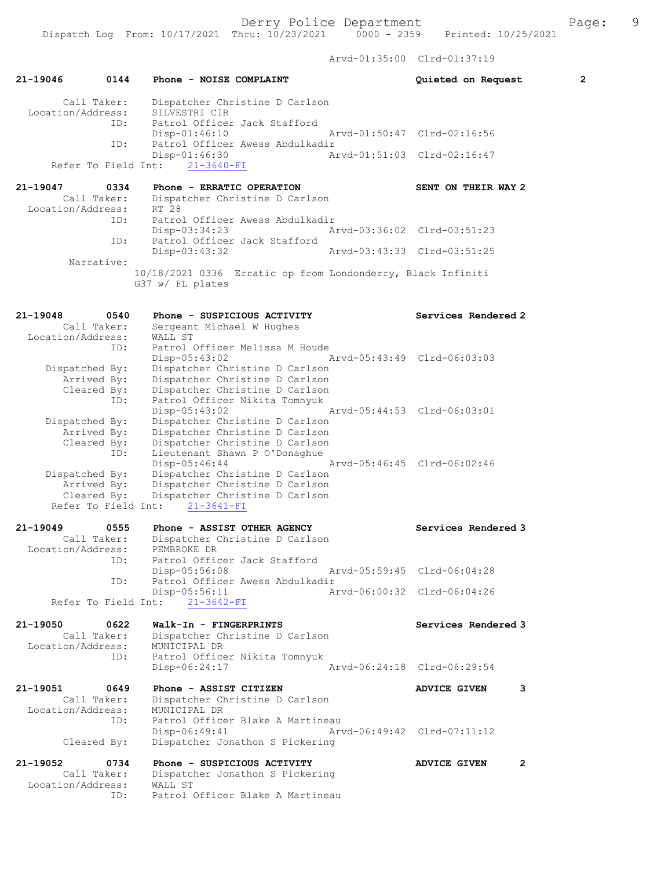Arvd-01:35:00 Clrd-01:37:19

| Call Taker:<br>Dispatcher Christine D Carlson<br>Location/Address:<br>SILVESTRI CIR<br>Patrol Officer Jack Stafford<br>ID:<br>Arvd-01:50:47 Clrd-02:16:56<br>$Disp-01:46:10$<br>Patrol Officer Awess Abdulkadir<br>ID:<br>$Disp-01:46:30$<br>Arvd-01:51:03 Clrd-02:16:47<br>Refer To Field Int:<br>$21 - 3640 - FI$<br>21-19047<br>0334<br>Phone - ERRATIC OPERATION<br>SENT ON THEIR WAY 2<br>Call Taker:<br>Dispatcher Christine D Carlson<br>Location/Address:<br>RT 28<br>Patrol Officer Awess Abdulkadir<br>ID:<br>Disp-03:34:23<br>Arvd-03:36:02 Clrd-03:51:23<br>Patrol Officer Jack Stafford<br>ID:<br>$Disp-03:43:32$<br>Arvd-03:43:33 Clrd-03:51:25<br>Narrative:<br>10/18/2021 0336 Erratic op from Londonderry, Black Infiniti<br>G37 w/ FL plates<br>21-19048<br>0540<br>Services Rendered 2<br>Phone - SUSPICIOUS ACTIVITY<br>Call Taker:<br>Sergeant Michael W Hughes<br>Location/Address:<br>WALL ST<br>Patrol Officer Melissa M Houde<br>ID:<br>$Disp-05:43:02$<br>Arvd-05:43:49 Clrd-06:03:03<br>Dispatcher Christine D Carlson<br>Dispatched By:<br>Arrived By:<br>Dispatcher Christine D Carlson<br>Dispatcher Christine D Carlson<br>Cleared By:<br>ID:<br>Patrol Officer Nikita Tomnyuk<br>Disp-05:43:02<br>Arvd-05:44:53 Clrd-06:03:01<br>Dispatcher Christine D Carlson<br>Dispatched By:<br>Arrived By:<br>Dispatcher Christine D Carlson<br>Dispatcher Christine D Carlson<br>Cleared By:<br>Lieutenant Shawn P O'Donaghue<br>ID:<br>Disp-05:46:44<br>Arvd-05:46:45 Clrd-06:02:46<br>Dispatcher Christine D Carlson<br>Dispatched By:<br>Arrived By:<br>Dispatcher Christine D Carlson<br>Cleared By:<br>Dispatcher Christine D Carlson<br>Refer To Field Int:<br>$21 - 3641 - FI$<br>21-19049<br>0555<br>Phone - ASSIST OTHER AGENCY<br>Services Rendered 3<br>Call Taker:<br>Dispatcher Christine D Carlson<br>Location/Address:<br>PEMBROKE DR<br>Patrol Officer Jack Stafford<br>ID:<br>Disp-05:56:08<br>Arvd-05:59:45 Clrd-06:04:28<br>Patrol Officer Awess Abdulkadir<br>ID:<br>Disp-05:56:11<br>Arvd-06:00:32 Clrd-06:04:26<br>Refer To Field Int: 21-3642-FI<br>21-19050<br>0622<br>Walk-In - FINGERPRINTS<br>Services Rendered 3<br>Call Taker:<br>Dispatcher Christine D Carlson<br>Location/Address:<br>MUNICIPAL DR<br>Patrol Officer Nikita Tomnyuk<br>ID:<br>Disp-06:24:17<br>Arvd-06:24:18 Clrd-06:29:54<br>21-19051<br>0649<br>Phone - ASSIST CITIZEN<br>ADVICE GIVEN<br>3<br>Call Taker:<br>Dispatcher Christine D Carlson<br>Location/Address:<br>MUNICIPAL DR<br>Patrol Officer Blake A Martineau<br>ID:<br>$Disp-06:49:41$<br>Arvd-06:49:42 Clrd-07:11:12<br>Dispatcher Jonathon S Pickering<br>Cleared By: | $21 - 19046$<br>0144 | Phone - NOISE COMPLAINT | $\overline{2}$<br>Quieted on Request |
|-----------------------------------------------------------------------------------------------------------------------------------------------------------------------------------------------------------------------------------------------------------------------------------------------------------------------------------------------------------------------------------------------------------------------------------------------------------------------------------------------------------------------------------------------------------------------------------------------------------------------------------------------------------------------------------------------------------------------------------------------------------------------------------------------------------------------------------------------------------------------------------------------------------------------------------------------------------------------------------------------------------------------------------------------------------------------------------------------------------------------------------------------------------------------------------------------------------------------------------------------------------------------------------------------------------------------------------------------------------------------------------------------------------------------------------------------------------------------------------------------------------------------------------------------------------------------------------------------------------------------------------------------------------------------------------------------------------------------------------------------------------------------------------------------------------------------------------------------------------------------------------------------------------------------------------------------------------------------------------------------------------------------------------------------------------------------------------------------------------------------------------------------------------------------------------------------------------------------------------------------------------------------------------------------------------------------------------------------------------------------------------------------------------------------------------------------------------------------------------------------------------------------------------------------------------------------------------------------------------------------------------------------------------|----------------------|-------------------------|--------------------------------------|
|                                                                                                                                                                                                                                                                                                                                                                                                                                                                                                                                                                                                                                                                                                                                                                                                                                                                                                                                                                                                                                                                                                                                                                                                                                                                                                                                                                                                                                                                                                                                                                                                                                                                                                                                                                                                                                                                                                                                                                                                                                                                                                                                                                                                                                                                                                                                                                                                                                                                                                                                                                                                                                                           |                      |                         |                                      |
|                                                                                                                                                                                                                                                                                                                                                                                                                                                                                                                                                                                                                                                                                                                                                                                                                                                                                                                                                                                                                                                                                                                                                                                                                                                                                                                                                                                                                                                                                                                                                                                                                                                                                                                                                                                                                                                                                                                                                                                                                                                                                                                                                                                                                                                                                                                                                                                                                                                                                                                                                                                                                                                           |                      |                         |                                      |
|                                                                                                                                                                                                                                                                                                                                                                                                                                                                                                                                                                                                                                                                                                                                                                                                                                                                                                                                                                                                                                                                                                                                                                                                                                                                                                                                                                                                                                                                                                                                                                                                                                                                                                                                                                                                                                                                                                                                                                                                                                                                                                                                                                                                                                                                                                                                                                                                                                                                                                                                                                                                                                                           |                      |                         |                                      |
|                                                                                                                                                                                                                                                                                                                                                                                                                                                                                                                                                                                                                                                                                                                                                                                                                                                                                                                                                                                                                                                                                                                                                                                                                                                                                                                                                                                                                                                                                                                                                                                                                                                                                                                                                                                                                                                                                                                                                                                                                                                                                                                                                                                                                                                                                                                                                                                                                                                                                                                                                                                                                                                           |                      |                         |                                      |
|                                                                                                                                                                                                                                                                                                                                                                                                                                                                                                                                                                                                                                                                                                                                                                                                                                                                                                                                                                                                                                                                                                                                                                                                                                                                                                                                                                                                                                                                                                                                                                                                                                                                                                                                                                                                                                                                                                                                                                                                                                                                                                                                                                                                                                                                                                                                                                                                                                                                                                                                                                                                                                                           |                      |                         |                                      |
|                                                                                                                                                                                                                                                                                                                                                                                                                                                                                                                                                                                                                                                                                                                                                                                                                                                                                                                                                                                                                                                                                                                                                                                                                                                                                                                                                                                                                                                                                                                                                                                                                                                                                                                                                                                                                                                                                                                                                                                                                                                                                                                                                                                                                                                                                                                                                                                                                                                                                                                                                                                                                                                           |                      |                         |                                      |
|                                                                                                                                                                                                                                                                                                                                                                                                                                                                                                                                                                                                                                                                                                                                                                                                                                                                                                                                                                                                                                                                                                                                                                                                                                                                                                                                                                                                                                                                                                                                                                                                                                                                                                                                                                                                                                                                                                                                                                                                                                                                                                                                                                                                                                                                                                                                                                                                                                                                                                                                                                                                                                                           |                      |                         |                                      |
|                                                                                                                                                                                                                                                                                                                                                                                                                                                                                                                                                                                                                                                                                                                                                                                                                                                                                                                                                                                                                                                                                                                                                                                                                                                                                                                                                                                                                                                                                                                                                                                                                                                                                                                                                                                                                                                                                                                                                                                                                                                                                                                                                                                                                                                                                                                                                                                                                                                                                                                                                                                                                                                           |                      |                         |                                      |
|                                                                                                                                                                                                                                                                                                                                                                                                                                                                                                                                                                                                                                                                                                                                                                                                                                                                                                                                                                                                                                                                                                                                                                                                                                                                                                                                                                                                                                                                                                                                                                                                                                                                                                                                                                                                                                                                                                                                                                                                                                                                                                                                                                                                                                                                                                                                                                                                                                                                                                                                                                                                                                                           |                      |                         |                                      |
|                                                                                                                                                                                                                                                                                                                                                                                                                                                                                                                                                                                                                                                                                                                                                                                                                                                                                                                                                                                                                                                                                                                                                                                                                                                                                                                                                                                                                                                                                                                                                                                                                                                                                                                                                                                                                                                                                                                                                                                                                                                                                                                                                                                                                                                                                                                                                                                                                                                                                                                                                                                                                                                           |                      |                         |                                      |
|                                                                                                                                                                                                                                                                                                                                                                                                                                                                                                                                                                                                                                                                                                                                                                                                                                                                                                                                                                                                                                                                                                                                                                                                                                                                                                                                                                                                                                                                                                                                                                                                                                                                                                                                                                                                                                                                                                                                                                                                                                                                                                                                                                                                                                                                                                                                                                                                                                                                                                                                                                                                                                                           |                      |                         |                                      |
|                                                                                                                                                                                                                                                                                                                                                                                                                                                                                                                                                                                                                                                                                                                                                                                                                                                                                                                                                                                                                                                                                                                                                                                                                                                                                                                                                                                                                                                                                                                                                                                                                                                                                                                                                                                                                                                                                                                                                                                                                                                                                                                                                                                                                                                                                                                                                                                                                                                                                                                                                                                                                                                           |                      |                         |                                      |
|                                                                                                                                                                                                                                                                                                                                                                                                                                                                                                                                                                                                                                                                                                                                                                                                                                                                                                                                                                                                                                                                                                                                                                                                                                                                                                                                                                                                                                                                                                                                                                                                                                                                                                                                                                                                                                                                                                                                                                                                                                                                                                                                                                                                                                                                                                                                                                                                                                                                                                                                                                                                                                                           |                      |                         |                                      |
|                                                                                                                                                                                                                                                                                                                                                                                                                                                                                                                                                                                                                                                                                                                                                                                                                                                                                                                                                                                                                                                                                                                                                                                                                                                                                                                                                                                                                                                                                                                                                                                                                                                                                                                                                                                                                                                                                                                                                                                                                                                                                                                                                                                                                                                                                                                                                                                                                                                                                                                                                                                                                                                           |                      |                         |                                      |
|                                                                                                                                                                                                                                                                                                                                                                                                                                                                                                                                                                                                                                                                                                                                                                                                                                                                                                                                                                                                                                                                                                                                                                                                                                                                                                                                                                                                                                                                                                                                                                                                                                                                                                                                                                                                                                                                                                                                                                                                                                                                                                                                                                                                                                                                                                                                                                                                                                                                                                                                                                                                                                                           |                      |                         |                                      |
|                                                                                                                                                                                                                                                                                                                                                                                                                                                                                                                                                                                                                                                                                                                                                                                                                                                                                                                                                                                                                                                                                                                                                                                                                                                                                                                                                                                                                                                                                                                                                                                                                                                                                                                                                                                                                                                                                                                                                                                                                                                                                                                                                                                                                                                                                                                                                                                                                                                                                                                                                                                                                                                           |                      |                         |                                      |
|                                                                                                                                                                                                                                                                                                                                                                                                                                                                                                                                                                                                                                                                                                                                                                                                                                                                                                                                                                                                                                                                                                                                                                                                                                                                                                                                                                                                                                                                                                                                                                                                                                                                                                                                                                                                                                                                                                                                                                                                                                                                                                                                                                                                                                                                                                                                                                                                                                                                                                                                                                                                                                                           |                      |                         |                                      |
|                                                                                                                                                                                                                                                                                                                                                                                                                                                                                                                                                                                                                                                                                                                                                                                                                                                                                                                                                                                                                                                                                                                                                                                                                                                                                                                                                                                                                                                                                                                                                                                                                                                                                                                                                                                                                                                                                                                                                                                                                                                                                                                                                                                                                                                                                                                                                                                                                                                                                                                                                                                                                                                           |                      |                         |                                      |
|                                                                                                                                                                                                                                                                                                                                                                                                                                                                                                                                                                                                                                                                                                                                                                                                                                                                                                                                                                                                                                                                                                                                                                                                                                                                                                                                                                                                                                                                                                                                                                                                                                                                                                                                                                                                                                                                                                                                                                                                                                                                                                                                                                                                                                                                                                                                                                                                                                                                                                                                                                                                                                                           |                      |                         |                                      |
|                                                                                                                                                                                                                                                                                                                                                                                                                                                                                                                                                                                                                                                                                                                                                                                                                                                                                                                                                                                                                                                                                                                                                                                                                                                                                                                                                                                                                                                                                                                                                                                                                                                                                                                                                                                                                                                                                                                                                                                                                                                                                                                                                                                                                                                                                                                                                                                                                                                                                                                                                                                                                                                           |                      |                         |                                      |
|                                                                                                                                                                                                                                                                                                                                                                                                                                                                                                                                                                                                                                                                                                                                                                                                                                                                                                                                                                                                                                                                                                                                                                                                                                                                                                                                                                                                                                                                                                                                                                                                                                                                                                                                                                                                                                                                                                                                                                                                                                                                                                                                                                                                                                                                                                                                                                                                                                                                                                                                                                                                                                                           |                      |                         |                                      |
|                                                                                                                                                                                                                                                                                                                                                                                                                                                                                                                                                                                                                                                                                                                                                                                                                                                                                                                                                                                                                                                                                                                                                                                                                                                                                                                                                                                                                                                                                                                                                                                                                                                                                                                                                                                                                                                                                                                                                                                                                                                                                                                                                                                                                                                                                                                                                                                                                                                                                                                                                                                                                                                           |                      |                         |                                      |
|                                                                                                                                                                                                                                                                                                                                                                                                                                                                                                                                                                                                                                                                                                                                                                                                                                                                                                                                                                                                                                                                                                                                                                                                                                                                                                                                                                                                                                                                                                                                                                                                                                                                                                                                                                                                                                                                                                                                                                                                                                                                                                                                                                                                                                                                                                                                                                                                                                                                                                                                                                                                                                                           |                      |                         |                                      |
|                                                                                                                                                                                                                                                                                                                                                                                                                                                                                                                                                                                                                                                                                                                                                                                                                                                                                                                                                                                                                                                                                                                                                                                                                                                                                                                                                                                                                                                                                                                                                                                                                                                                                                                                                                                                                                                                                                                                                                                                                                                                                                                                                                                                                                                                                                                                                                                                                                                                                                                                                                                                                                                           |                      |                         |                                      |
|                                                                                                                                                                                                                                                                                                                                                                                                                                                                                                                                                                                                                                                                                                                                                                                                                                                                                                                                                                                                                                                                                                                                                                                                                                                                                                                                                                                                                                                                                                                                                                                                                                                                                                                                                                                                                                                                                                                                                                                                                                                                                                                                                                                                                                                                                                                                                                                                                                                                                                                                                                                                                                                           |                      |                         |                                      |
|                                                                                                                                                                                                                                                                                                                                                                                                                                                                                                                                                                                                                                                                                                                                                                                                                                                                                                                                                                                                                                                                                                                                                                                                                                                                                                                                                                                                                                                                                                                                                                                                                                                                                                                                                                                                                                                                                                                                                                                                                                                                                                                                                                                                                                                                                                                                                                                                                                                                                                                                                                                                                                                           |                      |                         |                                      |
|                                                                                                                                                                                                                                                                                                                                                                                                                                                                                                                                                                                                                                                                                                                                                                                                                                                                                                                                                                                                                                                                                                                                                                                                                                                                                                                                                                                                                                                                                                                                                                                                                                                                                                                                                                                                                                                                                                                                                                                                                                                                                                                                                                                                                                                                                                                                                                                                                                                                                                                                                                                                                                                           |                      |                         |                                      |
|                                                                                                                                                                                                                                                                                                                                                                                                                                                                                                                                                                                                                                                                                                                                                                                                                                                                                                                                                                                                                                                                                                                                                                                                                                                                                                                                                                                                                                                                                                                                                                                                                                                                                                                                                                                                                                                                                                                                                                                                                                                                                                                                                                                                                                                                                                                                                                                                                                                                                                                                                                                                                                                           |                      |                         |                                      |
|                                                                                                                                                                                                                                                                                                                                                                                                                                                                                                                                                                                                                                                                                                                                                                                                                                                                                                                                                                                                                                                                                                                                                                                                                                                                                                                                                                                                                                                                                                                                                                                                                                                                                                                                                                                                                                                                                                                                                                                                                                                                                                                                                                                                                                                                                                                                                                                                                                                                                                                                                                                                                                                           |                      |                         |                                      |
|                                                                                                                                                                                                                                                                                                                                                                                                                                                                                                                                                                                                                                                                                                                                                                                                                                                                                                                                                                                                                                                                                                                                                                                                                                                                                                                                                                                                                                                                                                                                                                                                                                                                                                                                                                                                                                                                                                                                                                                                                                                                                                                                                                                                                                                                                                                                                                                                                                                                                                                                                                                                                                                           |                      |                         |                                      |
|                                                                                                                                                                                                                                                                                                                                                                                                                                                                                                                                                                                                                                                                                                                                                                                                                                                                                                                                                                                                                                                                                                                                                                                                                                                                                                                                                                                                                                                                                                                                                                                                                                                                                                                                                                                                                                                                                                                                                                                                                                                                                                                                                                                                                                                                                                                                                                                                                                                                                                                                                                                                                                                           |                      |                         |                                      |
|                                                                                                                                                                                                                                                                                                                                                                                                                                                                                                                                                                                                                                                                                                                                                                                                                                                                                                                                                                                                                                                                                                                                                                                                                                                                                                                                                                                                                                                                                                                                                                                                                                                                                                                                                                                                                                                                                                                                                                                                                                                                                                                                                                                                                                                                                                                                                                                                                                                                                                                                                                                                                                                           |                      |                         |                                      |
|                                                                                                                                                                                                                                                                                                                                                                                                                                                                                                                                                                                                                                                                                                                                                                                                                                                                                                                                                                                                                                                                                                                                                                                                                                                                                                                                                                                                                                                                                                                                                                                                                                                                                                                                                                                                                                                                                                                                                                                                                                                                                                                                                                                                                                                                                                                                                                                                                                                                                                                                                                                                                                                           |                      |                         |                                      |
|                                                                                                                                                                                                                                                                                                                                                                                                                                                                                                                                                                                                                                                                                                                                                                                                                                                                                                                                                                                                                                                                                                                                                                                                                                                                                                                                                                                                                                                                                                                                                                                                                                                                                                                                                                                                                                                                                                                                                                                                                                                                                                                                                                                                                                                                                                                                                                                                                                                                                                                                                                                                                                                           |                      |                         |                                      |
|                                                                                                                                                                                                                                                                                                                                                                                                                                                                                                                                                                                                                                                                                                                                                                                                                                                                                                                                                                                                                                                                                                                                                                                                                                                                                                                                                                                                                                                                                                                                                                                                                                                                                                                                                                                                                                                                                                                                                                                                                                                                                                                                                                                                                                                                                                                                                                                                                                                                                                                                                                                                                                                           |                      |                         |                                      |
|                                                                                                                                                                                                                                                                                                                                                                                                                                                                                                                                                                                                                                                                                                                                                                                                                                                                                                                                                                                                                                                                                                                                                                                                                                                                                                                                                                                                                                                                                                                                                                                                                                                                                                                                                                                                                                                                                                                                                                                                                                                                                                                                                                                                                                                                                                                                                                                                                                                                                                                                                                                                                                                           |                      |                         |                                      |
|                                                                                                                                                                                                                                                                                                                                                                                                                                                                                                                                                                                                                                                                                                                                                                                                                                                                                                                                                                                                                                                                                                                                                                                                                                                                                                                                                                                                                                                                                                                                                                                                                                                                                                                                                                                                                                                                                                                                                                                                                                                                                                                                                                                                                                                                                                                                                                                                                                                                                                                                                                                                                                                           |                      |                         |                                      |
|                                                                                                                                                                                                                                                                                                                                                                                                                                                                                                                                                                                                                                                                                                                                                                                                                                                                                                                                                                                                                                                                                                                                                                                                                                                                                                                                                                                                                                                                                                                                                                                                                                                                                                                                                                                                                                                                                                                                                                                                                                                                                                                                                                                                                                                                                                                                                                                                                                                                                                                                                                                                                                                           |                      |                         |                                      |
| 21-19052<br>Phone - SUSPICIOUS ACTIVITY<br>0734<br>2<br><b>ADVICE GIVEN</b>                                                                                                                                                                                                                                                                                                                                                                                                                                                                                                                                                                                                                                                                                                                                                                                                                                                                                                                                                                                                                                                                                                                                                                                                                                                                                                                                                                                                                                                                                                                                                                                                                                                                                                                                                                                                                                                                                                                                                                                                                                                                                                                                                                                                                                                                                                                                                                                                                                                                                                                                                                               |                      |                         |                                      |
| Call Taker:<br>Dispatcher Jonathon S Pickering                                                                                                                                                                                                                                                                                                                                                                                                                                                                                                                                                                                                                                                                                                                                                                                                                                                                                                                                                                                                                                                                                                                                                                                                                                                                                                                                                                                                                                                                                                                                                                                                                                                                                                                                                                                                                                                                                                                                                                                                                                                                                                                                                                                                                                                                                                                                                                                                                                                                                                                                                                                                            |                      |                         |                                      |
| Location/Address:<br>WALL ST<br>Patrol Officer Blake A Martineau<br>ID:                                                                                                                                                                                                                                                                                                                                                                                                                                                                                                                                                                                                                                                                                                                                                                                                                                                                                                                                                                                                                                                                                                                                                                                                                                                                                                                                                                                                                                                                                                                                                                                                                                                                                                                                                                                                                                                                                                                                                                                                                                                                                                                                                                                                                                                                                                                                                                                                                                                                                                                                                                                   |                      |                         |                                      |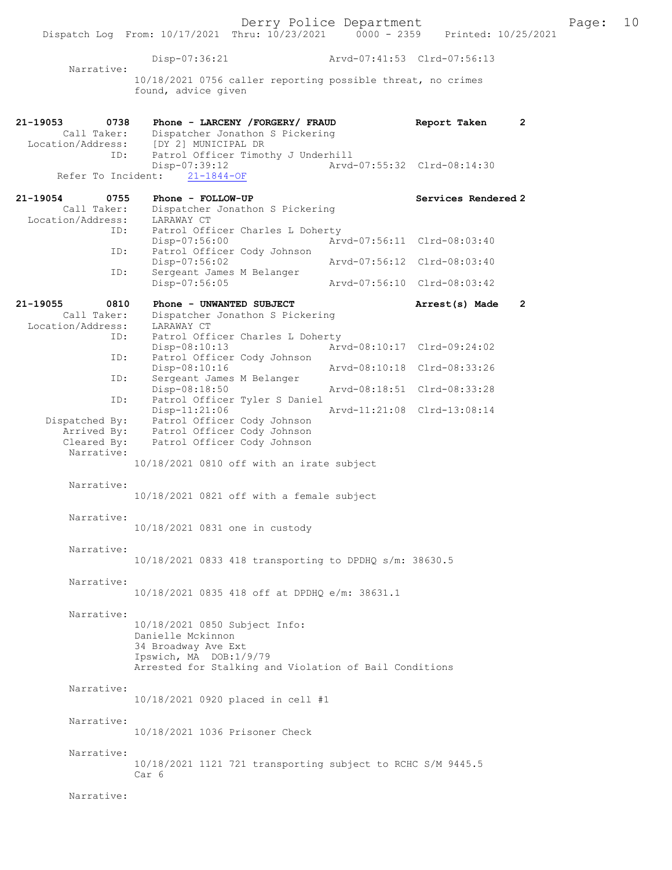Derry Police Department<br>hru:  $10/23/2021$  0000 - 2359 Printed:  $10/25/2021$ Dispatch Log From: 10/17/2021 Thru: 10/23/2021 Disp-07:36:21 Arvd-07:41:53 Clrd-07:56:13 Narrative: 10/18/2021 0756 caller reporting possible threat, no crimes found, advice given 21-19053 0738 Phone - LARCENY / FORGERY / FRAUD Report Taken 2<br>Call Taker: Dispatcher Jonathon S Pickering Call Taker: Dispatcher Jonathon S Pickering<br>Location/Address: [DY 2] MUNICIPAL DR [DY 2] MUNICIPAL DR ID: Patrol Officer Timothy J Underhill<br>Disp-07:39:12 Arvd -07:39:12<br>21-1844-OF Arvd-07:55:32 Clrd-08:14:30 Refer To Incident: 21-19054 0755 Phone - FOLLOW-UP Services Rendered 2 Call Taker: Dispatcher Jonathon S Pickering Location/Address: LARAWAY CT ID: Patrol Officer Charles L Doherty<br>Disp-07:56:00 Art Disp-07:56:00 Arvd-07:56:11 Clrd-08:03:40<br>TD: Patrol Officer Cody Johnson Patrol Officer Cody Johnson Disp-07:56:02 Arvd-07:56:12 Clrd-08:03:40<br>ID: Sergeant James M Belanger Sergeant James M Belanger<br>Disp-07:56:05 Disp-07:56:05 Arvd-07:56:10 Clrd-08:03:42 21-19055 0810 Phone - UNWANTED SUBJECT Arrest(s) Made 2 Call Taker: Dispatcher Jonathon S Pickering<br>ion/Address: LARAWAY CT Location/Address:<br>TD: Patrol Officer Charles L Doherty Disp-08:10:13 Arvd-08:10:17 Clrd-09:24:02 ID: Patrol Officer Cody Johnson<br>Disp-08:10:16 Disp-08:10:16 Arvd-08:10:18 Clrd-08:33:26<br>TD: Sergeant James M Belanger Sergeant James M Belanger<br>Disp-08:18:50 Disp-08:18:50 Arvd-08:18:51 Clrd-08:33:28<br>ID: Patrol Officer Tyler S Daniel Patrol Officer Tyler S Daniel Disp-11:21:06 Arvd-11:21:08 Clrd-13:08:14<br>Dispatched By: Patrol Officer Cody Johnson Patrol Officer Cody Johnson Arrived By: Patrol Officer Cody Johnson<br>Cleared By: Patrol Officer Cody Johnson Patrol Officer Cody Johnson Narrative: 10/18/2021 0810 off with an irate subject Narrative: 10/18/2021 0821 off with a female subject Narrative: 10/18/2021 0831 one in custody Narrative: 10/18/2021 0833 418 transporting to DPDHQ s/m: 38630.5 Narrative: 10/18/2021 0835 418 off at DPDHQ e/m: 38631.1 Narrative: 10/18/2021 0850 Subject Info: Danielle Mckinnon 34 Broadway Ave Ext Ipswich, MA DOB:1/9/79 Arrested for Stalking and Violation of Bail Conditions Narrative: 10/18/2021 0920 placed in cell #1 Narrative: 10/18/2021 1036 Prisoner Check Narrative: 10/18/2021 1121 721 transporting subject to RCHC S/M 9445.5 Car 6 Narrative: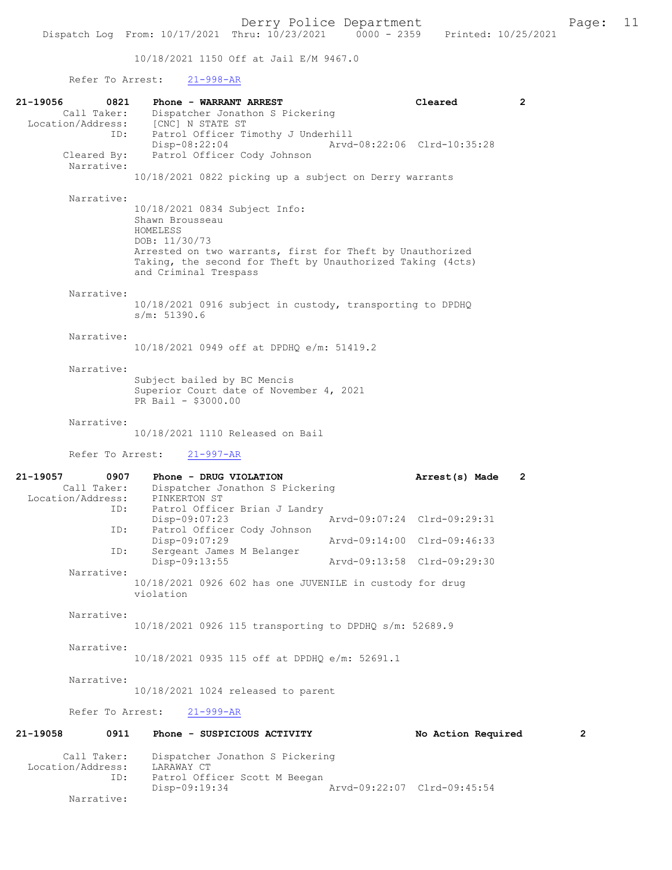10/18/2021 1150 Off at Jail E/M 9467.0

Refer To Arrest: 21-998-AR

| 21-19056<br>0821<br>Call Taker:                             | Phone - WARRANT ARREST<br>Dispatcher Jonathon S Pickering                                                                                                                                                                         |                             | Cleared                     | 2              |
|-------------------------------------------------------------|-----------------------------------------------------------------------------------------------------------------------------------------------------------------------------------------------------------------------------------|-----------------------------|-----------------------------|----------------|
| Location/Address:<br>ID:<br>Cleared By:                     | [CNC] N STATE ST<br>Patrol Officer Timothy J Underhill<br>$Disp-08:22:04$<br>Patrol Officer Cody Johnson                                                                                                                          |                             | Arvd-08:22:06 Clrd-10:35:28 |                |
| Narrative:                                                  | 10/18/2021 0822 picking up a subject on Derry warrants                                                                                                                                                                            |                             |                             |                |
| Narrative:                                                  | 10/18/2021 0834 Subject Info:<br>Shawn Brousseau<br>HOMELESS<br>DOB: 11/30/73<br>Arrested on two warrants, first for Theft by Unauthorized<br>Taking, the second for Theft by Unauthorized Taking (4cts)<br>and Criminal Trespass |                             |                             |                |
| Narrative:                                                  | 10/18/2021 0916 subject in custody, transporting to DPDHQ<br>s/m: 51390.6                                                                                                                                                         |                             |                             |                |
| Narrative:                                                  | 10/18/2021 0949 off at DPDHQ e/m: 51419.2                                                                                                                                                                                         |                             |                             |                |
| Narrative:                                                  | Subject bailed by BC Mencis<br>Superior Court date of November 4, 2021<br>PR Bail - \$3000.00                                                                                                                                     |                             |                             |                |
| Narrative:                                                  | 10/18/2021 1110 Released on Bail                                                                                                                                                                                                  |                             |                             |                |
| Refer To Arrest:                                            | $21 - 997 - AR$                                                                                                                                                                                                                   |                             |                             |                |
| 21-19057<br>0907<br>Call Taker:<br>Location/Address:<br>ID: | Phone - DRUG VIOLATION<br>Dispatcher Jonathon S Pickering<br>PINKERTON ST<br>Patrol Officer Brian J Landry                                                                                                                        |                             | Arrest(s) Made              | $\overline{2}$ |
| ID:                                                         | Disp-09:07:23<br>Patrol Officer Cody Johnson                                                                                                                                                                                      |                             | Arvd-09:07:24 Clrd-09:29:31 |                |
| ID:                                                         | $Disp-09:07:29$<br>Sergeant James M Belanger                                                                                                                                                                                      |                             | Arvd-09:14:00 Clrd-09:46:33 |                |
| Narrative:                                                  | Disp-09:13:55                                                                                                                                                                                                                     | Arvd-09:13:58 Clrd-09:29:30 |                             |                |
|                                                             | 10/18/2021 0926 602 has one JUVENILE in custody for drug                                                                                                                                                                          |                             |                             |                |
| Narrative:                                                  | violation                                                                                                                                                                                                                         |                             |                             |                |
|                                                             | 10/18/2021 0926 115 transporting to DPDHQ s/m: 52689.9                                                                                                                                                                            |                             |                             |                |
| Narrative:                                                  | 10/18/2021 0935 115 off at DPDHQ e/m: 52691.1                                                                                                                                                                                     |                             |                             |                |
| Narrative:                                                  | 10/18/2021 1024 released to parent                                                                                                                                                                                                |                             |                             |                |
| Refer To Arrest:                                            | $21 - 999 - AR$                                                                                                                                                                                                                   |                             |                             |                |
| 21-19058<br>0911                                            | Phone - SUSPICIOUS ACTIVITY                                                                                                                                                                                                       |                             | No Action Required          | 2              |
| Call Taker:<br>Location/Address:<br>ID:                     | Dispatcher Jonathon S Pickering<br>LARAWAY CT<br>Patrol Officer Scott M Beegan<br>Disp-09:19:34                                                                                                                                   |                             | Arvd-09:22:07 Clrd-09:45:54 |                |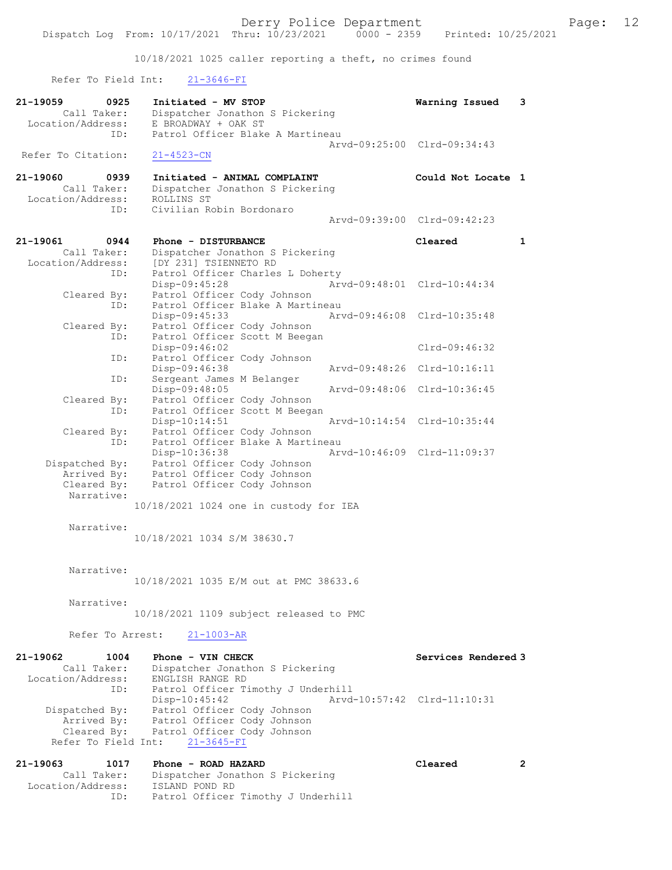10/18/2021 1025 caller reporting a theft, no crimes found

Refer To Field Int: 21-3646-FI

| 21-19059<br>0925                 | Initiated - MV STOP                                             | Warning Issued              | 3                    |
|----------------------------------|-----------------------------------------------------------------|-----------------------------|----------------------|
| Call Taker:<br>Location/Address: | Dispatcher Jonathon S Pickering<br>E BROADWAY + OAK ST          |                             |                      |
| ID:                              | Patrol Officer Blake A Martineau                                |                             |                      |
|                                  |                                                                 | Arvd-09:25:00 Clrd-09:34:43 |                      |
| Refer To Citation:               | $21 - 4523 - CN$                                                |                             |                      |
| 21-19060<br>0939                 | Initiated - ANIMAL COMPLAINT                                    | Could Not Locate 1          |                      |
| Call Taker:                      | Dispatcher Jonathon S Pickering                                 |                             |                      |
| Location/Address:<br>ID:         | ROLLINS ST<br>Civilian Robin Bordonaro                          |                             |                      |
|                                  |                                                                 | Arvd-09:39:00 Clrd-09:42:23 |                      |
| 21-19061<br>0944                 | Phone - DISTURBANCE                                             | Cleared                     | 1                    |
| Call Taker:                      | Dispatcher Jonathon S Pickering                                 |                             |                      |
| Location/Address:                | [DY 231] TSIENNETO RD                                           |                             |                      |
| ID:                              | Patrol Officer Charles L Doherty                                |                             |                      |
| Cleared By:                      | Disp-09:45:28<br>Patrol Officer Cody Johnson                    | Arvd-09:48:01 Clrd-10:44:34 |                      |
| ID:                              | Patrol Officer Blake A Martineau                                |                             |                      |
|                                  | Disp-09:45:33                                                   | Arvd-09:46:08 Clrd-10:35:48 |                      |
| Cleared By:                      | Patrol Officer Cody Johnson                                     |                             |                      |
| ID:                              | Patrol Officer Scott M Beegan<br>Disp-09:46:02                  | $Clrd-09:46:32$             |                      |
| ID:                              | Patrol Officer Cody Johnson                                     |                             |                      |
|                                  | Disp-09:46:38                                                   | Arvd-09:48:26 Clrd-10:16:11 |                      |
| ID:                              | Sergeant James M Belanger<br>Disp-09:48:05                      | Arvd-09:48:06 Clrd-10:36:45 |                      |
| Cleared By:                      | Patrol Officer Cody Johnson                                     |                             |                      |
| ID:                              | Patrol Officer Scott M Beegan                                   |                             |                      |
|                                  | Disp-10:14:51                                                   | Arvd-10:14:54 Clrd-10:35:44 |                      |
| Cleared By:<br>ID:               | Patrol Officer Cody Johnson<br>Patrol Officer Blake A Martineau |                             |                      |
|                                  | Disp-10:36:38                                                   | Arvd-10:46:09 Clrd-11:09:37 |                      |
| Dispatched By:                   | Patrol Officer Cody Johnson                                     |                             |                      |
| Arrived By:<br>Cleared By:       | Patrol Officer Cody Johnson<br>Patrol Officer Cody Johnson      |                             |                      |
| Narrative:                       |                                                                 |                             |                      |
|                                  | 10/18/2021 1024 one in custody for IEA                          |                             |                      |
|                                  |                                                                 |                             |                      |
| Narrative:                       | 10/18/2021 1034 S/M 38630.7                                     |                             |                      |
|                                  |                                                                 |                             |                      |
|                                  |                                                                 |                             |                      |
| Narrative:                       | 10/18/2021 1035 E/M out at PMC 38633.6                          |                             |                      |
|                                  |                                                                 |                             |                      |
| Narrative:                       |                                                                 |                             |                      |
|                                  | 10/18/2021 1109 subject released to PMC                         |                             |                      |
| Refer To Arrest:                 | $21 - 1003 - AR$                                                |                             |                      |
|                                  | Phone - VIN CHECK                                               |                             |                      |
| 21-19062<br>1004<br>Call Taker:  | Dispatcher Jonathon S Pickering                                 | Services Rendered 3         |                      |
| Location/Address:                | ENGLISH RANGE RD                                                |                             |                      |
| ID:                              | Patrol Officer Timothy J Underhill                              |                             |                      |
| Dispatched By:                   | Disp-10:45:42<br>Patrol Officer Cody Johnson                    | Arvd-10:57:42 Clrd-11:10:31 |                      |
| Arrived By:                      | Patrol Officer Cody Johnson                                     |                             |                      |
| Cleared By:                      | Patrol Officer Cody Johnson                                     |                             |                      |
| Refer To Field Int:              | $21 - 3645 - FI$                                                |                             |                      |
| 21-19063<br>1017                 | Phone - ROAD HAZARD                                             | Cleared                     | $\mathbf{2}^{\circ}$ |
| Call Taker:                      | Dispatcher Jonathon S Pickering                                 |                             |                      |
| Location/Address:                | ISLAND POND RD                                                  |                             |                      |
| ID:                              | Patrol Officer Timothy J Underhill                              |                             |                      |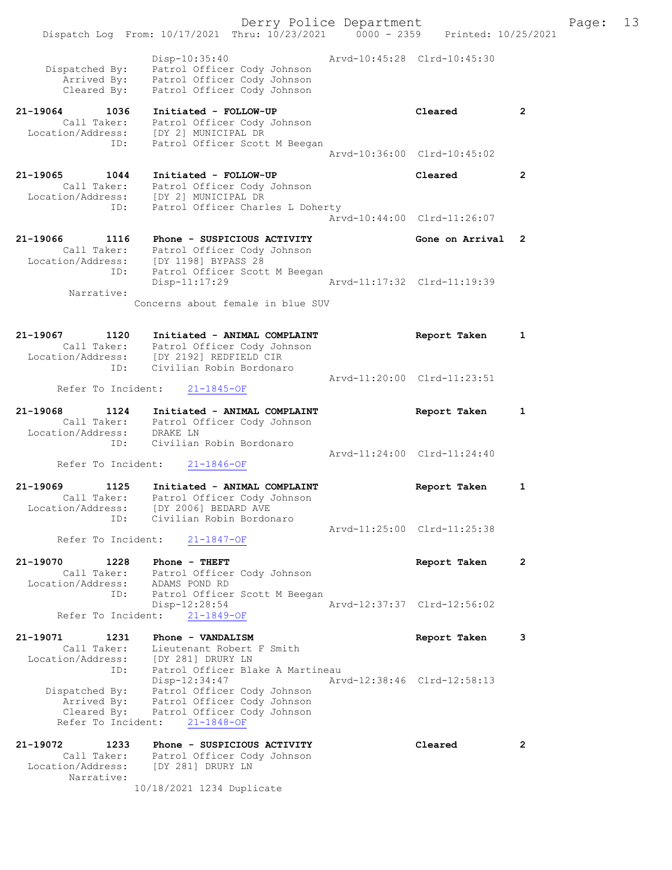|                                       |                                                                                                                                                                     | Derry Police Department     |                             |                | Page: | 13 |
|---------------------------------------|---------------------------------------------------------------------------------------------------------------------------------------------------------------------|-----------------------------|-----------------------------|----------------|-------|----|
|                                       | Dispatch Log From: 10/17/2021 Thru: 10/23/2021 0000 - 2359 Printed: 10/25/2021                                                                                      |                             |                             |                |       |    |
| Dispatched By:<br>Cleared By:         | $Disp-10:35:40$<br>Patrol Officer Cody Johnson<br>Arrived By: Patrol Officer Cody Johnson<br>Cleared By: Patrol Officer Cody Johnson<br>Patrol Officer Cody Johnson | Arvd-10:45:28 Clrd-10:45:30 |                             |                |       |    |
| 21-19064<br>1036                      | Initiated - FOLLOW-UP                                                                                                                                               |                             | Cleared                     | 2              |       |    |
|                                       | Call Taker: Patrol Officer Cody Johnson<br>Location/Address: [DY 2] MUNICIPAL DR<br>ID: Patrol Officer Scoti                                                        |                             |                             |                |       |    |
| ID:                                   | Patrol Officer Scott M Beegan                                                                                                                                       |                             | Arvd-10:36:00 Clrd-10:45:02 |                |       |    |
| $21 - 19065$<br>1044                  | Initiated - FOLLOW-UP                                                                                                                                               |                             | Cleared                     | $\mathbf{2}$   |       |    |
|                                       | Call Taker: Patrol Officer Cody Johnson<br>Location/Address: [DY 2] MUNICIPAL DR                                                                                    |                             |                             |                |       |    |
| ID:                                   | Patrol Officer Charles L Doherty                                                                                                                                    |                             |                             |                |       |    |
|                                       |                                                                                                                                                                     |                             | Arvd-10:44:00 Clrd-11:26:07 |                |       |    |
| 21-19066 1116                         | Phone - SUSPICIOUS ACTIVITY<br>Call Taker: Patrol Officer Cody Johnson                                                                                              |                             | Gone on Arrival 2           |                |       |    |
|                                       | Location/Address: [DY 1198] BYPASS 28                                                                                                                               |                             |                             |                |       |    |
| ID:                                   | Patrol Officer Scott M Beegan<br>Disp-11:17:29                                                                                                                      |                             | Arvd-11:17:32 Clrd-11:19:39 |                |       |    |
| Narrative:                            | Concerns about female in blue SUV                                                                                                                                   |                             |                             |                |       |    |
|                                       |                                                                                                                                                                     |                             |                             |                |       |    |
| 21-19067<br>1120                      | Initiated - ANIMAL COMPLAINT                                                                                                                                        |                             | Report Taken                | 1              |       |    |
|                                       | Call Taker: Patrol Officer Cody Johnson<br>Location/Address: [DY 2192] REDFIELD CIR                                                                                 |                             |                             |                |       |    |
| ID:                                   | Civilian Robin Bordonaro                                                                                                                                            |                             | Arvd-11:20:00 Clrd-11:23:51 |                |       |    |
|                                       | Refer To Incident: 21-1845-OF                                                                                                                                       |                             |                             |                |       |    |
| 21-19068<br>1124<br>Location/Address: | Initiated - ANIMAL COMPLAINT<br>Call Taker: Patrol Officer Cody Johnson<br>DRAKE LN                                                                                 |                             | Report Taken                | 1              |       |    |
| ID:                                   | Civilian Robin Bordonaro                                                                                                                                            |                             | Arvd-11:24:00 Clrd-11:24:40 |                |       |    |
| Refer To Incident:                    | $21 - 1846 - OF$                                                                                                                                                    |                             |                             |                |       |    |
| 21-19069<br>1125                      | Initiated - ANIMAL COMPLAINT                                                                                                                                        |                             | Report Taken                | 1              |       |    |
| Call Taker:                           | Patrol Officer Cody Johnson<br>Location/Address: [DY 2006] BEDARD AVE                                                                                               |                             |                             |                |       |    |
| ID:                                   | Civilian Robin Bordonaro                                                                                                                                            |                             | Arvd-11:25:00 Clrd-11:25:38 |                |       |    |
| Refer To Incident:                    | $21 - 1847 - OF$                                                                                                                                                    |                             |                             |                |       |    |
| 21-19070<br>1228                      | Phone - THEFT                                                                                                                                                       |                             | Report Taken                | 2              |       |    |
| Location/Address: ADAMS POND RD       | Call Taker: Patrol Officer Cody Johnson                                                                                                                             |                             |                             |                |       |    |
| ID:                                   | Patrol Officer Scott M Beegan<br>$Disp-12:28:54$                                                                                                                    |                             | Arvd-12:37:37 Clrd-12:56:02 |                |       |    |
| Refer To Incident:                    | $21 - 1849 - OF$                                                                                                                                                    |                             |                             |                |       |    |
| 21-19071<br>1231                      | Phone - VANDALISM                                                                                                                                                   |                             | Report Taken                | 3              |       |    |
| Call Taker:<br>Location/Address:      | Lieutenant Robert F Smith<br>[DY 281] DRURY LN                                                                                                                      |                             |                             |                |       |    |
| ID:                                   | Patrol Officer Blake A Martineau<br>Disp-12:34:47                                                                                                                   |                             | Arvd-12:38:46 Clrd-12:58:13 |                |       |    |
| Dispatched By:                        | Patrol Officer Cody Johnson                                                                                                                                         |                             |                             |                |       |    |
| Arrived By:<br>Cleared By:            | Patrol Officer Cody Johnson<br>Patrol Officer Cody Johnson                                                                                                          |                             |                             |                |       |    |
| Refer To Incident:                    | $21 - 1848 - OF$                                                                                                                                                    |                             |                             |                |       |    |
| 21-19072<br>1233<br>Call Taker:       | Phone - SUSPICIOUS ACTIVITY<br>Patrol Officer Cody Johnson                                                                                                          |                             | Cleared                     | $\overline{2}$ |       |    |
| Location/Address:                     | [DY 281] DRURY LN                                                                                                                                                   |                             |                             |                |       |    |
| Narrative:                            | 10/18/2021 1234 Duplicate                                                                                                                                           |                             |                             |                |       |    |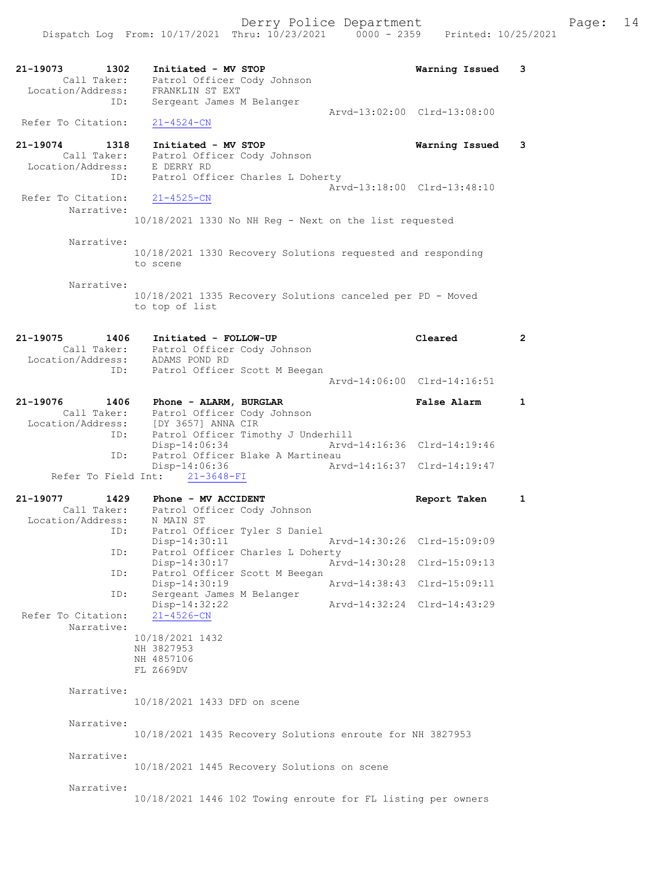| 21-19073<br>1302<br>Call Taker:<br>Location/Address: | Initiated - MV STOP<br>Patrol Officer Cody Johnson<br>FRANKLIN ST EXT        | Warning Issued<br>3         |
|------------------------------------------------------|------------------------------------------------------------------------------|-----------------------------|
| ID:                                                  | Sergeant James M Belanger                                                    | Arvd-13:02:00 Clrd-13:08:00 |
| Refer To Citation:                                   | $21 - 4524 - CN$                                                             |                             |
| 21-19074 1318                                        | Initiated - MV STOP                                                          | Warning Issued<br>3         |
| Call Taker:<br>Location/Address:                     | Patrol Officer Cody Johnson<br>E DERRY RD                                    |                             |
| ID:                                                  | Patrol Officer Charles L Doherty                                             |                             |
| Refer To Citation:                                   | $21 - 4525 - CN$                                                             | Arvd-13:18:00 Clrd-13:48:10 |
| Narrative:                                           |                                                                              |                             |
|                                                      | $10/18/2021$ 1330 No NH Reg - Next on the list requested                     |                             |
| Narrative:                                           |                                                                              |                             |
|                                                      | 10/18/2021 1330 Recovery Solutions requested and responding<br>to scene      |                             |
| Narrative:                                           |                                                                              |                             |
|                                                      | 10/18/2021 1335 Recovery Solutions canceled per PD - Moved<br>to top of list |                             |
| 21-19075<br>1406                                     | Initiated - FOLLOW-UP                                                        | $\overline{2}$<br>Cleared   |
|                                                      | Call Taker: Patrol Officer Cody Johnson<br>Location/Address: ADAMS POND RD   |                             |
| ID:                                                  | Patrol Officer Scott M Beegan                                                |                             |
|                                                      |                                                                              | Arvd-14:06:00 Clrd-14:16:51 |
| 21-19076<br>1406                                     | Phone - ALARM, BURGLAR                                                       | <b>False Alarm</b><br>1     |
| Call Taker:                                          | Patrol Officer Cody Johnson<br>Location/Address: [DY 3657] ANNA CIR          |                             |
| ID:                                                  | Patrol Officer Timothy J Underhill                                           |                             |
|                                                      | Disp-14:06:34                                                                | Arvd-14:16:36 Clrd-14:19:46 |
| ID:                                                  | Patrol Officer Blake A Martineau<br>$Disp-14:06:36$                          | Arvd-14:16:37 Clrd-14:19:47 |
|                                                      | Refer To Field Int: 21-3648-FI                                               |                             |
| 21-19077<br>1429                                     | Phone - MV ACCIDENT                                                          | 1<br>Report Taken           |
| Call Taker:                                          | Patrol Officer Cody Johnson                                                  |                             |
| Location/Address:<br>ID:                             | N MAIN ST<br>Patrol Officer Tyler S Daniel                                   |                             |
|                                                      | Disp-14:30:11                                                                | Arvd-14:30:26 Clrd-15:09:09 |
| ID:                                                  | Patrol Officer Charles L Doherty<br>Disp-14:30:17                            | Arvd-14:30:28 Clrd-15:09:13 |
| ID:                                                  | Patrol Officer Scott M Beegan                                                |                             |
| ID:                                                  | Disp-14:30:19<br>Sergeant James M Belanger                                   | Arvd-14:38:43 Clrd-15:09:11 |
| Refer To Citation:                                   | $Disp-14:32:22$<br>$21 - 4526 - CN$                                          | Arvd-14:32:24 Clrd-14:43:29 |
| Narrative:                                           | 10/18/2021 1432                                                              |                             |
|                                                      | NH 3827953                                                                   |                             |
|                                                      | NH 4857106<br>FL Z669DV                                                      |                             |
|                                                      |                                                                              |                             |
| Narrative:                                           | 10/18/2021 1433 DFD on scene                                                 |                             |
|                                                      |                                                                              |                             |
| Narrative:                                           | 10/18/2021 1435 Recovery Solutions enroute for NH 3827953                    |                             |
|                                                      |                                                                              |                             |
| Narrative:                                           | 10/18/2021 1445 Recovery Solutions on scene                                  |                             |
|                                                      |                                                                              |                             |
| Narrative:                                           | 10/18/2021 1446 102 Towing enroute for FL listing per owners                 |                             |
|                                                      |                                                                              |                             |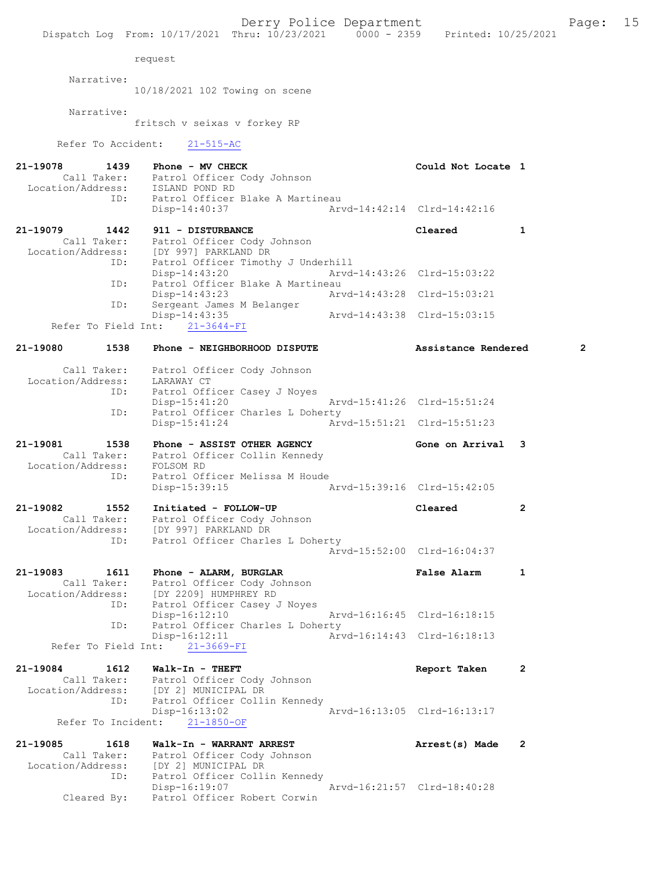|                                               |                    | Dispatch Log From: 10/17/2021 Thru: 10/23/2021 0000 - 2359 Printed: 10/25/2021                                                               |                             |                             |                |
|-----------------------------------------------|--------------------|----------------------------------------------------------------------------------------------------------------------------------------------|-----------------------------|-----------------------------|----------------|
|                                               |                    | request                                                                                                                                      |                             |                             |                |
|                                               | Narrative:         | 10/18/2021 102 Towing on scene                                                                                                               |                             |                             |                |
|                                               | Narrative:         | fritsch v seixas v forkey RP                                                                                                                 |                             |                             |                |
|                                               |                    | Refer To Accident: 21-515-AC                                                                                                                 |                             |                             |                |
| 21-19078                                      |                    | 1439 Phone - MV CHECK<br>Call Taker: Patrol Officer Cody Johnson<br>Location/Address: ISLAND POND RD                                         |                             | Could Not Locate 1          |                |
|                                               |                    | ID: Patrol Officer Blake A Martineau<br>Disp-14:40:37                                                                                        |                             | Arvd-14:42:14 Clrd-14:42:16 |                |
| 21-19079                                      |                    | 1442 911 - DISTURBANCE                                                                                                                       |                             | Cleared                     | 1              |
|                                               |                    | Call Taker: Patrol Officer Cody Johnson<br>Location/Address: [DY 997] PARKLAND DR<br>ID: Patrol Officer Timothy J Underhill<br>Disp-14:43:20 |                             | Arvd-14:43:26 Clrd-15:03:22 |                |
|                                               | ID:                | Patrol Officer Blake A Martineau<br>$Disp-14:43:23$                                                                                          | Arvd-14:43:28 Clrd-15:03:21 |                             |                |
|                                               | ID:                | Sergeant James M Belanger<br>Disp-14:43:35                                                                                                   | Arvd-14:43:38 Clrd-15:03:15 |                             |                |
| 21-19080                                      | 1538               | Refer To Field Int: 21-3644-FI<br>Phone - NEIGHBORHOOD DISPUTE                                                                               |                             | Assistance Rendered         | $\overline{2}$ |
|                                               |                    |                                                                                                                                              |                             |                             |                |
|                                               |                    | Call Taker: Patrol Officer Cody Johnson<br>Location/Address: LARAWAY CT<br>ID: Patrol Officer Casey J Noyes                                  |                             |                             |                |
|                                               | ID:                | Disp-15:41:20<br>Patrol Officer Charles L Doherty                                                                                            |                             | Arvd-15:41:26 Clrd-15:51:24 |                |
| 21-19081                                      | 1538               | Disp-15:41:24                                                                                                                                |                             |                             |                |
| Location/Address: FOLSOM RD<br>TD: Patrol Of: |                    | Phone - ASSIST OTHER AGENCY<br>Call Taker: Patrol Officer Collin Kennedy                                                                     |                             | Gone on Arrival             | 3              |
|                                               | ID:                | Patrol Officer Melissa M Houde<br>Disp-15:39:15                                                                                              | Arvd-15:39:16 Clrd-15:42:05 |                             |                |
| 21-19082<br>Call Taker:<br>Location/Address:  | 1552               | Initiated - FOLLOW-UP<br>Patrol Officer Cody Johnson<br>[DY 997] PARKLAND DR                                                                 |                             | Cleared                     | 2              |
|                                               | ID:                | Patrol Officer Charles L Doherty                                                                                                             |                             | Arvd-15:52:00 Clrd-16:04:37 |                |
| 21-19083<br>Call Taker:<br>Location/Address:  | 1611               | Phone - ALARM, BURGLAR<br>Patrol Officer Cody Johnson<br>[DY 2209] HUMPHREY RD                                                               |                             | <b>False Alarm</b>          | 1              |
|                                               | ID:                | Patrol Officer Casey J Noyes<br>$Disp-16:12:10$                                                                                              |                             | Arvd-16:16:45 Clrd-16:18:15 |                |
| Refer To Field Int:                           | ID:                | Patrol Officer Charles L Doherty<br>$Disp-16:12:11$<br>$21 - 3669 - FI$                                                                      |                             | Arvd-16:14:43 Clrd-16:18:13 |                |
| 21-19084                                      | 1612               | Walk-In - THEFT                                                                                                                              |                             | Report Taken                | 2              |
| Call Taker:<br>Location/Address:              | ID:                | Patrol Officer Cody Johnson<br>[DY 2] MUNICIPAL DR<br>Patrol Officer Collin Kennedy<br>$Disp-16:13:02$                                       |                             | Arvd-16:13:05 Clrd-16:13:17 |                |
|                                               | Refer To Incident: | $21 - 1850 - OF$                                                                                                                             |                             |                             |                |
| 21-19085<br>Call Taker:<br>Location/Address:  | 1618<br>ID:        | Walk-In - WARRANT ARREST<br>Patrol Officer Cody Johnson<br>[DY 2] MUNICIPAL DR<br>Patrol Officer Collin Kennedy                              |                             | Arrest(s) Made              | $\overline{2}$ |
| Cleared By:                                   |                    | $Disp-16:19:07$<br>Patrol Officer Robert Corwin                                                                                              |                             | Arvd-16:21:57 Clrd-18:40:28 |                |

Derry Police Department Page: 15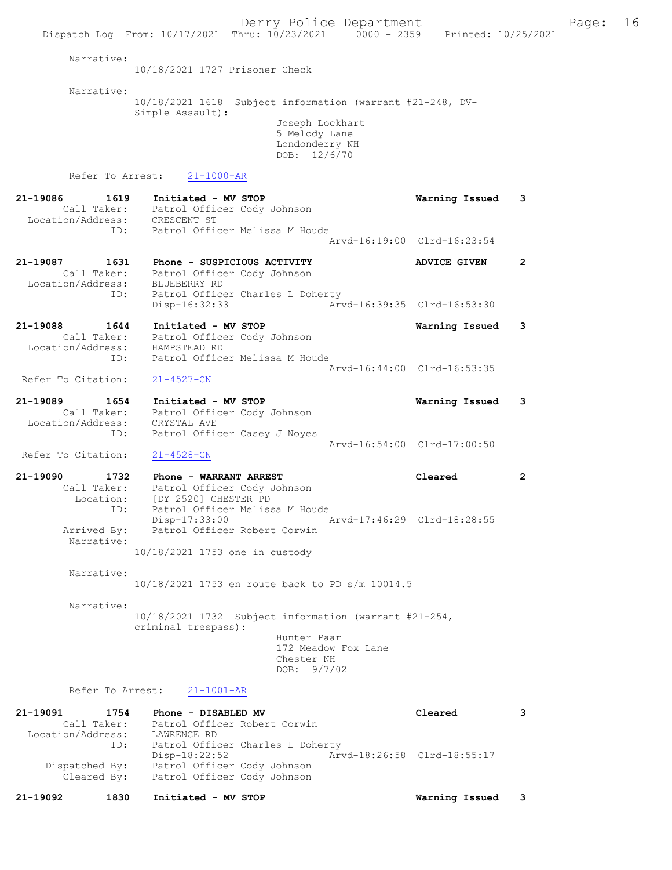Dispatch Log From: 10/17/2021 Thru: 10/23/2021 0000 - 2359 Printed: 10/25/2021 Narrative: 10/18/2021 1727 Prisoner Check Narrative: 10/18/2021 1618 Subject information (warrant #21-248, DV-Simple Assault): Joseph Lockhart 5 Melody Lane Londonderry NH DOB: 12/6/70 Refer To Arrest: 21-1000-AR 21-19086 1619 Initiated - MV STOP Warning Issued 3 Call Taker: Patrol Officer Cody Johnson<br>ion/Address: CRESCENT ST Location/Address: ID: Patrol Officer Melissa M Houde Arvd-16:19:00 Clrd-16:23:54 21-19087 1631 Phone - SUSPICIOUS ACTIVITY ADVICE GIVEN 2 Call Taker: Patrol Officer Cody Johnson Location/Address: BLUEBERRY RD ID: Patrol Officer Charles L Doherty Disp-16:32:33 Arvd-16:39:35 Clrd-16:53:30 21-19088 1644 Initiated - MV STOP Warning Issued 3 Call Taker: Patrol Officer Cody Johnson Location/Address: HAMPSTEAD RD ID: Patrol Officer Melissa M Houde Arvd-16:44:00 Clrd-16:53:35<br>
21-4527-CN Refer To Citation: 21-19089 1654 Initiated - MV STOP Warning Issued 3 Call Taker: Patrol Officer Cody Johnson Location/Address: CRYSTAL AVE ID: Patrol Officer Casey J Noyes Patrol Officer Casey J Noyes<br>Arvd-16:54:00 Clrd-17:00:50 Refer To Citation: 21-4528-CN 21-19090 1732 Phone - WARRANT ARREST Cleared 2 Call Taker: Patrol Officer Cody Johnson Location: [DY 2520] CHESTER PD ID: Patrol Officer Melissa M Houde Disp-17:33:00 Arvd-17:46:29 Clrd-18:28:55 Arrived By: Patrol Officer Robert Corwin Narrative: 10/18/2021 1753 one in custody Narrative: 10/18/2021 1753 en route back to PD s/m 10014.5 Narrative: 10/18/2021 1732 Subject information (warrant #21-254, criminal trespass): Hunter Paar 172 Meadow Fox Lane Chester NH DOB: 9/7/02 Refer To Arrest: 21-1001-AR 21-19091 1754 Phone - DISABLED MV Cleared 3<br>Call Taker: Patrol Officer Robert Corwin Call Taker: Patrol Officer Robert Corwin Location/Address: LAWRENCE RD ID: Patrol Officer Charles L Doherty<br>Disp-18:22:52 Arvd-18:26:58 Clrd-18:55:17 Disp-18:22:52 Arvd-18:26:58 Clrd-18:55:17 Dispatched By: Patrol Officer Cody Johnson

Derry Police Department The Page: 16

Cleared By: Patrol Officer Cody Johnson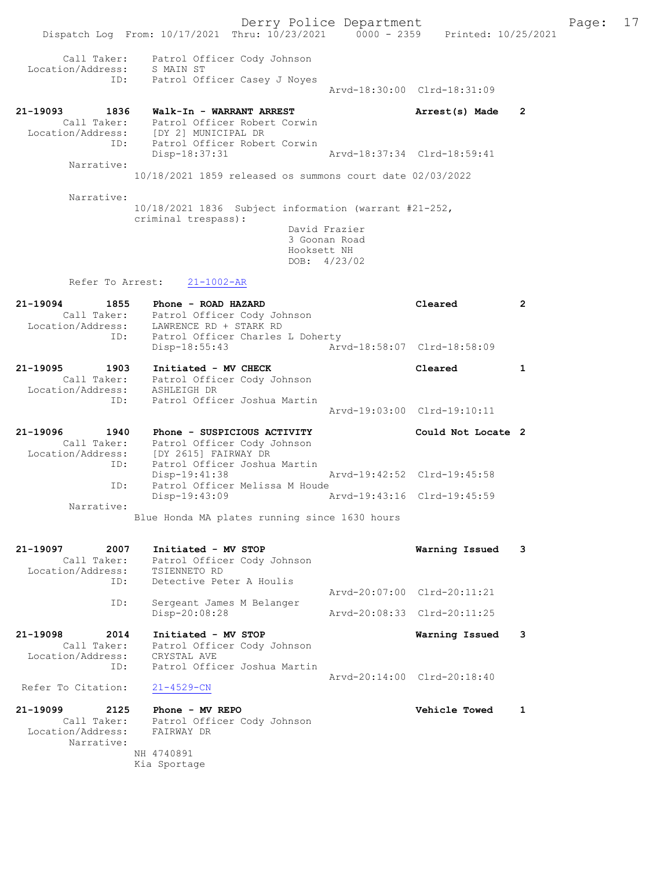|                                                                    |                                                                                                                                                  | Derry Police Department                                         |                             |              | Page: 17 |  |
|--------------------------------------------------------------------|--------------------------------------------------------------------------------------------------------------------------------------------------|-----------------------------------------------------------------|-----------------------------|--------------|----------|--|
|                                                                    | Dispatch Log From: 10/17/2021 Thru: 10/23/2021 0000 - 2359 Printed: 10/25/2021                                                                   |                                                                 |                             |              |          |  |
| Call Taker:<br>Location/Address:                                   | Patrol Officer Cody Johnson<br>S MAIN ST                                                                                                         |                                                                 |                             |              |          |  |
| ID:                                                                | Patrol Officer Casey J Noyes                                                                                                                     |                                                                 | Arvd-18:30:00 Clrd-18:31:09 |              |          |  |
| 21-19093<br>1836<br>ID:                                            | Walk-In - WARRANT ARREST<br>Call Taker: Patrol Officer Robert Corwin<br>Location/Address: [DY 2] MUNICIPAL DR<br>Patrol Officer Robert Corwin    |                                                                 | Arrest(s) Made              | 2            |          |  |
| Narrative:                                                         | Disp-18:37:31                                                                                                                                    |                                                                 | Arvd-18:37:34 Clrd-18:59:41 |              |          |  |
|                                                                    | 10/18/2021 1859 released os summons court date 02/03/2022                                                                                        |                                                                 |                             |              |          |  |
| Narrative:                                                         |                                                                                                                                                  |                                                                 |                             |              |          |  |
|                                                                    | $10/18/2021$ 1836 Subject information (warrant #21-252,<br>criminal trespass):                                                                   | David Frazier<br>3 Goonan Road<br>Hooksett NH<br>DOB: $4/23/02$ |                             |              |          |  |
| Refer To Arrest:                                                   | $21 - 1002 - AR$                                                                                                                                 |                                                                 |                             |              |          |  |
| 21-19094<br>1855<br>ID:                                            | Phone - ROAD HAZARD<br>Call Taker: Patrol Officer Cody Johnson<br>Location/Address: LAWRENCE RD + STARK RD<br>Patrol Officer Charles L Doherty   |                                                                 | Cleared                     | $\mathbf{2}$ |          |  |
|                                                                    | Disp-18:55:43                                                                                                                                    |                                                                 | Arvd-18:58:07 Clrd-18:58:09 |              |          |  |
| 21-19095<br>1903                                                   | Initiated - MV CHECK<br>Call Taker: Patrol Officer Cody Johnson<br>Location/Address: ASHLEIGH DR<br>Patrol Officer Joshua Martin                 |                                                                 | Cleared                     | 1            |          |  |
| ID:                                                                |                                                                                                                                                  |                                                                 | Arvd-19:03:00 Clrd-19:10:11 |              |          |  |
| 21-19096<br>1940<br>ID:                                            | Phone - SUSPICIOUS ACTIVITY<br>Call Taker: Patrol Officer Cody Johnson<br>Location/Address: [DY 2615] FAIRWAY DR<br>Patrol Officer Joshua Martin |                                                                 | Could Not Locate 2          |              |          |  |
| ID:                                                                | Disp-19:41:38<br>Patrol Officer Melissa M Houde                                                                                                  |                                                                 | Arvd-19:42:52 Clrd-19:45:58 |              |          |  |
| Narrative:                                                         | Disp-19:43:09                                                                                                                                    | Arvd-19:43:16 Clrd-19:45:59                                     |                             |              |          |  |
|                                                                    | Blue Honda MA plates running since 1630 hours                                                                                                    |                                                                 |                             |              |          |  |
| 21-19097<br>2007<br>Call Taker:<br>Location/Address:<br>ID:        | Initiated - MV STOP<br>Patrol Officer Cody Johnson<br>TSIENNETO RD<br>Detective Peter A Houlis                                                   |                                                                 | Warning Issued              | 3            |          |  |
|                                                                    |                                                                                                                                                  |                                                                 | Arvd-20:07:00 Clrd-20:11:21 |              |          |  |
| ID:                                                                | Sergeant James M Belanger<br>Disp-20:08:28                                                                                                       |                                                                 | Arvd-20:08:33 Clrd-20:11:25 |              |          |  |
| 21-19098<br>2014<br>Call Taker:                                    | Initiated - MV STOP<br>Patrol Officer Cody Johnson                                                                                               |                                                                 | Warning Issued              | 3            |          |  |
| Location/Address:<br>ID:                                           | CRYSTAL AVE<br>Patrol Officer Joshua Martin                                                                                                      |                                                                 | Arvd-20:14:00 Clrd-20:18:40 |              |          |  |
| Refer To Citation:                                                 | $21 - 4529 - CN$                                                                                                                                 |                                                                 |                             |              |          |  |
| 21-19099<br>2125<br>Call Taker:<br>Location/Address:<br>Narrative: | Phone - MV REPO<br>Patrol Officer Cody Johnson<br>FAIRWAY DR                                                                                     |                                                                 | <b>Vehicle Towed</b>        | 1            |          |  |
|                                                                    | NH 4740891<br>Kia Sportage                                                                                                                       |                                                                 |                             |              |          |  |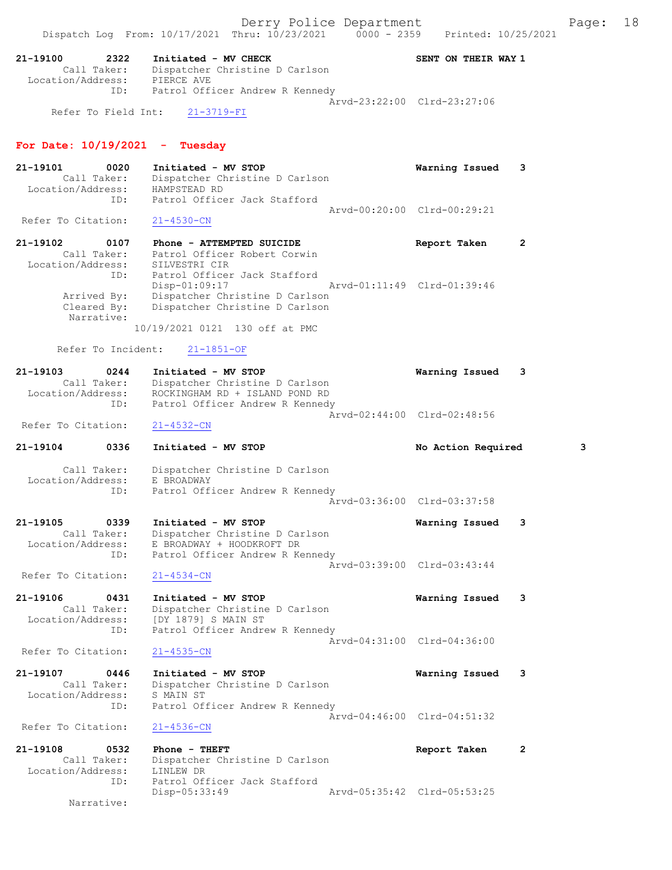21-19100 2322 Initiated - MV CHECK SENT ON THEIR WAY 1 Call Taker: Dispatcher Christine D Carlson Location/Address: PIERCE AVE ID: Patrol Officer Andrew R Kennedy Arvd-23:22:00 Clrd-23:27:06 Refer To Field Int: 21-3719-FI

## For Date:  $10/19/2021$  - Tuesday

- 21-19101 0020 Initiated MV STOP Warning Issued 3 Call Taker: Dispatcher Christine D Carlson Location/Address: HAMPSTEAD RD ID: Patrol Officer Jack Stafford Arvd-00:20:00 Clrd-00:29:21<br>21-4530-CN Refer To Citation:
- 21-19102 0107 Phone ATTEMPTED SUICIDE Report Taken 2 Call Taker: Patrol Officer Robert Corwin Location/Address: SILVESTRI CIR ID: Patrol Officer Jack Stafford Disp-01:09:17 Arvd-01:11:49 Clrd-01:39:46 Arrived By: Dispatcher Christine D Carlson Cleared By: Dispatcher Christine D Carlson Narrative: 10/19/2021 0121 130 off at PMC

Refer To Incident: 21-1851-OF

| 21-19103           | 0244        | Initiated - MV STOP             | Warning Issued 3            |  |
|--------------------|-------------|---------------------------------|-----------------------------|--|
|                    | Call Taker: | Dispatcher Christine D Carlson  |                             |  |
| Location/Address:  |             | ROCKINGHAM RD + ISLAND POND RD  |                             |  |
|                    | ID:         | Patrol Officer Andrew R Kennedy |                             |  |
|                    |             |                                 | Aryd-02:44:00 Clrd-02:48:56 |  |
| Refer To Citation: |             | 21-4532-CN                      |                             |  |

- 21-19104 0336 Initiated MV STOP No Action Required 3
- Call Taker: Dispatcher Christine D Carlson Location/Address: E BROADWAY ID: Patrol Officer Andrew R Kennedy Arvd-03:36:00 Clrd-03:37:58
- 21-19105 0339 Initiated MV STOP Warning Issued 3 Call Taker: Dispatcher Christine D Carlson Location/Address: E BROADWAY + HOODKROFT DR ID: Patrol Officer Andrew R Kennedy Arvd-03:39:00 Clrd-03:43:44 Refer To Citation: 21-4534-CN
- 21-19106 0431 Initiated MV STOP Warning Issued 3 Call Taker: Dispatcher Christine D Carlson Location/Address: [DY 1879] S MAIN ST ID: Patrol Officer Andrew R Kennedy Arvd-04:31:00 Clrd-04:36:00 Refer To Citation: 21-4535-CN
- 21-19107 0446 Initiated MV STOP Warning Issued 3 Call Taker: Dispatcher Christine D Carlson Location/Address: S MAIN ST ID: Patrol Officer Andrew R Kennedy Arvd-04:46:00 Clrd-04:51:32<br>21-4536-CN Refer To Citation:
- 21-19108 0532 Phone THEFT Report Taken 2 Call Taker: Dispatcher Christine D Carlson Location/Address: LINLEW DR ID: Patrol Officer Jack Stafford<br>Disp-05:33:49 Disp-05:33:49 Arvd-05:35:42 Clrd-05:53:25 Narrative: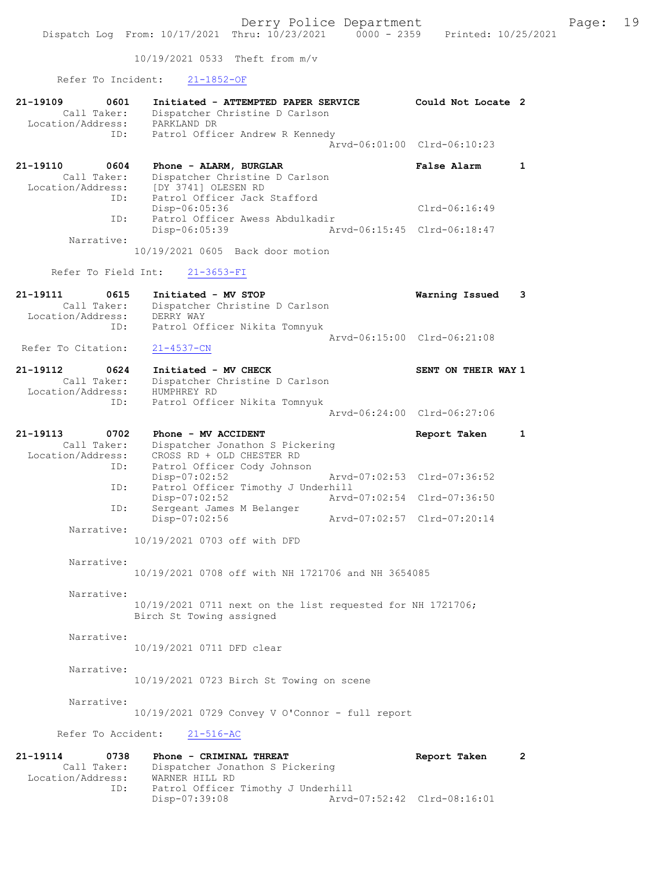10/19/2021 0533 Theft from m/v

Refer To Incident: 21-1852-OF

| 21-19109<br>0601<br>Call Taker:<br>Location/Address: | Initiated - ATTEMPTED PAPER SERVICE<br>Dispatcher Christine D Carlson<br>PARKLAND DR        | Could Not Locate 2          |              |
|------------------------------------------------------|---------------------------------------------------------------------------------------------|-----------------------------|--------------|
| ID:                                                  | Patrol Officer Andrew R Kennedy                                                             | Arvd-06:01:00 Clrd-06:10:23 |              |
| 21-19110<br>0604<br>Call Taker:<br>Location/Address: | Phone - ALARM, BURGLAR<br>Dispatcher Christine D Carlson<br>[DY 3741] OLESEN RD             | False Alarm                 | $\mathbf{1}$ |
| ID:<br>ID:                                           | Patrol Officer Jack Stafford<br>Disp-06:05:36<br>Patrol Officer Awess Abdulkadir            | $Clrd-06:16:49$             |              |
| Narrative:                                           | Disp-06:05:39                                                                               | Arvd-06:15:45 Clrd-06:18:47 |              |
|                                                      | 10/19/2021 0605 Back door motion                                                            |                             |              |
| Refer To Field Int:                                  | $21 - 3653 - FI$                                                                            |                             |              |
| 21-19111<br>0615<br>Call Taker:<br>Location/Address: | Initiated - MV STOP<br>Dispatcher Christine D Carlson<br>DERRY WAY                          | Warning Issued              | 3            |
| ID:                                                  | Patrol Officer Nikita Tomnyuk                                                               | Arvd-06:15:00 Clrd-06:21:08 |              |
| Refer To Citation:                                   | $21 - 4537 - CN$                                                                            |                             |              |
| 21-19112<br>0624                                     | Initiated - MV CHECK                                                                        | SENT ON THEIR WAY 1         |              |
| Call Taker:<br>Location/Address:<br>ID:              | Dispatcher Christine D Carlson<br>HUMPHREY RD<br>Patrol Officer Nikita Tomnyuk              |                             |              |
|                                                      |                                                                                             | Arvd-06:24:00 Clrd-06:27:06 |              |
| 21-19113<br>0702                                     | Phone - MV ACCIDENT                                                                         | Report Taken                | $\mathbf{1}$ |
| Call Taker:<br>Location/Address:<br>ID:              | Dispatcher Jonathon S Pickering<br>CROSS RD + OLD CHESTER RD<br>Patrol Officer Cody Johnson |                             |              |
| ID:                                                  | $Disp-07:02:52$<br>Patrol Officer Timothy J Underhill                                       | Arvd-07:02:53 Clrd-07:36:52 |              |
| ID:                                                  | Disp-07:02:52<br>Sergeant James M Belanger                                                  | Arvd-07:02:54 Clrd-07:36:50 |              |
| Narrative:                                           | Disp-07:02:56                                                                               | Arvd-07:02:57 Clrd-07:20:14 |              |
|                                                      | 10/19/2021 0703 off with DFD                                                                |                             |              |
| Narrative:                                           | 10/19/2021 0708 off with NH 1721706 and NH 3654085                                          |                             |              |
| Narrative:                                           | 10/19/2021 0711 next on the list requested for NH 1721706;<br>Birch St Towing assigned      |                             |              |
| Narrative:                                           | 10/19/2021 0711 DFD clear                                                                   |                             |              |
| Narrative:                                           | 10/19/2021 0723 Birch St Towing on scene                                                    |                             |              |
| Narrative:                                           | 10/19/2021 0729 Convey V O'Connor - full report                                             |                             |              |
| Refer To Accident:                                   | $21 - 516 - AC$                                                                             |                             |              |
| 21-19114<br>0738<br>Call Taker:                      | Phone - CRIMINAL THREAT<br>Dispatcher Jonathon S Pickering                                  | Report Taken                | $\mathbf{2}$ |

 Call Taker: Dispatcher Jonathon S Pickering Location/Address: WARNER HILL RD ID: Patrol Officer Timothy J Underhill Disp-07:39:08 Arvd-07:52:42 Clrd-08:16:01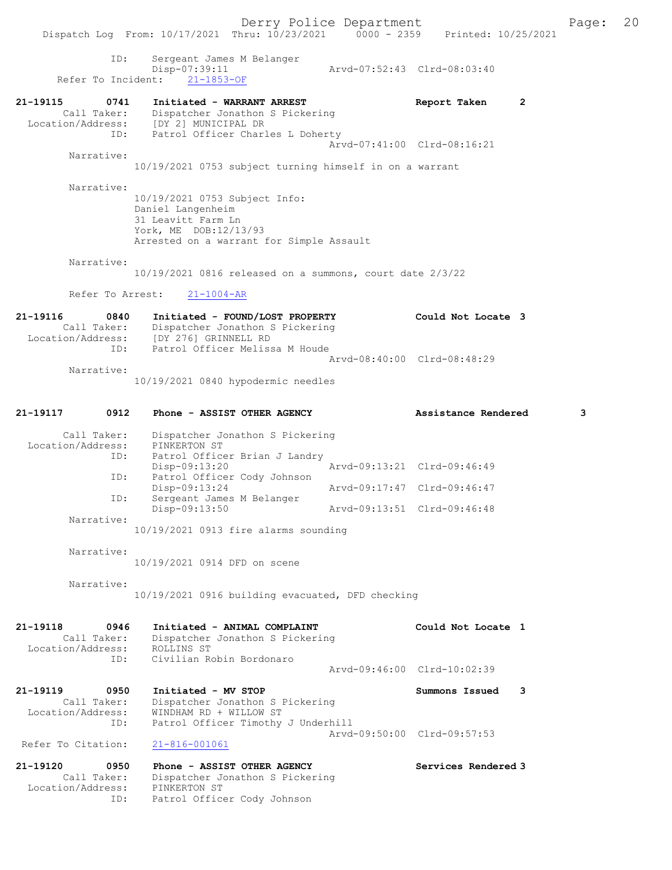Dispatch Log From: 10/17/2021 Thru: 10/23/2021 0000 - 2359 Printed: 10/25/2021 ID: Sergeant James M Belanger Disp-07:39:11 Arvd-07:52:43 Clrd-08:03:40  $0.15P=0.739:11$ <br>Refer To Incident:  $21-1853-OF$ 21-19115 0741 Initiated - WARRANT ARREST Report Taken 2 Call Taker: Dispatcher Jonathon S Pickering Location/Address: [DY 2] MUNICIPAL DR ID: Patrol Officer Charles L Doherty Arvd-07:41:00 Clrd-08:16:21 Narrative: 10/19/2021 0753 subject turning himself in on a warrant Narrative: 10/19/2021 0753 Subject Info: Daniel Langenheim 31 Leavitt Farm Ln York, ME DOB:12/13/93 Arrested on a warrant for Simple Assault Narrative: 10/19/2021 0816 released on a summons, court date 2/3/22 Refer To Arrest: 21-1004-AR 21-19116 0840 Initiated - FOUND/LOST PROPERTY Could Not Locate 3 Call Taker: Dispatcher Jonathon S Pickering Location/Address: [DY 276] GRINNELL RD ID: Patrol Officer Melissa M Houde Arvd-08:40:00 Clrd-08:48:29 Narrative: 10/19/2021 0840 hypodermic needles 21-19117 0912 Phone - ASSIST OTHER AGENCY Assistance Rendered 3 Call Taker: Dispatcher Jonathon S Pickering Location/Address: PINKERTON ST ID: Patrol Officer Brian J Landry Disp-09:13:20 Arvd-09:13:21 Clrd-09:46:49 ID: Patrol Officer Cody Johnson Disp-09:13:24 Arvd-09:17:47 Clrd-09:46:47 ID: Sergeant James M Belanger Disp-09:13:50 Arvd-09:13:51 Clrd-09:46:48 Narrative: 10/19/2021 0913 fire alarms sounding Narrative: 10/19/2021 0914 DFD on scene Narrative: 10/19/2021 0916 building evacuated, DFD checking 21-19118 0946 Initiated - ANIMAL COMPLAINT Could Not Locate 1 Call Taker: Dispatcher Jonathon S Pickering Location/Address: ROLLINS ST ID: Civilian Robin Bordonaro Arvd-09:46:00 Clrd-10:02:39 21-19119 0950 Initiated - MV STOP Summons Issued 3 Call Taker: Dispatcher Jonathon S Pickering Location/Address: WINDHAM RD + WILLOW ST ID: Patrol Officer Timothy J Underhill Arvd-09:50:00 Clrd-09:57:53 Refer To Citation: 21-816-001061 21-19120 0950 Phone - ASSIST OTHER AGENCY Services Rendered 3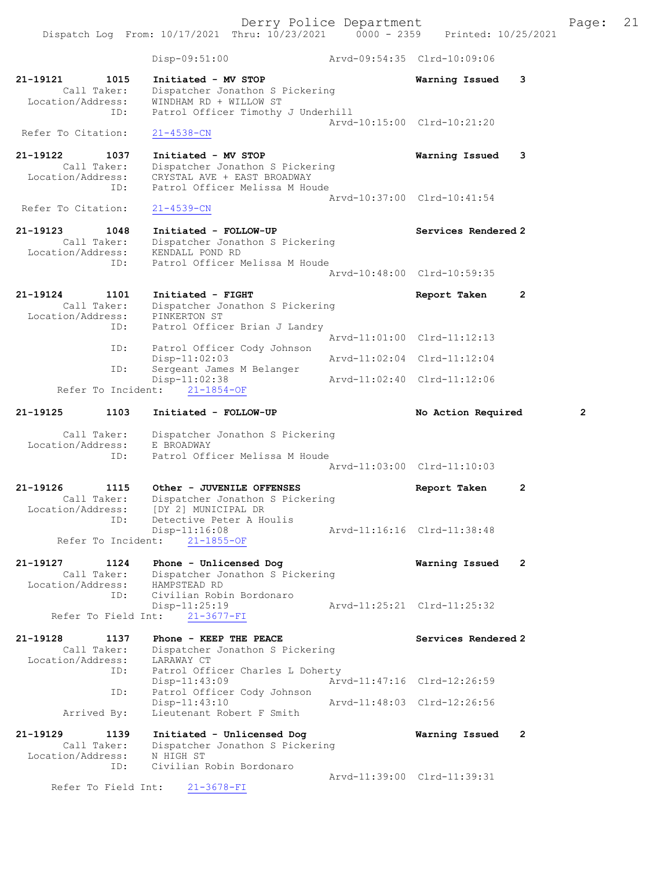Derry Police Department Fage: 21 Dispatch Log From: 10/17/2021 Thru: 10/23/2021 0000 - 2359 Printed: 10/25/2021 Disp-09:51:00 Arvd-09:54:35 Clrd-10:09:06 21-19121 1015 Initiated - MV STOP Warning Issued 3 Call Taker: Dispatcher Jonathon S Pickering Location/Address: WINDHAM RD + WILLOW ST ID: Patrol Officer Timothy J Underhill Arvd-10:15:00 Clrd-10:21:20 Refer To Citation: 21-4538-CN 21-19122 1037 Initiated - MV STOP Warning Issued 3 Call Taker: Dispatcher Jonathon S Pickering Location/Address: CRYSTAL AVE + EAST BROADWAY ID: Patrol Officer Melissa M Houde Arvd-10:37:00 Clrd-10:41:54<br>21-4539-CN Refer To Citation: 21-19123 1048 Initiated - FOLLOW-UP Services Rendered 2 Call Taker: Dispatcher Jonathon S Pickering Location/Address: KENDALL POND RD ID: Patrol Officer Melissa M Houde Arvd-10:48:00 Clrd-10:59:35 21-19124 1101 Initiated - FIGHT Report Taken 2 Call Taker: Dispatcher Jonathon S Pickering Location/Address: PINKERTON ST ID: Patrol Officer Brian J Landry ID: Patrol Officer Cody Johnson<br>Disp-11:02:03<br>Arvd-11:02:04 Clrd-11:12:04 Patrol Officer Cody Johnson Disp-11:02:03 Arvd-11:02:04 Clrd-11:12:04 ID: Sergeant James M Belanger Disp-11:02:38 Arvd-11:02:40 Clrd-11:12:06 Refer To Incident: 21-1854-OF 21-19125 1103 Initiated - FOLLOW-UP No Action Required 2 Call Taker: Dispatcher Jonathon S Pickering Location/Address: E BROADWAY ID: Patrol Officer Melissa M Houde Arvd-11:03:00 Clrd-11:10:03 21-19126 1115 Other - JUVENILE OFFENSES Report Taken 2 Call Taker: Dispatcher Jonathon S Pickering Location/Address: [DY 2] MUNICIPAL DR ID: Detective Peter A Houlis Disp-11:16:08 Arvd-11:16:16 Clrd-11:38:48 Refer To Incident: 21-1855-OF 21-19127 1124 Phone - Unlicensed Dog Warning Issued 2 Call Taker: Dispatcher Jonathon S Pickering Location/Address: HAMPSTEAD RD ID: Civilian Robin Bordonaro Disp-11:25:19 Arvd-11:25:21 Clrd-11:25:32 Refer To Field Int: 21-3677-FI 21-19128 1137 Phone - KEEP THE PEACE Network Services Rendered 2 Call Taker: Dispatcher Jonathon S Pickering Location/Address: LARAWAY CT ID: Patrol Officer Charles L Doherty<br>Disp-11:43:09 Arv Disp-11:43:09 Arvd-11:47:16 Clrd-12:26:59 ID: Patrol Officer Cody Johnson Arvd-11:48:03 Clrd-12:26:56 Arrived By: Lieutenant Robert F Smith 21-19129 1139 Initiated - Unlicensed Dog Warning Issued 2 Call Taker: Dispatcher Jonathon S Pickering Location/Address: N HIGH ST ID: Civilian Robin Bordonaro Arvd-11:39:00 Clrd-11:39:31

Refer To Field Int: 21-3678-FI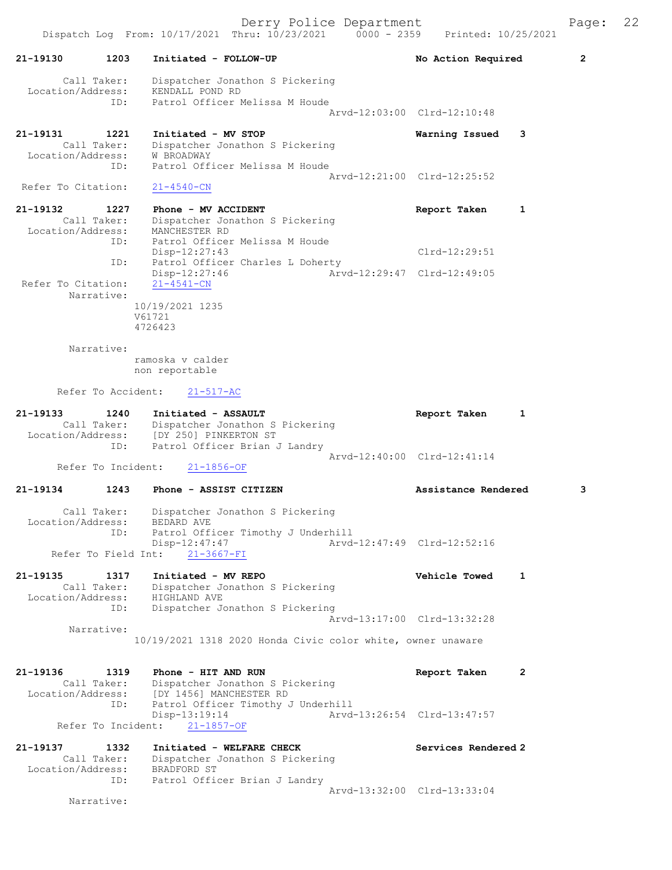|                                                      | $20 - 200 - 200 - 0.001$<br>Dispatch Log From: 10/17/2021 Thru: 10/23/2021 0000 - 2359 Printed: 10/25/2021    |                             |                |
|------------------------------------------------------|---------------------------------------------------------------------------------------------------------------|-----------------------------|----------------|
| 21-19130<br>1203                                     | Initiated - FOLLOW-UP                                                                                         | No Action Required          | $\overline{2}$ |
| Call Taker:<br>Location/Address:                     | Dispatcher Jonathon S Pickering<br>KENDALL POND RD                                                            |                             |                |
| ID:                                                  | Patrol Officer Melissa M Houde                                                                                | Arvd-12:03:00 Clrd-12:10:48 |                |
| 21-19131<br>1221<br>Call Taker:<br>Location/Address: | Initiated - MV STOP<br>Dispatcher Jonathon S Pickering<br><b>W BROADWAY</b>                                   | Warning Issued<br>3         |                |
| ID:<br>Refer To Citation:                            | Patrol Officer Melissa M Houde<br>$21 - 4540 - CN$                                                            | Arvd-12:21:00 Clrd-12:25:52 |                |
| 21-19132<br>1227                                     | Phone - MV ACCIDENT                                                                                           | Report Taken<br>1           |                |
| Call Taker:<br>Location/Address:<br>ID:              | Dispatcher Jonathon S Pickering<br>MANCHESTER RD<br>Patrol Officer Melissa M Houde                            |                             |                |
| ID:                                                  | $Disp-12:27:43$<br>Patrol Officer Charles L Doherty                                                           | $Clrd-12:29:51$             |                |
| Refer To Citation:<br>Narrative:                     | $Disp-12:27:46$<br>$21 - 4541 - CN$                                                                           | Arvd-12:29:47 Clrd-12:49:05 |                |
|                                                      | 10/19/2021 1235<br>V61721<br>4726423                                                                          |                             |                |
| Narrative:                                           |                                                                                                               |                             |                |
|                                                      | ramoska v calder<br>non reportable                                                                            |                             |                |
| Refer To Accident:                                   | $21 - 517 - AC$                                                                                               |                             |                |
| 21-19133<br>1240                                     | Initiated - ASSAULT<br>Call Taker: Dispatcher Jonathon S Pickering<br>Location/Address: [DY 250] PINKERTON ST | Report Taken<br>1           |                |
| ID:<br>Refer To Incident:                            | Patrol Officer Brian J Landry<br>$21 - 1856 - OF$                                                             | Arvd-12:40:00 Clrd-12:41:14 |                |
|                                                      |                                                                                                               | Assistance Rendered         |                |
| 21-19134<br>1243                                     | Phone - ASSIST CITIZEN                                                                                        |                             | 3              |
| Call Taker:<br>Location/Address:<br>ID:              | Dispatcher Jonathon S Pickering<br>BEDARD AVE<br>Patrol Officer Timothy J Underhill<br>Disp-12:47:47          | Arvd-12:47:49 Clrd-12:52:16 |                |
| Refer To Field Int:                                  | $21 - 3667 - FI$                                                                                              |                             |                |
| 21-19135<br>1317<br>Call Taker:<br>Location/Address: | Initiated - MV REPO<br>Dispatcher Jonathon S Pickering<br>HIGHLAND AVE                                        | <b>Vehicle Towed</b><br>1   |                |
| ID:                                                  | Dispatcher Jonathon S Pickering                                                                               | Arvd-13:17:00 Clrd-13:32:28 |                |
| Narrative:                                           | 10/19/2021 1318 2020 Honda Civic color white, owner unaware                                                   |                             |                |
| 21-19136<br>1319<br>Call Taker:<br>Location/Address: | Phone - HIT AND RUN<br>Dispatcher Jonathon S Pickering<br>[DY 1456] MANCHESTER RD                             | Report Taken<br>2           |                |
| ID:                                                  | Patrol Officer Timothy J Underhill<br>$Disp-13:19:14$                                                         | Arvd-13:26:54 Clrd-13:47:57 |                |
| Refer To Incident:                                   | $21 - 1857 - OF$                                                                                              |                             |                |
| 21-19137<br>1332                                     | Initiated - WELFARE CHECK                                                                                     | Services Rendered 2         |                |
| Call Taker:<br>Location/Address:<br>ID:              | Dispatcher Jonathon S Pickering<br>BRADFORD ST<br>Patrol Officer Brian J Landry                               | Arvd-13:32:00 Clrd-13:33:04 |                |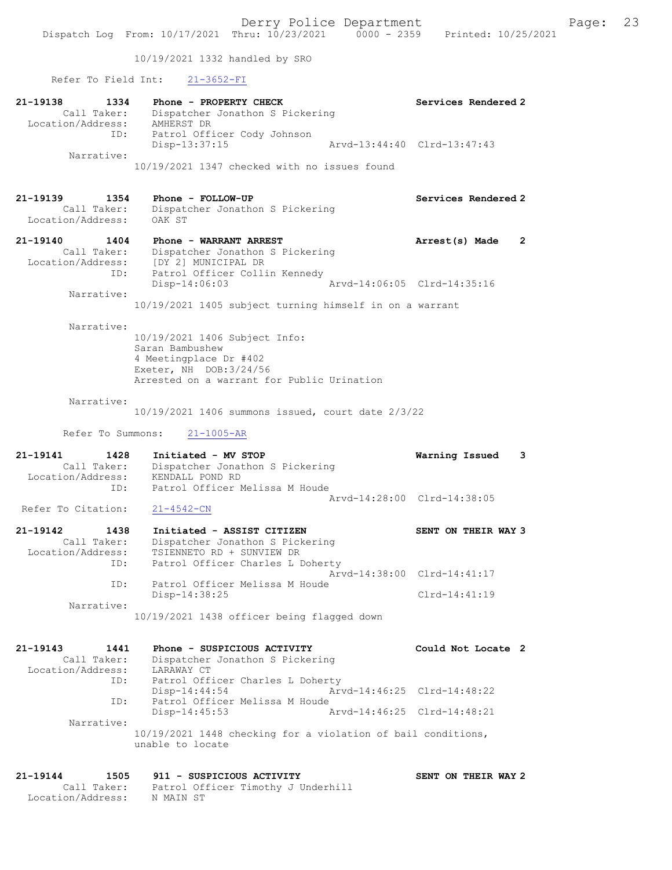10/19/2021 1332 handled by SRO

Refer To Field Int: 21-3652-FI

| 21-19138<br>1334<br>Call Taker:<br>Location/Address:        | Phone - PROPERTY CHECK<br>Dispatcher Jonathon S Pickering<br>AMHERST DR                                                                             | Services Rendered 2                          |
|-------------------------------------------------------------|-----------------------------------------------------------------------------------------------------------------------------------------------------|----------------------------------------------|
| ID:<br>Narrative:                                           | Patrol Officer Cody Johnson<br>$Disp-13:37:15$                                                                                                      | Arvd-13:44:40 Clrd-13:47:43                  |
|                                                             | 10/19/2021 1347 checked with no issues found                                                                                                        |                                              |
| 21-19139<br>1354<br>Call Taker:<br>Location/Address:        | Phone - FOLLOW-UP<br>Dispatcher Jonathon S Pickering<br>OAK ST                                                                                      | Services Rendered 2                          |
| 21-19140 1404<br>Call Taker:<br>Location/Address:           | Phone - WARRANT ARREST<br>Dispatcher Jonathon S Pickering<br>[DY 2] MUNICIPAL DR                                                                    | Arrest(s) Made<br>$\overline{2}$             |
| ID:<br>Narrative:                                           | Patrol Officer Collin Kennedy<br>$Disp-14:06:03$                                                                                                    | Arvd-14:06:05 Clrd-14:35:16                  |
|                                                             | 10/19/2021 1405 subject turning himself in on a warrant                                                                                             |                                              |
| Narrative:                                                  | 10/19/2021 1406 Subject Info:<br>Saran Bambushew<br>4 Meetingplace Dr #402<br>Exeter, NH DOB: 3/24/56<br>Arrested on a warrant for Public Urination |                                              |
| Narrative:                                                  | 10/19/2021 1406 summons issued, court date 2/3/22                                                                                                   |                                              |
| Refer To Summons:                                           | $21 - 1005 - AR$                                                                                                                                    |                                              |
|                                                             |                                                                                                                                                     |                                              |
| 21-19141<br>1428<br>Call Taker:<br>Location/Address:        | Initiated - MV STOP<br>Dispatcher Jonathon S Pickering<br>KENDALL POND RD                                                                           | Warning Issued<br>3                          |
| ID:<br>Refer To Citation:                                   | Patrol Officer Melissa M Houde<br>$21 - 4542 - CN$                                                                                                  | Arvd-14:28:00 Clrd-14:38:05                  |
| 1438<br>21-19142<br>Call Taker:<br>Location/Address:<br>ID: | Initiated - ASSIST CITIZEN<br>Dispatcher Jonathon S Pickering<br>TSIENNETO RD + SUNVIEW DR<br>Patrol Officer Charles L Doherty                      | SENT ON THEIR WAY 3                          |
| ID:                                                         | Patrol Officer Melissa M Houde<br>Disp-14:38:25                                                                                                     | Arvd-14:38:00 Clrd-14:41:17<br>Clrd-14:41:19 |
| Narrative:                                                  | 10/19/2021 1438 officer being flagged down                                                                                                          |                                              |
| 21-19143<br>1441<br>Call Taker:<br>Location/Address:        | Phone - SUSPICIOUS ACTIVITY<br>Dispatcher Jonathon S Pickering<br>LARAWAY CT                                                                        | Could Not Locate 2                           |
| ID:                                                         | Patrol Officer Charles L Doherty<br>Disp-14:44:54                                                                                                   | Arvd-14:46:25 Clrd-14:48:22                  |
| ID:<br>Narrative:                                           | Patrol Officer Melissa M Houde<br>Disp-14:45:53                                                                                                     | Arvd-14:46:25 Clrd-14:48:21                  |
|                                                             | 10/19/2021 1448 checking for a violation of bail conditions,<br>unable to locate                                                                    |                                              |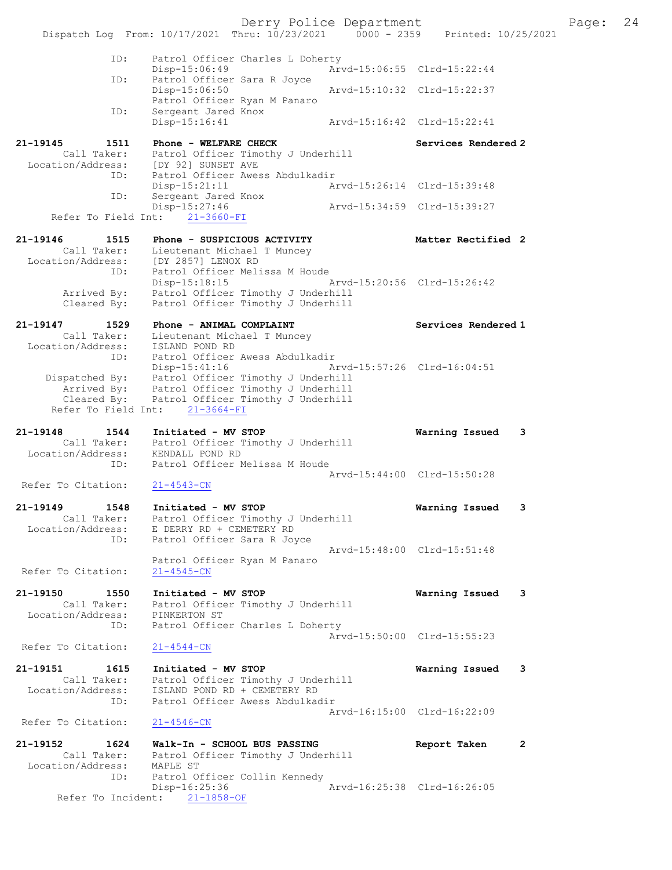Derry Police Department Fage: 24 Dispatch Log From: 10/17/2021 Thru: 10/23/2021 0000 - 2359 Printed: 10/25/2021 ID: Patrol Officer Charles L Doherty Disp-15:06:49 Arvd-15:06:55 Clrd-15:22:44 ID: Patrol Officer Sara R Joyce<br>Disp-15:06:50 Disp-15:06:50 Arvd-15:10:32 Clrd-15:22:37 Patrol Officer Ryan M Panaro ID: Sergeant Jared Knox<br>Disp-15:16:41 Disp-15:16:41 Arvd-15:16:42 Clrd-15:22:41 21-19145 1511 Phone - WELFARE CHECK Services Rendered 2 Call Taker: Patrol Officer Timothy J Underhill Location/Address: [DY 92] SUNSET AVE ID: Patrol Officer Awess Abdulkadir Disp-15:21:11 Arvd-15:26:14 Clrd-15:39:48 INCOL Officer<br>Disp-15:21:11<br>ID: Sergeant T Disp-15:27:46 Arvd-15:34:59 Clrd-15:39:27 Refer To Field Int:  $21-3660-FI$ 21-19146 1515 Phone - SUSPICIOUS ACTIVITY Matter Rectified 2 Call Taker: Lieutenant Michael T Muncey Location/Address: [DY 2857] LENOX RD ID: Patrol Officer Melissa M Houde Disp-15:18:15 Arvd-15:20:56 Clrd-15:26:42 Arrived By: Patrol Officer Timothy J Underhill Cleared By: Patrol Officer Timothy J Underhill 21-19147 1529 Phone - ANIMAL COMPLAINT Nerricos Rendered 1 Call Taker: Lieutenant Michael T Muncey Location/Address: ISLAND POND RD ID: Patrol Officer Awess Abdulkadir Disp-15:41:16 Arvd-15:57:26 Clrd-16:04:51 Dispatched By: Patrol Officer Timothy J Underhill Arrived By: Patrol Officer Timothy J Underhill Cleared By: Patrol Officer Timothy J Underhill Refer To Field Int: 21-3664-FI 21-19148 1544 Initiated - MV STOP Warning Issued 3 Call Taker: Patrol Officer Timothy J Underhill Location/Address: KENDALL POND RD ID: Patrol Officer Melissa M Houde Arvd-15:44:00 Clrd-15:50:28<br>21-4543-CN Refer To Citation: 21-19149 1548 Initiated - MV STOP Warning Issued 3 Call Taker: Patrol Officer Timothy J Underhill Location/Address: E DERRY RD + CEMETERY RD ID: Patrol Officer Sara R Joyce Arvd-15:48:00 Clrd-15:51:48 Patrol Officer Ryan M Panaro Refer To Citation: 21-4545-CN 21-19150 1550 Initiated - MV STOP Warning Issued 3 Call Taker: Patrol Officer Timothy J Underhill Location/Address: PINKERTON ST ID: Patrol Officer Charles L Doherty Arvd-15:50:00 Clrd-15:55:23<br>21-4544-CN Refer To Citation: 21-19151 1615 Initiated - MV STOP Warning Issued 3 Call Taker: Patrol Officer Timothy J Underhill Location/Address: ISLAND POND RD + CEMETERY RD ID: Patrol Officer Awess Abdulkadir Arvd-16:15:00 Clrd-16:22:09 Refer To Citation: 21-4546-CN 21-19152 1624 Walk-In - SCHOOL BUS PASSING Report Taken 2 Call Taker: Patrol Officer Timothy J Underhill Location/Address: MAPLE ST ID: Patrol Officer Collin Kennedy Disp-16:25:36 Arvd-16:25:38 Clrd-16:26:05 Refer To Incident: 21-1858-OF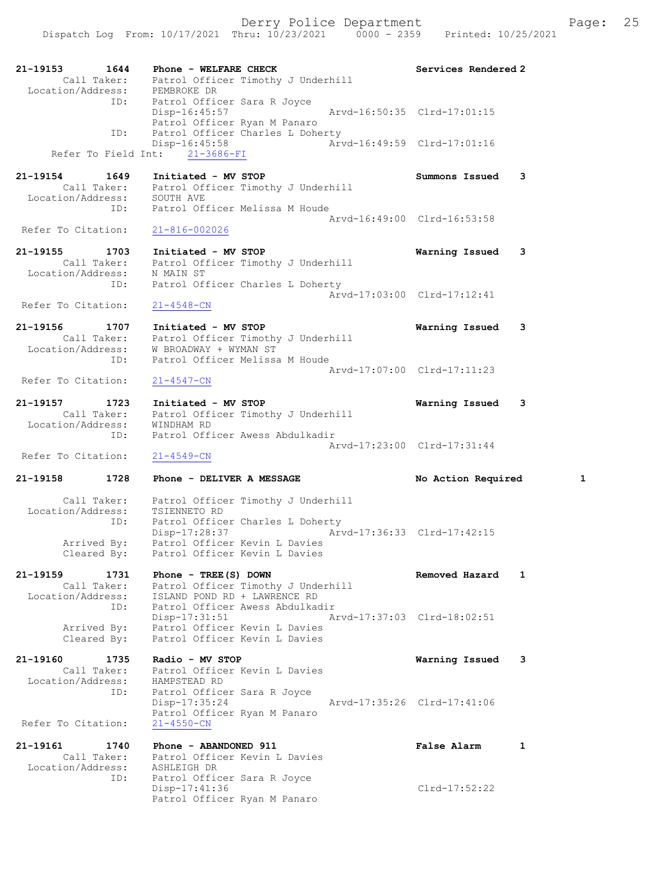21-19153 1644 Phone - WELFARE CHECK Services Rendered 2 Call Taker: Patrol Officer Timothy J Underhill Location/Address: PEMBROKE DR ID: Patrol Officer Sara R Joyce Disp-16:45:57 Arvd-16:50:35 Clrd-17:01:15 Patrol Officer Ryan M Panaro<br>ID: Patrol Officer Charles L Dohe Patrol Officer Charles L Doherty Disp-16:45:58 <br>  $\bar{Arvd}$ -16:49:59 Clrd-17:01:16<br>  $\bar{Arvd}$ -16:49:59 Clrd-17:01:16 Refer To Field Int: 21-3686-FI 21-19154 1649 Initiated - MV STOP Summons Issued 3 Call Taker: Patrol Officer Timothy J Underhill Location/Address: SOUTH AVE ID: Patrol Officer Melissa M Houde Arvd-16:49:00 Clrd-16:53:58<br>21-816-002026 Refer To Citation: 21-19155 1703 Initiated - MV STOP Warning Issued 3 Call Taker: Patrol Officer Timothy J Underhill Location/Address: N MAIN ST ID: Patrol Officer Charles L Doherty Arvd-17:03:00 Clrd-17:12:41 Refer To Citation: 21-4548-CN 21-19156 1707 Initiated - MV STOP Warning Issued 3 Call Taker: Patrol Officer Timothy J Underhill Location/Address: W BROADWAY + WYMAN ST ID: Patrol Officer Melissa M Houde Arvd-17:07:00 Clrd-17:11:23 Refer To Citation: 21-4547-CN 21-19157 1723 Initiated - MV STOP Warning Issued 3 Call Taker: Patrol Officer Timothy J Underhill Location/Address: WINDHAM RD ID: Patrol Officer Awess Abdulkadir Arvd-17:23:00 Clrd-17:31:44 Refer To Citation:  $21-4549-CN$ 21-19158 1728 Phone - DELIVER A MESSAGE No Action Required 1 Call Taker: Patrol Officer Timothy J Underhill Location/Address: TSIENNETO RD ID: Patrol Officer Charles L Doherty Disp-17:28:37 Arvd-17:36:33 Clrd-17:42:15 Arrived By: Patrol Officer Kevin L Davies Cleared By: Patrol Officer Kevin L Davies 21-19159 1731 Phone - TREE(S) DOWN Removed Hazard 1 Call Taker: Patrol Officer Timothy J Underhill Location/Address: ISLAND POND RD + LAWRENCE RD ID: Patrol Officer Awess Abdulkadir Disp-17:31:51 Arvd-17:37:03 Clrd-18:02:51 Arrived By: Patrol Officer Kevin L Davies Cleared By: Patrol Officer Kevin L Davies 21-19160 1735 Radio - MV STOP Warning Issued 3 Call Taker: Patrol Officer Kevin L Davies Location/Address: HAMPSTEAD RD ID: Patrol Officer Sara R Joyce Disp-17:35:24 Arvd-17:35:26 Clrd-17:41:06 Patrol Officer Ryan M Panaro Refer To Citation: 21-4550-CN 21-19161 1740 Phone - ABANDONED 911 False Alarm 1 Call Taker: Patrol Officer Kevin L Davies Location/Address: ASHLEIGH DR ID: Patrol Officer Sara R Joyce Disp-17:41:36 Clrd-17:52:22 Patrol Officer Ryan M Panaro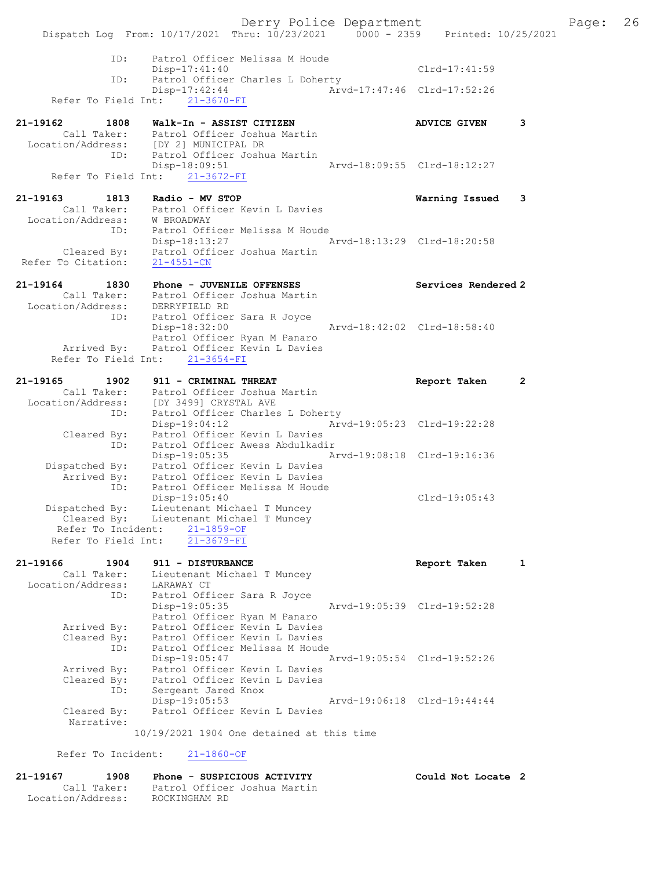Derry Police Department Fage: 26 Dispatch Log From: 10/17/2021 Thru: 10/23/2021 0000 - 2359 Printed: 10/25/2021 ID: Patrol Officer Melissa M Houde Disp-17:41:40 Clrd-17:41:59 ID: Patrol Officer Charles L Doherty Disp-17:42:44 Arvd-17:47:46 Clrd-17:52:26 Refer To Field Int: 21-3670-FI 21-19162 1808 Walk-In - ASSIST CITIZEN ADVICE GIVEN 3 Call Taker: Patrol Officer Joshua Martin Location/Address: [DY 2] MUNICIPAL DR ID: Patrol Officer Joshua Martin Disp-18:09:51 Arvd-18:09:55 Clrd-18:12:27 Refer To Field Int: 21-3672-FI 21-19163 1813 Radio - MV STOP Warning Issued 3 Call Taker: Patrol Officer Kevin L Davies Location/Address: W BROADWAY ID: Patrol Officer Melissa M Houde Disp-18:13:27 Arvd-18:13:29 Clrd-18:20:58 Cleared By: Patrol Officer Joshua Martin Refer To Citation: 21-4551-CN 21-19164 1830 Phone - JUVENILE OFFENSES Sandered 2 Services Rendered 2 Call Taker: Patrol Officer Joshua Martin Location/Address: DERRYFIELD RD ID: Patrol Officer Sara R Joyce Disp-18:32:00 Arvd-18:42:02 Clrd-18:58:40 Patrol Officer Ryan M Panaro Arrived By: Patrol Officer Kevin L Davies Refer To Field Int: 21-3654-FI 21-19165 1902 911 - CRIMINAL THREAT Report Taken 2 Call Taker: Patrol Officer Joshua Martin Location/Address: [DY 3499] CRYSTAL AVE ID: Patrol Officer Charles L Doherty Disp-19:04:12 Arvd-19:05:23 Clrd-19:22:28 Cleared By: Patrol Officer Kevin L Davies ID: Patrol Officer Awess Abdulkadir Disp-19:05:35 Arvd-19:08:18 Clrd-19:16:36 Dispatched By: Patrol Officer Kevin L Davies Arrived By: Patrol Officer Kevin L Davies ID: Patrol Officer Melissa M Houde Disp-19:05:40 Clrd-19:05:43 Dispatched By: Lieutenant Michael T Muncey Cleared By: Lieutenant Michael T Muncey Refer To Incident:  $\frac{21-1859-OF}{21-3679-F1}$ Refer To Field Int: 21-19166 1904 911 - DISTURBANCE Report Taken 1 Call Taker: Lieutenant Michael T Muncey Location/Address: LARAWAY CT ID: Patrol Officer Sara R Joyce Disp-19:05:35 Arvd-19:05:39 Clrd-19:52:28 Patrol Officer Ryan M Panaro Arrived By: Patrol Officer Kevin L Davies Cleared By: Patrol Officer Kevin L Davies ID: Patrol Officer Melissa M Houde Disp-19:05:47 Arvd-19:05:54 Clrd-19:52:26 Arrived By: Patrol Officer Kevin L Davies Cleared By: Patrol Officer Kevin L Davies ID: Sergeant Jared Knox Disp-19:05:53 Arvd-19:06:18 Clrd-19:44:44 Cleared By: Patrol Officer Kevin L Davies Narrative: 10/19/2021 1904 One detained at this time Refer To Incident: 21-1860-OF

21-19167 1908 Phone - SUSPICIOUS ACTIVITY Could Not Locate 2 Call Taker: Patrol Officer Joshua Martin Location/Address: ROCKINGHAM RD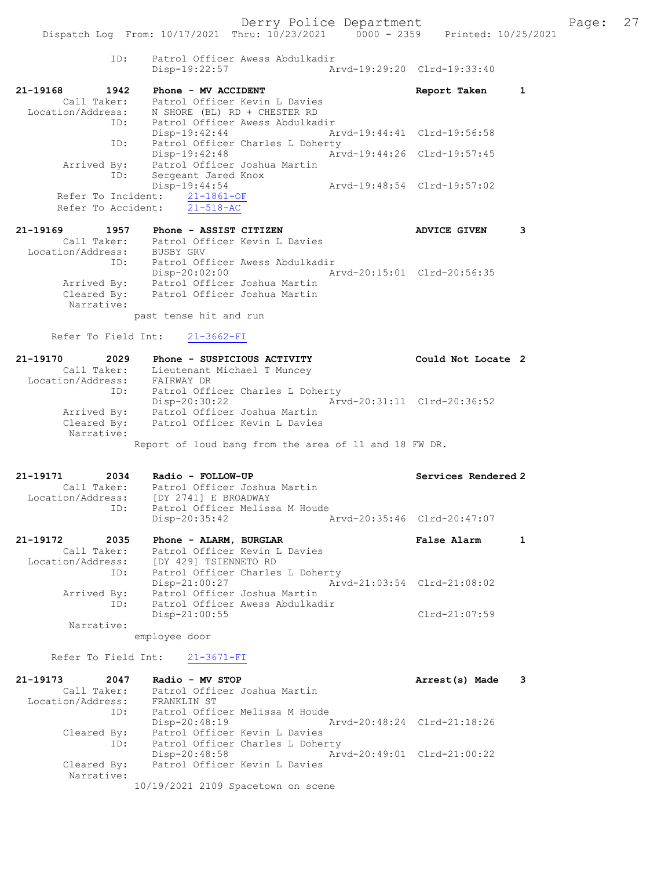ID: Patrol Officer Awess Abdulkadir Disp-19:22:57 Arvd-19:29:20 Clrd-19:33:40 21-19168 1942 Phone - MV ACCIDENT Report Taken 1 Call Taker: Patrol Officer Kevin L Davies Location/Address: N SHORE (BL) RD + CHESTER RD ID: Patrol Officer Awess Abdulkadir Disp-19:42:44 Arvd-19:44:41 Clrd-19:56:58 ID: Patrol Officer Charles L Doherty Disp-19:42:48 Arvd-19:44:26 Clrd-19:57:45 Arrived By: Patrol Officer Joshua Martin ID: Sergeant Jared Knox Disp-19:44:54 Arvd-19:48:54 Clrd-19:57:02 Refer To Incident: 21-1861-OF Refer To Accident: 21-518-AC 21-19169 1957 Phone - ASSIST CITIZEN ADVICE GIVEN 3

 Call Taker: Patrol Officer Kevin L Davies Location/Address: BUSBY GRV ID: Patrol Officer Awess Abdulkadir Disp-20:02:00 Arvd-20:15:01 Clrd-20:56:35 Arrived By: Patrol Officer Joshua Martin Cleared By: Patrol Officer Joshua Martin Narrative:

past tense hit and run

Refer To Field Int: 21-3662-FI

| 21-19170<br>2029  | Phone - SUSPICIOUS ACTIVITY                           | Could Not Locate 2          |  |
|-------------------|-------------------------------------------------------|-----------------------------|--|
| Call Taker:       | Lieutenant Michael T Muncey                           |                             |  |
| Location/Address: | FAIRWAY DR                                            |                             |  |
| ID:               | Patrol Officer Charles L Doherty                      |                             |  |
|                   | $Disp-20:30:22$                                       | Arvd-20:31:11 Clrd-20:36:52 |  |
| Arrived By:       | Patrol Officer Joshua Martin                          |                             |  |
| Cleared By:       | Patrol Officer Kevin L Davies                         |                             |  |
| Narrative:        |                                                       |                             |  |
|                   | Report of loud bang from the area of 11 and 18 FW DR. |                             |  |

| 21-19171          | 2034        | Radio - FOLLOW-UP              |                             | Services Rendered 2 |
|-------------------|-------------|--------------------------------|-----------------------------|---------------------|
|                   | Call Taker: | Patrol Officer Joshua Martin   |                             |                     |
| Location/Address: |             | IDY 27411 E BROADWAY           |                             |                     |
|                   | TD:         | Patrol Officer Melissa M Houde |                             |                     |
|                   |             | Disp-20:35:42                  | Arvd-20:35:46 Clrd-20:47:07 |                     |

| 21-19172          | 2035 | Phone - ALARM, BURGLAR           |  | <b>False Alarm</b>          |  |
|-------------------|------|----------------------------------|--|-----------------------------|--|
| Call Taker:       |      | Patrol Officer Kevin L Davies    |  |                             |  |
| Location/Address: |      | [DY 429] TSIENNETO RD            |  |                             |  |
|                   | ID:  | Patrol Officer Charles L Doherty |  |                             |  |
|                   |      | Disp-21:00:27                    |  | Arvd-21:03:54 Clrd-21:08:02 |  |
| Arrived By:       |      | Patrol Officer Joshua Martin     |  |                             |  |
|                   | ID:  | Patrol Officer Awess Abdulkadir  |  |                             |  |
|                   |      | $Disp-21:00:55$                  |  | Clrd-21:07:59               |  |
| Narrative:        |      |                                  |  |                             |  |

employee door

## Refer To Field Int: 21-3671-FI

| 21-19173<br>2047  | Radio - MV STOP                                | Arrest(s) Made |  |
|-------------------|------------------------------------------------|----------------|--|
| Call Taker:       | Patrol Officer Joshua Martin                   |                |  |
| Location/Address: | FRANKLIN ST                                    |                |  |
| ID:               | Patrol Officer Melissa M Houde                 |                |  |
|                   | Arvd-20:48:24 Clrd-21:18:26<br>$Disp-20:48:19$ |                |  |
| Cleared By:       | Patrol Officer Kevin L Davies                  |                |  |
| ID:               | Patrol Officer Charles L Doherty               |                |  |
|                   | Arvd-20:49:01 Clrd-21:00:22<br>Disp-20:48:58   |                |  |
| Cleared By:       | Patrol Officer Kevin L Davies                  |                |  |
| Narrative:        |                                                |                |  |
|                   | 10/19/2021 2109 Spacetown on scene             |                |  |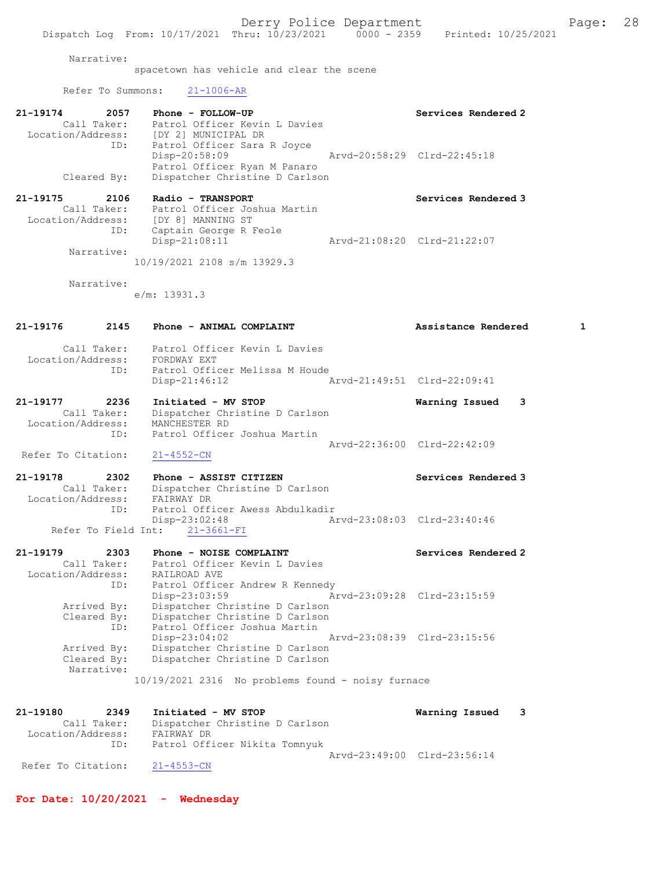### Narrative:

spacetown has vehicle and clear the scene

## Refer To Summons: 21-1006-AR

| 21-19174          | 2057        | Phone - FOLLOW-UP                                                            |                             | Services Rendered 2 |
|-------------------|-------------|------------------------------------------------------------------------------|-----------------------------|---------------------|
| Location/Address: | Call Taker: | Patrol Officer Kevin L Davies<br>[DY 2] MUNICIPAL DR                         |                             |                     |
|                   | ID:         | Patrol Officer Sara R Joyce<br>Disp-20:58:09<br>Patrol Officer Ryan M Panaro | Arvd-20:58:29 Clrd-22:45:18 |                     |
|                   | Cleared By: | Dispatcher Christine D Carlson                                               |                             |                     |

| 21-19175          | 2106        | Radio - TRANSPORT            | Services Rendered 3         |
|-------------------|-------------|------------------------------|-----------------------------|
|                   | Call Taker: | Patrol Officer Joshua Martin |                             |
| Location/Address: |             | [DY 8] MANNING ST            |                             |
|                   | ID:         | Captain George R Feole       |                             |
|                   |             | Disp-21:08:11                | Arvd-21:08:20 Clrd-21:22:07 |
|                   | Narrative:  |                              |                             |
|                   |             | 10/19/2021 2108 s/m 13929.3  |                             |

Narrative:

e/m: 13931.3

## 21-19176 2145 Phone - ANIMAL COMPLAINT Assistance Rendered 1

- Call Taker: Patrol Officer Kevin L Davies Location/Address: FORDWAY EXT ID: Patrol Officer Melissa M Houde Disp-21:46:12 Arvd-21:49:51 Clrd-22:09:41
- 21-19177 2236 Initiated MV STOP Warning Issued 3 Call Taker: Dispatcher Christine D Carlson Location/Address: MANCHESTER RD ID: Patrol Officer Joshua Martin Arvd-22:36:00 Clrd-22:42:09

Refer To Citation: 21-4552-CN

- 21-19178 2302 Phone ASSIST CITIZEN 21-19178 Services Rendered 3 Call Taker: Dispatcher Christine D Carlson Location/Address: FAIRWAY DR ID: Patrol Officer Awess Abdulkadir Disp-23:02:48 Arvd-23:08:03 Clrd-23:40:46 Refer To Field Int: 21-3661-FI
- 21-19179 2303 Phone NOISE COMPLAINT COMPRETER Services Rendered 2 Call Taker: Patrol Officer Kevin L Davies Location/Address: RAILROAD AVE ID: Patrol Officer Andrew R Kennedy Disp-23:03:59 Arvd-23:09:28 Clrd-23:15:59 Arrived By: Dispatcher Christine D Carlson Cleared By: Dispatcher Christine D Carlson ID: Patrol Officer Joshua Martin<br>Disp-23:04:02 Disp-23:04:02 Arvd-23:08:39 Clrd-23:15:56 Arrived By: Dispatcher Christine D Carlson Cleared By: Dispatcher Christine D Carlson Narrative:

10/19/2021 2316 No problems found - noisy furnace

| 21-19180           | 2349        | Initiated - MV STOP            | Warning Issued 3            |  |
|--------------------|-------------|--------------------------------|-----------------------------|--|
|                    | Call Taker: | Dispatcher Christine D Carlson |                             |  |
| Location/Address:  |             | FAIRWAY DR                     |                             |  |
|                    | ID:         | Patrol Officer Nikita Tomnyuk  |                             |  |
|                    |             |                                | Aryd-23:49:00 Clrd-23:56:14 |  |
| Refer To Citation: |             | 21-4553-CN                     |                             |  |

For Date: 10/20/2021 - Wednesday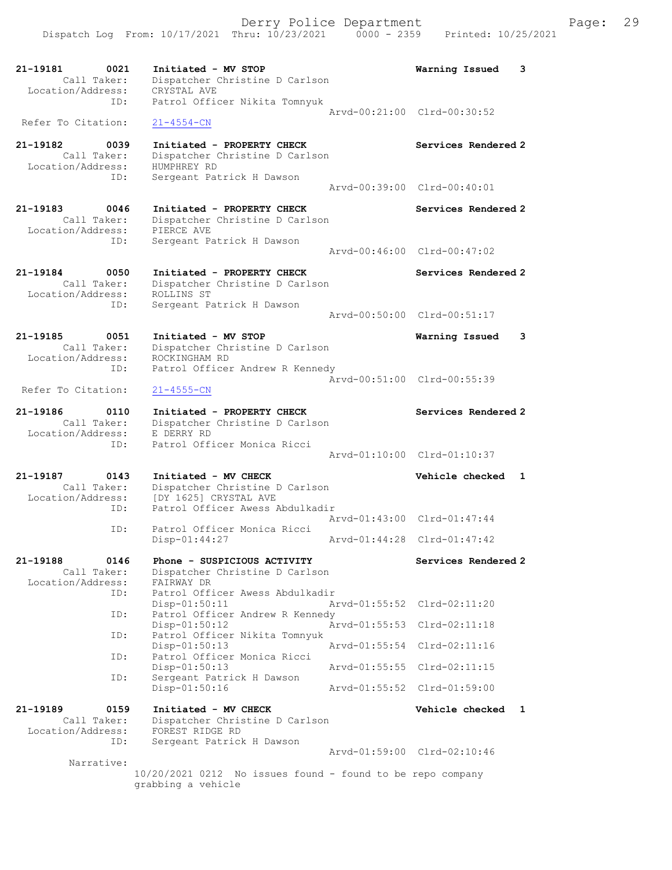21-19181 0021 Initiated - MV STOP Warning Issued 3 Call Taker: Dispatcher Christine D Carlson Location/Address: CRYSTAL AVE ID: Patrol Officer Nikita Tomnyuk Arvd-00:21:00 Clrd-00:30:52 Refer To Citation: 21-4554-CN 21-19182 0039 Initiated - PROPERTY CHECK Services Rendered 2 Call Taker: Dispatcher Christine D Carlson Location/Address: HUMPHREY RD ID: Sergeant Patrick H Dawson Arvd-00:39:00 Clrd-00:40:01 21-19183 0046 Initiated - PROPERTY CHECK Services Rendered 2 Call Taker: Dispatcher Christine D Carlson Location/Address: PIERCE AVE ID: Sergeant Patrick H Dawson Arvd-00:46:00 Clrd-00:47:02 21-19184 0050 Initiated - PROPERTY CHECK Services Rendered 2 Call Taker: Dispatcher Christine D Carlson Location/Address: ROLLINS ST ID: Sergeant Patrick H Dawson Arvd-00:50:00 Clrd-00:51:17 21-19185 0051 Initiated - MV STOP Warning Issued 3 Call Taker: Dispatcher Christine D Carlson Location/Address: ROCKINGHAM RD ID: Patrol Officer Andrew R Kennedy Arvd-00:51:00 Clrd-00:55:39 Refer To Citation: 21-4555-CN 21-19186 0110 Initiated - PROPERTY CHECK Services Rendered 2 Call Taker: Dispatcher Christine D Carlson Location/Address: E DERRY RD ess. I Bennischer Monica Ricci Arvd-01:10:00 Clrd-01:10:37 21-19187 0143 Initiated - MV CHECK Vehicle checked 1 Call Taker: Dispatcher Christine D Carlson Location/Address: [DY 1625] CRYSTAL AVE ID: Patrol Officer Awess Abdulkadir Arvd-01:43:00 Clrd-01:47:44 ID: Patrol Officer Monica Ricci<br>Disp-01:44:27 Disp-01:44:27 Arvd-01:44:28 Clrd-01:47:42 21-19188 0146 Phone - SUSPICIOUS ACTIVITY Services Rendered 2 Call Taker: Dispatcher Christine D Carlson Location/Address: FAIRWAY DR ID: Patrol Officer Awess Abdulkadir Disp-01:50:11 Arvd-01:55:52 Clrd-02:11:20<br>ID: Patrol Officer Andrew R Kennedy Patrol Officer Andrew R Kennedy<br>Disp-01:50:12 Am Disp-01:50:12 Arvd-01:55:53 Clrd-02:11:18 ID: Patrol Officer Nikita Tomnyuk<br>Disp-01:50:13 Arvd-01:55:54 Clrd-02:11:16 Disp-01:50:13 Arvd-01:55:54 Clrd-02:11:16 ID: Patrol Officer Monica Ricci Disp-01:50:13 Arvd-01:55:55 Clrd-02:11:15 ID: Sergeant Patrick H Dawson Disp-01:50:16 Arvd-01:55:52 Clrd-01:59:00 21-19189 0159 Initiated - MV CHECK Vehicle checked 1 Call Taker: Dispatcher Christine D Carlson Location/Address: FOREST RIDGE RD ID: Sergeant Patrick H Dawson Arvd-01:59:00 Clrd-02:10:46 Narrative: 10/20/2021 0212 No issues found - found to be repo company grabbing a vehicle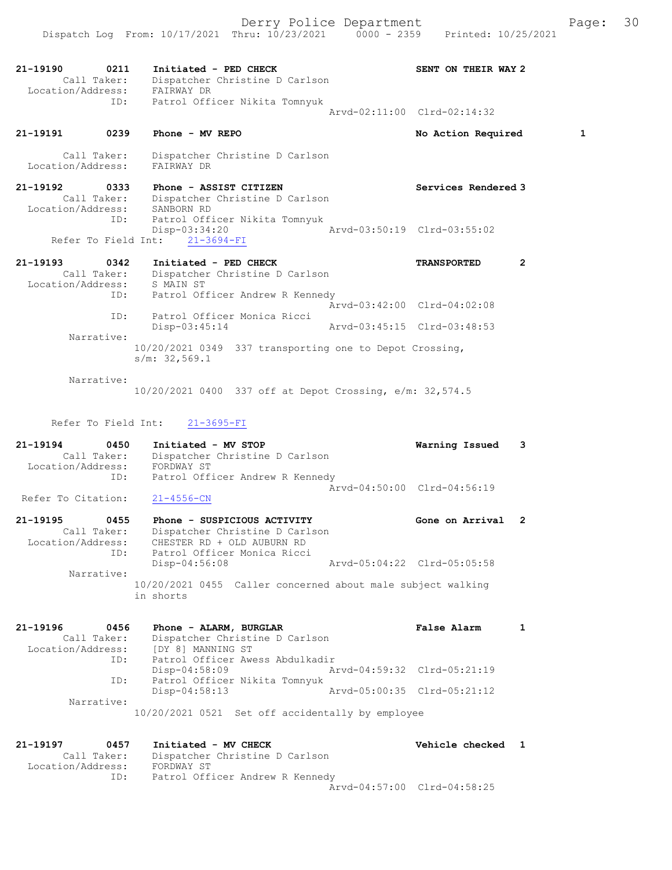21-19190 0211 Initiated - PED CHECK SENT ON THEIR WAY 2 Call Taker: Dispatcher Christine D Carlson Location/Address: FAIRWAY DR ID: Patrol Officer Nikita Tomnyuk Arvd-02:11:00 Clrd-02:14:32

21-19191 0239 Phone - MV REPO No Action Required 1

 Call Taker: Dispatcher Christine D Carlson Location/Address: FAIRWAY DR

21-19192 0333 Phone - ASSIST CITIZEN Services Rendered 3 Call Taker: Dispatcher Christine D Carlson Location/Address: SANBORN RD ID: Patrol Officer Nikita Tomnyuk Disp-03:34:20 Arvd-03:50:19 Clrd-03:55:02 Refer To Field Int: 21-3694-FI

21-19193 0342 Initiated - PED CHECK TRANSPORTED 2 Call Taker: Dispatcher Christine D Carlson Location/Address: S MAIN ST ID: Patrol Officer Andrew R Kennedy Arvd-03:42:00 Clrd-04:02:08 ID: Patrol Officer Monica Ricci Disp-03:45:14 Arvd-03:45:15 Clrd-03:48:53 Narrative: 10/20/2021 0349 337 transporting one to Depot Crossing, s/m: 32,569.1

 Narrative: 10/20/2021 0400 337 off at Depot Crossing, e/m: 32,574.5

Refer To Field Int: 21-3695-FI

21-19194 0450 Initiated - MV STOP Warning Issued 3 Call Taker: Dispatcher Christine D Carlson Location/Address: FORDWAY ST ID: Patrol Officer Andrew R Kennedy Arvd-04:50:00 Clrd-04:56:19<br>21-4556-CN

Refer To Citation:

21-19195 0455 Phone - SUSPICIOUS ACTIVITY Gone on Arrival 2 Call Taker: Dispatcher Christine D Carlson Location/Address: CHESTER RD + OLD AUBURN RD ID: Patrol Officer Monica Ricci Disp-04:56:08 Arvd-05:04:22 Clrd-05:05:58 Narrative: 10/20/2021 0455 Caller concerned about male subject walking in shorts

21-19196 0456 Phone - ALARM, BURGLAR CHARM False Alarm 1 Call Taker: Dispatcher Christine D Carlson Location/Address: [DY 8] MANNING ST ID: Patrol Officer Awess Abdulkadir Disp-04:58:09 Arvd-04:59:32 Clrd-05:21:19 ID: Patrol Officer Nikita Tomnyuk Disp-04:58:13 Arvd-05:00:35 Clrd-05:21:12 Narrative: 10/20/2021 0521 Set off accidentally by employee

21-19197 0457 Initiated - MV CHECK Vehicle checked 1 Call Taker: Dispatcher Christine D Carlson Location/Address: FORDWAY ST ID: Patrol Officer Andrew R Kennedy Arvd-04:57:00 Clrd-04:58:25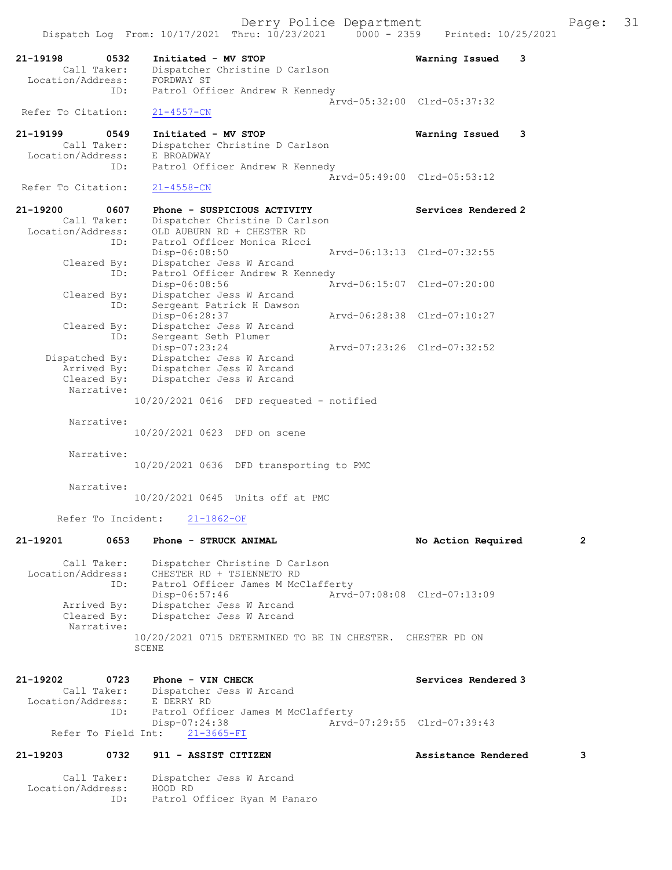Derry Police Department The Page: 31 Dispatch Log From: 10/17/2021 Thru: 10/23/2021 0000 - 2359 Printed: 10/25/2021 21-19198 0532 Initiated - MV STOP Warning Issued 3<br>Call Taker: Dispatcher Christine D Carlson Dispatcher Christine D Carlson<br>FORDWAY ST Location/Address:<br>ID: Patrol Officer Andrew R Kennedy Arvd-05:32:00 Clrd-05:37:32 Refer To Citation: 21-4557-CN 21-19199 0549 Initiated - MV STOP 19199 0549 Call Taker: Dispatcher Christine D Carlson Call Taker: Dispatcher Christine D Carlson Location/Address: E BROADWAY ID: Patrol Officer Andrew R Kennedy Arvd-05:49:00 Clrd-05:53:12<br>21-4558-CN Refer To Citation: 21-19200 0607 Phone - SUSPICIOUS ACTIVITY Services Rendered 2 Call Taker: Dispatcher Christine D Carlson Location/Address: OLD AUBURN RD + CHESTER RD ID: Patrol Officer Monica Ricci<br>Disp-06:08:50 Arvd-06:13:13 Clrd-07:32:55 Cleared By: Dispatcher Jess W Arcand ID: Patrol Officer Andrew R Kennedy<br>Disp-06:08:56 Ar Disp-06:08:56 Arvd-06:15:07 Clrd-07:20:00 Cleared By: Dispatcher Jess W Arcand ID: Sergeant Patrick H Dawson<br>Disp-06:28:37 Disp-06:28:37 Arvd-06:28:38 Clrd-07:10:27 Cleared By: Dispatcher Jess W Arcand<br>ID: Sergeant Seth Plumer Sergeant Seth Plumer<br>Disp-07:23:24 Disp-07:23:24 Arvd-07:23:26 Clrd-07:32:52 Dispatched By: Dispatcher Jess W Arcand .<br>Arrived By: Dispatcher Jess W Arcand Cleared By: Dispatcher Jess W Arcand Narrative: 10/20/2021 0616 DFD requested - notified Narrative: 10/20/2021 0623 DFD on scene Narrative: 10/20/2021 0636 DFD transporting to PMC Narrative: 10/20/2021 0645 Units off at PMC Refer To Incident: 21-1862-OF 21-19201 0653 Phone - STRUCK ANIMAL No Action Required 2 Call Taker: Dispatcher Christine D Carlson Location/Address: CHESTER RD + TSIENNETO RD ID: Patrol Officer James M McClafferty Disp-06:57:46 Arvd-07:08:08 Clrd-07:13:09 Arrived By: Dispatcher Jess W Arcand<br>Cleared By: Dispatcher Jess W Arcand Dispatcher Jess W Arcand

 Narrative: 10/20/2021 0715 DETERMINED TO BE IN CHESTER. CHESTER PD ON SCENE

| 21-19202          | 0723        | Phone - VIN CHECK                  |                             | Services Rendered 3 |
|-------------------|-------------|------------------------------------|-----------------------------|---------------------|
|                   | Call Taker: | Dispatcher Jess W Arcand           |                             |                     |
| Location/Address: |             | E DERRY RD                         |                             |                     |
|                   | ID:         | Patrol Officer James M McClafferty |                             |                     |
|                   |             | Disp-07:24:38                      | Aryd-07:29:55 Clrd-07:39:43 |                     |
|                   |             | Refer To Field Int: 21-3665-FI     |                             |                     |

## 21-19203 0732 911 - ASSIST CITIZEN Assistance Rendered 3

 Call Taker: Dispatcher Jess W Arcand Location/Address: HOOD RD ID: Patrol Officer Ryan M Panaro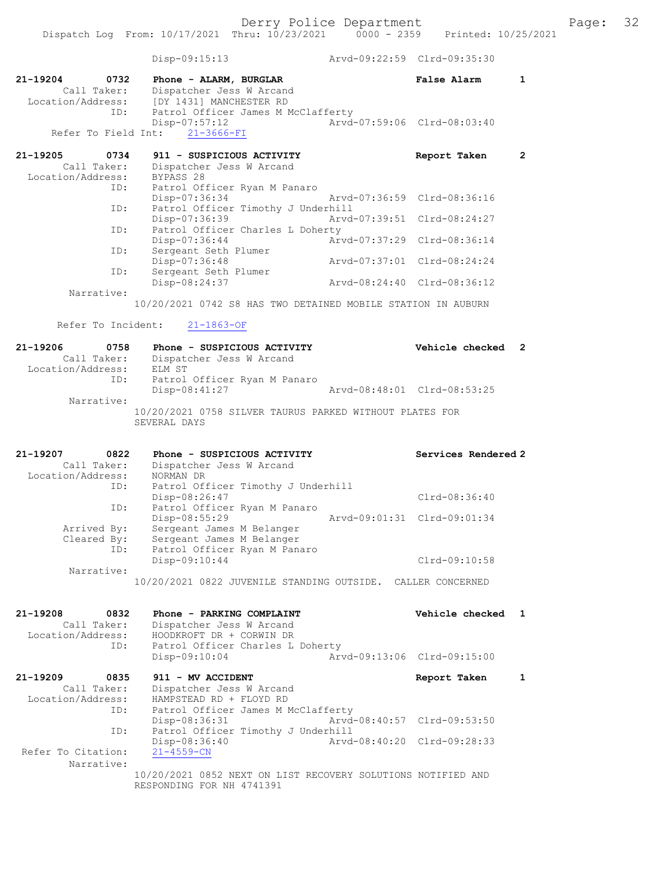|                                  | Dispatch Log From: 10/17/2021 Thru: 10/23/2021                                            | $0000 - 2359$               | Printed: 10/25/2021         |                |
|----------------------------------|-------------------------------------------------------------------------------------------|-----------------------------|-----------------------------|----------------|
|                                  | $Disp-09:15:13$                                                                           |                             | Arvd-09:22:59 Clrd-09:35:30 |                |
| 21-19204<br>0732                 | Phone - ALARM, BURGLAR                                                                    |                             | False Alarm                 | $\mathbf{1}$   |
| Call Taker:                      | Dispatcher Jess W Arcand                                                                  |                             |                             |                |
| Location/Address:                | [DY 1431] MANCHESTER RD                                                                   |                             |                             |                |
| ID:                              | Patrol Officer James M McClafferty<br>Disp-07:57:12                                       |                             | Arvd-07:59:06 Clrd-08:03:40 |                |
| Refer To Field Int:              | $21 - 3666 - FI$                                                                          |                             |                             |                |
| 21-19205<br>0734                 | 911 - SUSPICIOUS ACTIVITY                                                                 |                             | Report Taken                | $\overline{2}$ |
| Call Taker:                      | Dispatcher Jess W Arcand                                                                  |                             |                             |                |
| Location/Address:<br>ID:         | BYPASS 28<br>Patrol Officer Ryan M Panaro                                                 |                             |                             |                |
|                                  | Disp-07:36:34                                                                             |                             | Arvd-07:36:59 Clrd-08:36:16 |                |
| ID:                              | Patrol Officer Timothy J Underhill                                                        |                             |                             |                |
|                                  | Disp-07:36:39                                                                             | Arvd-07:39:51 Clrd-08:24:27 |                             |                |
| ID:                              | Patrol Officer Charles L Doherty<br>$Disp-07:36:44$                                       | Arvd-07:37:29 Clrd-08:36:14 |                             |                |
| ID:                              | Sergeant Seth Plumer                                                                      |                             |                             |                |
|                                  | Disp-07:36:48                                                                             | Arvd-07:37:01 Clrd-08:24:24 |                             |                |
| ID:                              | Sergeant Seth Plumer                                                                      |                             |                             |                |
|                                  | Disp-08:24:37                                                                             |                             | Arvd-08:24:40 Clrd-08:36:12 |                |
| Narrative:                       | 10/20/2021 0742 S8 HAS TWO DETAINED MOBILE STATION IN AUBURN                              |                             |                             |                |
| Refer To Incident:               | $21 - 1863 - OF$                                                                          |                             |                             |                |
|                                  |                                                                                           |                             |                             |                |
| 21-19206<br>0758                 | Phone - SUSPICIOUS ACTIVITY                                                               |                             | Vehicle checked             | $\overline{2}$ |
| Call Taker:<br>Location/Address: | Dispatcher Jess W Arcand<br>ELM ST                                                        |                             |                             |                |
| ID:                              | Patrol Officer Ryan M Panaro                                                              |                             |                             |                |
|                                  | Disp-08:41:27                                                                             |                             | Arvd-08:48:01 Clrd-08:53:25 |                |
| Narrative:                       | 10/20/2021 0758 SILVER TAURUS PARKED WITHOUT PLATES FOR<br>SEVERAL DAYS                   |                             |                             |                |
|                                  |                                                                                           |                             |                             |                |
| 21-19207<br>0822                 | Phone - SUSPICIOUS ACTIVITY                                                               |                             | Services Rendered 2         |                |
| Call Taker:                      | Dispatcher Jess W Arcand                                                                  |                             |                             |                |
| Location/Address:                | NORMAN DR                                                                                 |                             |                             |                |
| ID:                              | Patrol Officer Timothy J Underhill                                                        |                             |                             |                |
| ID:                              | Disp-08:26:47<br>Patrol Officer Ryan M Panaro                                             |                             | Clrd-08:36:40               |                |
|                                  | Disp-08:55:29                                                                             |                             | Arvd-09:01:31 Clrd-09:01:34 |                |
| Arrived By:                      | Sergeant James M Belanger                                                                 |                             |                             |                |
| Cleared By:                      | Sergeant James M Belanger                                                                 |                             |                             |                |
| ID:                              | Patrol Officer Ryan M Panaro<br>Disp-09:10:44                                             |                             | Clrd-09:10:58               |                |
| Narrative:                       |                                                                                           |                             |                             |                |
|                                  | 10/20/2021 0822 JUVENILE STANDING OUTSIDE. CALLER CONCERNED                               |                             |                             |                |
| $21 - 19208$<br>0832             | Phone - PARKING COMPLAINT                                                                 |                             | Vehicle checked             | 1              |
| Call Taker:                      | Dispatcher Jess W Arcand                                                                  |                             |                             |                |
| Location/Address:                | HOODKROFT DR + CORWIN DR                                                                  |                             |                             |                |
| ID:                              | Patrol Officer Charles L Doherty                                                          |                             |                             |                |
|                                  | Disp-09:10:04                                                                             |                             | Arvd-09:13:06 Clrd-09:15:00 |                |
| 21-19209<br>0835                 | 911 - MV ACCIDENT                                                                         |                             | Report Taken                | 1              |
| Call Taker:                      | Dispatcher Jess W Arcand                                                                  |                             |                             |                |
| Location/Address:                | HAMPSTEAD RD + FLOYD RD                                                                   |                             |                             |                |
| ID:                              | Patrol Officer James M McClafferty                                                        |                             |                             |                |
| ID:                              | Disp-08:36:31<br>Patrol Officer Timothy J Underhill                                       |                             | Arvd-08:40:57 Clrd-09:53:50 |                |
|                                  | $Disp-08:36:40$                                                                           |                             | Arvd-08:40:20 Clrd-09:28:33 |                |
| Refer To Citation:<br>Narrative: | $21 - 4559 - CN$                                                                          |                             |                             |                |
|                                  | 10/20/2021 0852 NEXT ON LIST RECOVERY SOLUTIONS NOTIFIED AND<br>RESPONDING FOR NH 4741391 |                             |                             |                |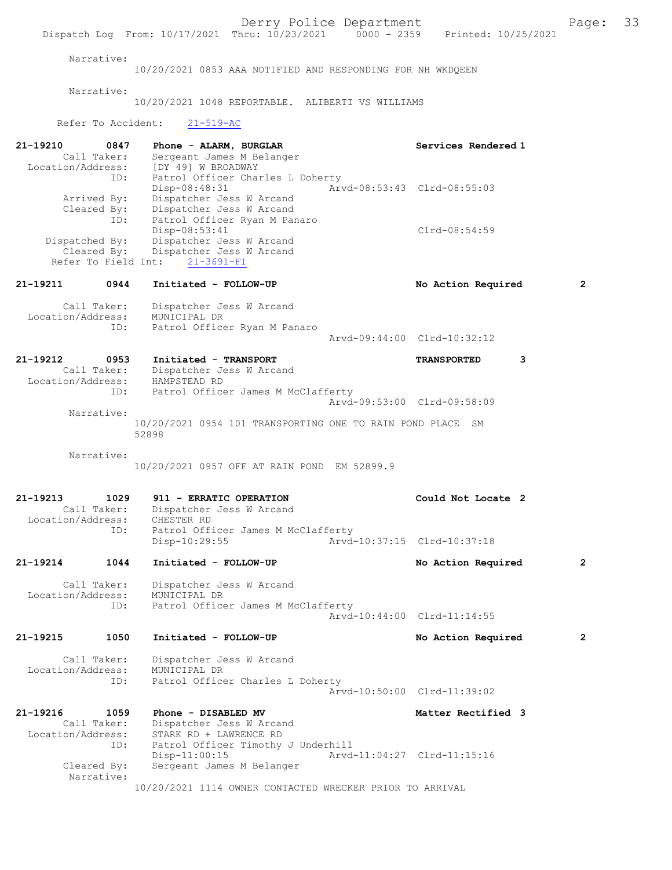Derry Police Department Fage: 33 Dispatch Log From: 10/17/2021 Thru: 10/23/2021 0000 - 2359 Printed: 10/25/2021 Narrative: 10/20/2021 0853 AAA NOTIFIED AND RESPONDING FOR NH WKDQEEN Narrative: 10/20/2021 1048 REPORTABLE. ALIBERTI VS WILLIAMS Refer To Accident: 21-519-AC 21-19210 0847 Phone - ALARM, BURGLAR Services Rendered 1 Call Taker: Sergeant James M Belanger Location/Address: [DY 49] W BROADWAY ID: Patrol Officer Charles L Doherty<br>Disp-08:48:31 Arv Disp-08:48:31 Arvd-08:53:43 Clrd-08:55:03<br>Arrived By: Dispatcher Jess W Arcand Dispatcher Jess W Arcand Cleared By: Dispatcher Jess W Arcand ID: Patrol Officer Ryan M Panaro Disp-08:53:41 Clrd-08:54:59 Dispatched By: Dispatcher Jess W Arcand Cleared By: Dispatcher Jess W Arcand Refer To Field Int: 21-3691-FI 21-19211 0944 Initiated - FOLLOW-UP No Action Required 2 Call Taker: Dispatcher Jess W Arcand Location/Address: MUNICIPAL DR ID: Patrol Officer Ryan M Panaro Arvd-09:44:00 Clrd-10:32:12 21-19212 0953 Initiated - TRANSPORT TRANSPORTED 3 Call Taker: Dispatcher Jess W Arcand CALL TAKET: DISPATCHER JE<br>Location/Address: HAMPSTEAD RD<br>TD: Patrol Office Patrol Officer James M McClafferty Arvd-09:53:00 Clrd-09:58:09 Narrative: 10/20/2021 0954 101 TRANSPORTING ONE TO RAIN POND PLACE SM 52898 Narrative: 10/20/2021 0957 OFF AT RAIN POND EM 52899.9 21-19213 1029 911 - ERRATIC OPERATION Could Not Locate 2<br>Call Taker: Dispatcher Jess W Arcand Dispatcher Jess W Arcand<br>CHESTER RD Location/Address:<br>ID: Patrol Officer James M McClafferty Disp-10:29:55 Arvd-10:37:15 Clrd-10:37:18 21-19214 1044 Initiated - FOLLOW-UP No Action Required 2 Call Taker: Dispatcher Jess W Arcand Location/Address: MUNICIPAL DR ID: Patrol Officer James M McClafferty Arvd-10:44:00 Clrd-11:14:55 21-19215 1050 Initiated - FOLLOW-UP No Action Required 2 Call Taker: Dispatcher Jess W Arcand Location/Address: MUNICIPAL DR<br>TD: Patrol Office Patrol Officer Charles L Doherty Arvd-10:50:00 Clrd-11:39:02 21-19216 1059 Phone - DISABLED MV 1021-19216 1059 Phone - DISABLED MV 1021 Matter Rectified 3 Dispatcher Jess W Arcand Location/Address: STARK RD + LAWRENCE RD ID: Patrol Officer Timothy J Underhill<br>Disp-11:00:15 Arvd Disp-11:00:15 <br>Cleared By: Sergeant James M Belanger <br>Cleared By: Sergeant James M Belanger Sergeant James M Belanger Narrative: 10/20/2021 1114 OWNER CONTACTED WRECKER PRIOR TO ARRIVAL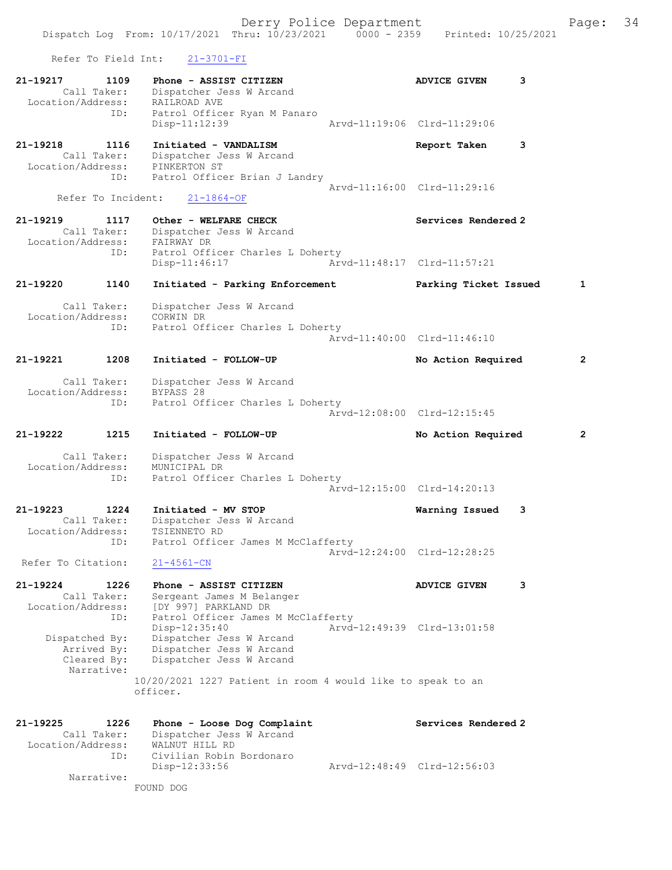Derry Police Department Fage: 34 Dispatch Log From: 10/17/2021 Thru: 10/23/2021 0000 - 2359 Printed: 10/25/2021 Refer To Field Int: 21-3701-FI 21-19217 1109 Phone - ASSIST CITIZEN 1997 ADVICE GIVEN 3 Call Taker: Dispatcher Jess W Arcand Location/Address: RAILROAD AVE ID: Patrol Officer Ryan M Panaro<br>Disp-11:12:39 Arvd-11:19:06 Clrd-11:29:06 Disp-11:12:39 21-19218 1116 Initiated - VANDALISM Report Taken 3 Call Taker: Dispatcher Jess W Arcand Location/Address: PINKERTON ST ID: Patrol Officer Brian J Landry Arvd-11:16:00 Clrd-11:29:16 Refer To Incident: 21-1864-OF 21-19219 1117 Other - WELFARE CHECK Services Rendered 2 Call Taker: Dispatcher Jess W Arcand Location/Address: FAIRWAY DR ID: Patrol Officer Charles L Doherty<br>Disp-11:46:17 Arv Disp-11:46:17 Arvd-11:48:17 Clrd-11:57:21 21-19220 1140 Initiated - Parking Enforcement Parking Ticket Issued 1 Call Taker: Dispatcher Jess W Arcand

 Location/Address: CORWIN DR ID: Patrol Officer Charles L Doherty Arvd-11:40:00 Clrd-11:46:10

 Call Taker: Dispatcher Jess W Arcand Location/Address: BYPASS 28 ID: Patrol Officer Charles L Doherty Arvd-12:08:00 Clrd-12:15:45

21-19221 1208 Initiated - FOLLOW-UP No Action Required 2

21-19222 1215 Initiated - FOLLOW-UP No Action Required 2

 Call Taker: Dispatcher Jess W Arcand Location/Address: MUNICIPAL DR ID: Patrol Officer Charles L Doherty Arvd-12:15:00 Clrd-14:20:13

21-19223 1224 Initiated - MV STOP Warning Issued 3 Call Taker: Dispatcher Jess W Arcand Location/Address: TSIENNETO RD ID: Patrol Officer James M McClafferty Arvd-12:24:00 Clrd-12:28:25 Refer To Citation: 21-4561-CN

21-19224 1226 Phone - ASSIST CITIZEN ADVICE GIVEN 3 Call Taker: Sergeant James M Belanger Location/Address: [DY 997] PARKLAND DR ID: Patrol Officer James M McClafferty Disp-12:35:40 Arvd-12:49:39 Clrd-13:01:58 Dispatched By: Dispatcher Jess W Arcand Arrived By: Dispatcher Jess W Arcand Cleared By: Dispatcher Jess W Arcand Narrative: 10/20/2021 1227 Patient in room 4 would like to speak to an officer.

21-19225 1226 Phone - Loose Dog Complaint Services Rendered 2 Call Taker: Dispatcher Jess W Arcand Location/Address: WALNUT HILL RD ID: Civilian Robin Bordonaro Disp-12:33:56 Arvd-12:48:49 Clrd-12:56:03 Narrative:

FOUND DOG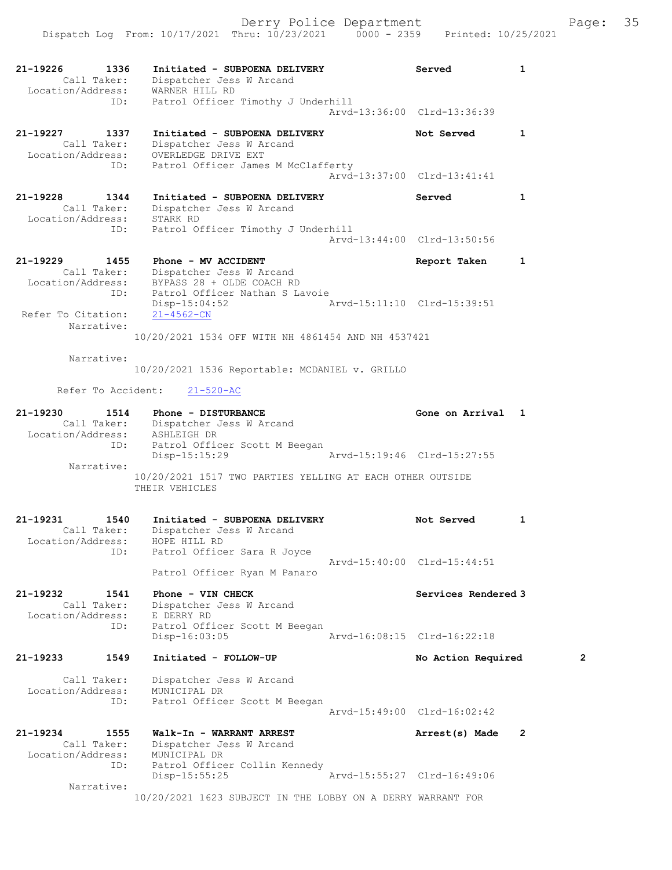| 21-19226<br>1336<br>Call Taker:<br>Location/Address:          | Initiated - SUBPOENA DELIVERY<br>Dispatcher Jess W Arcand<br>WARNER HILL RD      | Served                      | $\mathbf{1}$   |
|---------------------------------------------------------------|----------------------------------------------------------------------------------|-----------------------------|----------------|
| ID:                                                           | Patrol Officer Timothy J Underhill                                               | Arvd-13:36:00 Clrd-13:36:39 |                |
| 21-19227<br>1337<br>Call Taker:<br>Location/Address:          | Initiated - SUBPOENA DELIVERY<br>Dispatcher Jess W Arcand<br>OVERLEDGE DRIVE EXT | Not Served                  | $\mathbf{1}$   |
| ID:                                                           | Patrol Officer James M McClafferty                                               | Arvd-13:37:00 Clrd-13:41:41 |                |
| 21-19228<br>1344<br>Call Taker:<br>Location/Address: STARK RD | Initiated - SUBPOENA DELIVERY<br>Dispatcher Jess W Arcand                        | Served                      | 1              |
| ID:                                                           | Patrol Officer Timothy J Underhill                                               | Arvd-13:44:00 Clrd-13:50:56 |                |
| 21-19229<br>1455<br>Call Taker:<br>Location/Address:          | Phone - MV ACCIDENT<br>Dispatcher Jess W Arcand<br>BYPASS 28 + OLDE COACH RD     | Report Taken                | $\mathbf{1}$   |
| ID:<br>Refer To Citation:                                     | Patrol Officer Nathan S Lavoie<br>Disp-15:04:52<br>$21 - 4562 - CN$              | Arvd-15:11:10 Clrd-15:39:51 |                |
| Narrative:                                                    | 10/20/2021 1534 OFF WITH NH 4861454 AND NH 4537421                               |                             |                |
| Narrative:                                                    | 10/20/2021 1536 Reportable: MCDANIEL v. GRILLO                                   |                             |                |
| Refer To Accident:                                            | $21 - 520 - AC$                                                                  |                             |                |
| 21-19230<br>1514<br>Location/Address:                         | Phone - DISTURBANCE<br>Call Taker: Dispatcher Jess W Arcand<br>ASHLEIGH DR       | Gone on Arrival 1           |                |
| ID:                                                           | Patrol Officer Scott M Beegan<br>Disp-15:15:29                                   | Arvd-15:19:46 Clrd-15:27:55 |                |
| Narrative:                                                    | 10/20/2021 1517 TWO PARTIES YELLING AT EACH OTHER OUTSIDE<br>THEIR VEHICLES      |                             |                |
| 21-19231<br>1540<br>Call Taker:<br>Location/Address:          | Initiated - SUBPOENA DELIVERY<br>Dispatcher Jess W Arcand<br>HOPE HILL RD        | Not Served                  | 1              |
| ID:                                                           | Patrol Officer Sara R Joyce<br>Patrol Officer Ryan M Panaro                      | Arvd-15:40:00 Clrd-15:44:51 |                |
| 21-19232<br>1541<br>Call Taker:<br>Location/Address:          | Phone - VIN CHECK<br>Dispatcher Jess W Arcand<br>E DERRY RD                      | Services Rendered 3         |                |
| ID:                                                           | Patrol Officer Scott M Beegan<br>$Disp-16:03:05$                                 | Arvd-16:08:15 Clrd-16:22:18 |                |
| 21-19233<br>1549                                              | Initiated - FOLLOW-UP                                                            | No Action Required          | 2              |
| Call Taker:<br>Location/Address:<br>ID:                       | Dispatcher Jess W Arcand<br>MUNICIPAL DR<br>Patrol Officer Scott M Beegan        | Arvd-15:49:00 Clrd-16:02:42 |                |
| 21-19234<br>1555<br>Call Taker:                               | Walk-In - WARRANT ARREST<br>Dispatcher Jess W Arcand                             | Arrest(s) Made              | $\overline{2}$ |
| Location/Address:<br>ID:                                      | MUNICIPAL DR<br>Patrol Officer Collin Kennedy<br>$Disp-15:55:25$                 | Arvd-15:55:27 Clrd-16:49:06 |                |
| Narrative:                                                    | 10/20/2021 1623 SUBJECT IN THE LOBBY ON A DERRY WARRANT FOR                      |                             |                |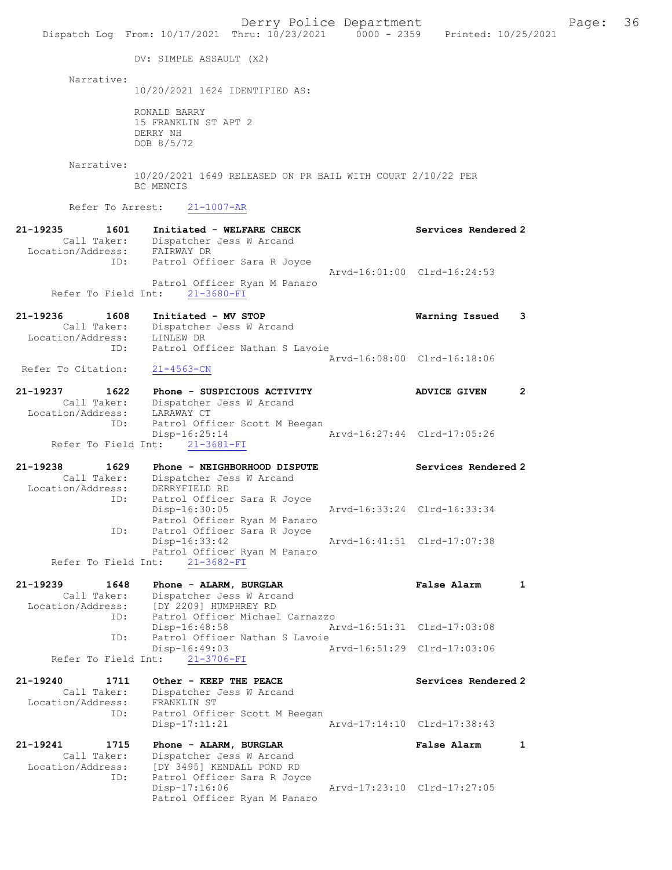Derry Police Department Fage: 36 Dispatch Log From: 10/17/2021 Thru: 10/23/2021 0000 - 2359 Printed: 10/25/2021 DV: SIMPLE ASSAULT (X2) Narrative: 10/20/2021 1624 IDENTIFIED AS: RONALD BARRY 15 FRANKLIN ST APT 2 DERRY NH DOB 8/5/72 Narrative: 10/20/2021 1649 RELEASED ON PR BAIL WITH COURT 2/10/22 PER BC MENCIS Refer To Arrest: 21-1007-AR 21-19235 1601 Initiated - WELFARE CHECK Services Rendered 2 Call Taker: Dispatcher Jess W Arcand Location/Address: FAIRWAY DR ID: Patrol Officer Sara R Joyce Arvd-16:01:00 Clrd-16:24:53 Patrol Officer Ryan M Panaro Refer To Field Int: 21-3680-FI 21-19236 1608 Initiated - MV STOP Warning Issued 3 Call Taker: Dispatcher Jess W Arcand Location/Address: LINLEW DR ID: Patrol Officer Nathan S Lavoie Arvd-16:08:00 Clrd-16:18:06<br>21-4563-CN Refer To Citation: 21-19237 1622 Phone - SUSPICIOUS ACTIVITY ADVICE GIVEN 2 Call Taker: Dispatcher Jess W Arcand Location/Address: LARAWAY CT ID: Patrol Officer Scott M Beegan<br>Disp-16:25:14 Disp-16:25:14 Arvd-16:27:44 Clrd-17:05:26 Refer To Field Int: 21-3681-FI 21-19238 1629 Phone - NEIGHBORHOOD DISPUTE Services Rendered 2 Call Taker: Dispatcher Jess W Arcand Location/Address: DERRYFIELD RD ID: Patrol Officer Sara R Joyce Disp-16:30:05 Arvd-16:33:24 Clrd-16:33:34 Patrol Officer Ryan M Panaro<br>ID: Patrol Officer Sara R Jovce Patrol Officer Sara R Joyce<br>Disp-16:33:42 Arvd-16:41:51 Clrd-17:07:38 Patrol Officer Ryan M Panaro Refer To Field Int: 21-3682-FI 21-19239 1648 Phone - ALARM, BURGLAR False Alarm 1 Call Taker: Dispatcher Jess W Arcand Location/Address: [DY 2209] HUMPHREY RD ID: Patrol Officer Michael Carnazzo Disp-16:48:58 Arvd-16:51:31 Clrd-17:03:08<br>ID: Patrol Officer Nathan S Lavoie ID: Patrol Officer Nathan S Lavoie Disp-16:49:03 Refer To Field Int: 21-3706-FI 21-19240 1711 Other - KEEP THE PEACE Services Rendered 2 Call Taker: Dispatcher Jess W Arcand Location/Address: FRANKLIN ST ID: Patrol Officer Scott M Beegan Disp-17:11:21 Arvd-17:14:10 Clrd-17:38:43 21-19241 1715 Phone - ALARM, BURGLAR False Alarm 1 Call Taker: Dispatcher Jess W Arcand Location/Address: [DY 3495] KENDALL POND RD ID: Patrol Officer Sara R Joyce<br>Disp-17:16:06 Arvd-17:23:10 Clrd-17:27:05 Patrol Officer Ryan M Panaro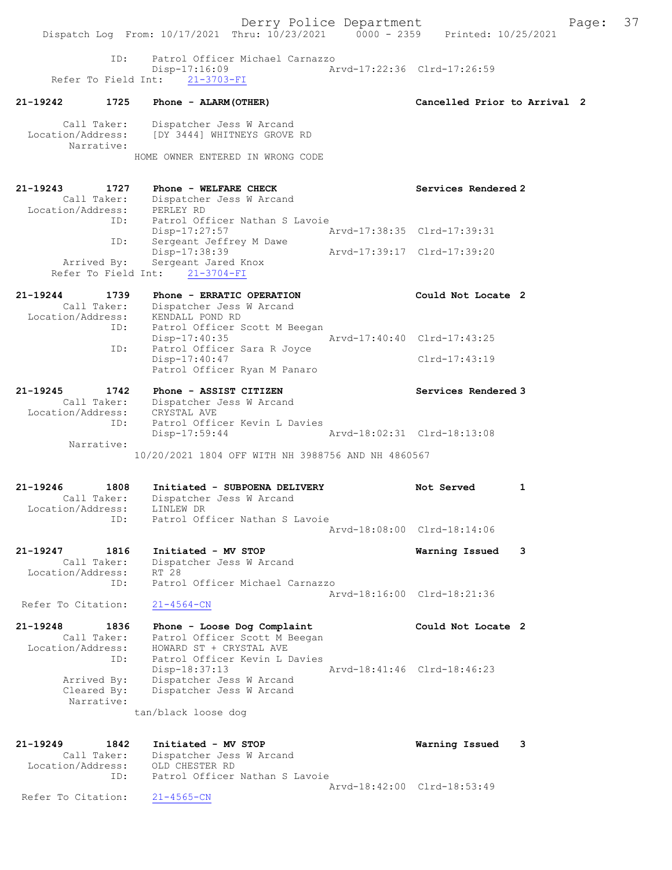Derry Police Department Fage: 37 Dispatch Log From: 10/17/2021 Thru: 10/23/2021 0000 - 2359 Printed: 10/25/2021 ID: Patrol Officer Michael Carnazzo Disp-17:16:09 Arvd-17:22:36 Clrd-17:26:59 Refer To Field Int: 21-3703-FI 21-19242 1725 Phone - ALARM(OTHER) Cancelled Prior to Arrival 2 Call Taker: Dispatcher Jess W Arcand Location/Address: [DY 3444] WHITNEYS GROVE RD Narrative: HOME OWNER ENTERED IN WRONG CODE 21-19243 1727 Phone - WELFARE CHECK Services Rendered 2 Call Taker: Dispatcher Jess W Arcand Location/Address: PERLEY RD ID: Patrol Officer Nathan S Lavoie Disp-17:27:57 Arvd-17:38:35 Clrd-17:39:31 ID: Sergeant Jeffrey M Dawe Disp-17:38:39 Arvd-17:39:17 Clrd-17:39:20 Arrived By: Sergeant Jared Knox Refer To Field Int: 21-3704-FI 21-19244 1739 Phone - ERRATIC OPERATION Could Not Locate 2 Call Taker: Dispatcher Jess W Arcand Location/Address: KENDALL POND RD ID: Patrol Officer Scott M Beegan Disp-17:40:35 Arvd-17:40:40 Clrd-17:43:25 ID: Patrol Officer Sara R Joyce Disp-17:40:47 Clrd-17:43:19 Patrol Officer Ryan M Panaro 21-19245 1742 Phone - ASSIST CITIZEN Services Rendered 3 Call Taker: Dispatcher Jess W Arcand Location/Address: CRYSTAL AVE ID: Patrol Officer Kevin L Davies Disp-17:59:44 Arvd-18:02:31 Clrd-18:13:08 Narrative: 10/20/2021 1804 OFF WITH NH 3988756 AND NH 4860567 21-19246 1808 Initiated - SUBPOENA DELIVERY Not Served 1 Call Taker: Dispatcher Jess W Arcand Location/Address: LINLEW DR ID: Patrol Officer Nathan S Lavoie Arvd-18:08:00 Clrd-18:14:06 21-19247 1816 Initiated - MV STOP Warning Issued 3 Call Taker: Dispatcher Jess W Arcand Location/Address: RT 28 ID: Patrol Officer Michael Carnazzo Arvd-18:16:00 Clrd-18:21:36<br>
21-4564-CN Refer To Citation: 21-19248 1836 Phone - Loose Dog Complaint Could Not Locate 2 Call Taker: Patrol Officer Scott M Beegan Location/Address: HOWARD ST + CRYSTAL AVE ID: Patrol Officer Kevin L Davies Disp-18:37:13 Arvd-18:41:46 Clrd-18:46:23 Arrived By: Dispatcher Jess W Arcand Cleared By: Dispatcher Jess W Arcand Narrative: tan/black loose dog 21-19249 1842 Initiated - MV STOP Warning Issued 3 Call Taker: Dispatcher Jess W Arcand Location/Address: OLD CHESTER RD ID: Patrol Officer Nathan S Lavoie Arvd-18:42:00 Clrd-18:53:49 Refer To Citation: 21-4565-CN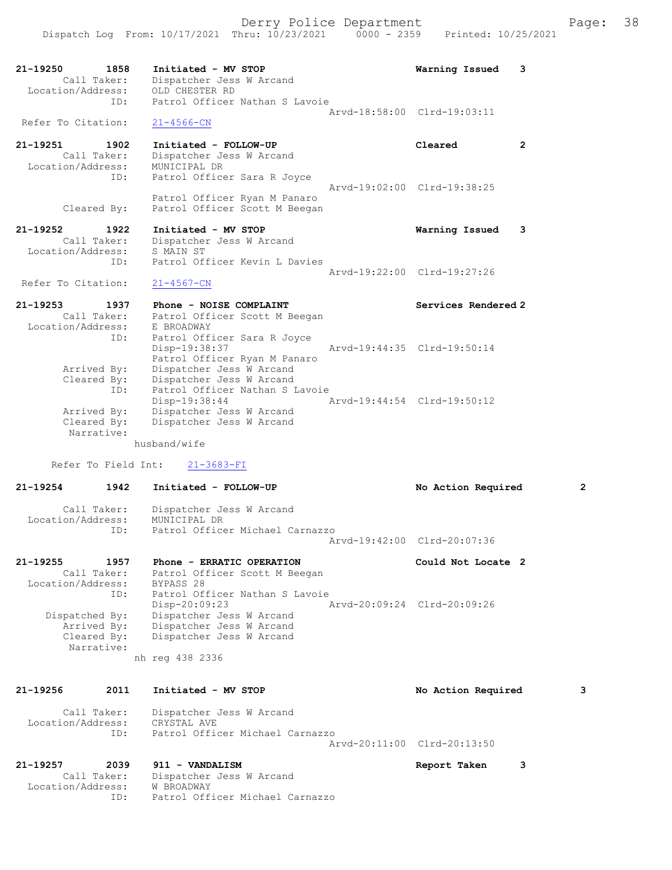| $21 - 19250$<br>1858<br>Call Taker:<br>Location/Address:<br>ID: | Initiated - MV STOP<br>Dispatcher Jess W Arcand<br>OLD CHESTER RD<br>Patrol Officer Nathan S Lavoie | Warning Issued              | 3 |
|-----------------------------------------------------------------|-----------------------------------------------------------------------------------------------------|-----------------------------|---|
|                                                                 |                                                                                                     | Arvd-18:58:00 Clrd-19:03:11 |   |
| Refer To Citation:                                              | $21 - 4566 - CN$                                                                                    |                             |   |
| 21-19251<br>1902<br>Call Taker:<br>Location/Address:<br>ID:     | Initiated - FOLLOW-UP<br>Dispatcher Jess W Arcand<br>MUNICIPAL DR<br>Patrol Officer Sara R Joyce    | Cleared                     | 2 |
|                                                                 | Patrol Officer Ryan M Panaro                                                                        | Arvd-19:02:00 Clrd-19:38:25 |   |
| Cleared By:                                                     | Patrol Officer Scott M Beegan                                                                       |                             |   |

21-19252 1922 Initiated - MV STOP Warning Issued 3 Call Taker: Dispatcher Jess W Arcand Location/Address: S MAIN ST ID: Patrol Officer Kevin L Davies Arvd-19:22:00 Clrd-19:27:26 Refer To Citation: 21-4567-CN

| 21-19253<br>Call Taker:   | 1937 | Phone - NOISE COMPLAINT<br>Patrol Officer Scott M Beegan                     | Services Rendered 2         |
|---------------------------|------|------------------------------------------------------------------------------|-----------------------------|
| Location/Address:         |      | E BROADWAY                                                                   |                             |
|                           | ID:  | Patrol Officer Sara R Joyce<br>Disp-19:38:37<br>Patrol Officer Ryan M Panaro | Arvd-19:44:35 Clrd-19:50:14 |
| Arrived By:               |      | Dispatcher Jess W Arcand                                                     |                             |
| Cleared By:               | ID:  | Dispatcher Jess W Arcand<br>Patrol Officer Nathan S Lavoie                   |                             |
|                           |      | Disp-19:38:44                                                                | Arvd-19:44:54 Clrd-19:50:12 |
| Arrived By:               |      | Dispatcher Jess W Arcand                                                     |                             |
| Cleared By:<br>Narrative: |      | Dispatcher Jess W Arcand                                                     |                             |

husband/wife

Refer To Field Int: 21-3683-FI

21-19254 1942 Initiated - FOLLOW-UP No Action Required 2 Call Taker: Dispatcher Jess W Arcand Location/Address: MUNICIPAL DR<br>The Patrol Officer Patrol Officer Michael Carnazzo Arvd-19:42:00 Clrd-20:07:36

21-19255 1957 Phone - ERRATIC OPERATION Could Not Locate 2 Call Taker: Patrol Officer Scott M Beegan Location/Address: BYPASS 28 ID: Patrol Officer Nathan S Lavoie<br>Disp-20:09:23 F Disp-20:09:23 Arvd-20:09:24 Clrd-20:09:26 Dispatched By: Dispatcher Jess W Arcand Arrived By: Dispatcher Jess W Arcand Cleared By: Dispatcher Jess W Arcand Narrative:

nh reg 438 2336

21-19256 2011 Initiated - MV STOP No Action Required 3 Call Taker: Dispatcher Jess W Arcand Location/Address: CRYSTAL AVE<br>ID: Patrol Offic Patrol Officer Michael Carnazzo Arvd-20:11:00 Clrd-20:13:50

21-19257 2039 911 - VANDALISM Report Taken 3<br>Call Taker: Dispatcher Jess W Arcand Call Taker: Dispatcher Jess W Arcand Location/Address: W BROADWAY ID: Patrol Officer Michael Carnazzo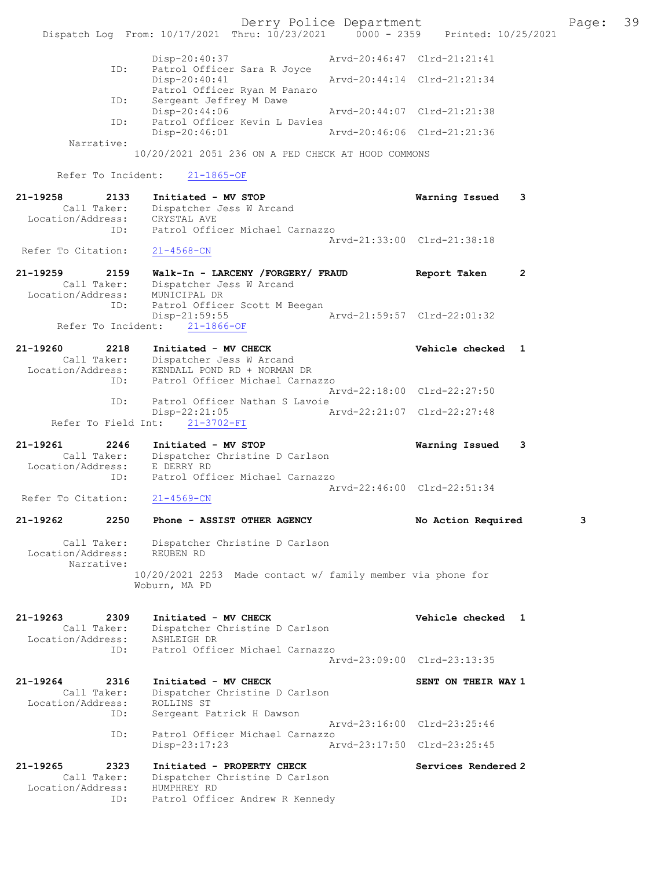Derry Police Department The Page: 39 Dispatch Log From:  $10/17/2021$  Thru:  $10/23/2021$  0000 - 2359 Printed:  $10/25/2021$  Disp-20:40:37 Arvd-20:46:47 Clrd-21:21:41 ID: Patrol Officer Sara R Joyce Disp-20:40:41 Arvd-20:44:14 Clrd-21:21:34 Patrol Officer Ryan M Panaro<br>TD: Sergeant Jeffrey M Dawe Sergeant Jeffrey M Dawe<br>Disp-20:44:06 Disp-20:44:06 Arvd-20:44:07 Clrd-21:21:38 ID: Patrol Officer Kevin L Davies Arvd-20:46:06 Clrd-21:21:36 Narrative: 10/20/2021 2051 236 ON A PED CHECK AT HOOD COMMONS Refer To Incident: 21-1865-OF 21-19258 2133 Initiated - MV STOP Warning Issued 3 Call Taker: Dispatcher Jess W Arcand Location/Address: CRYSTAL AVE ID: Patrol Officer Michael Carnazzo Arvd-21:33:00 Clrd-21:38:18 Refer To Citation: 21-4568-CN 21-19259 2159 Walk-In - LARCENY /FORGERY/ FRAUD Report Taken 2 Call Taker: Dispatcher Jess W Arcand Location/Address: MUNICIPAL DR ID: Patrol Officer Scott M Beegan<br>Disp-21:59:55 Disp-21:59:55 Arvd-21:59:57 Clrd-22:01:32 Refer To Incident: 21-1866-OF 21-19260 2218 Initiated - MV CHECK Vehicle checked 1 Call Taker: Dispatcher Jess W Arcand Location/Address: KENDALL POND RD + NORMAN DR ID: Patrol Officer Michael Carnazzo Arvd-22:18:00 Clrd-22:27:50 ID: Patrol Officer Nathan S Lavoie<br>Disp-22:21:05 Disp-22:21:05 Arvd-22:21:07 Clrd-22:27:48 Refer To Field Int: 21-3702-FI 21-19261 2246 Initiated - MV STOP Warning Issued 3 Call Taker: Dispatcher Christine D Carlson Location/Address: E DERRY RD ID: Patrol Officer Michael Carnazzo Arvd-22:46:00 Clrd-22:51:34<br>21-4569-CN Refer To Citation: 21-19262 2250 Phone - ASSIST OTHER AGENCY No Action Required 3 Call Taker: Dispatcher Christine D Carlson Location/Address: REUBEN RD Narrative: 10/20/2021 2253 Made contact w/ family member via phone for Woburn, MA PD 21-19263 2309 Initiated - MV CHECK Vehicle checked 1 Call Taker: Dispatcher Christine D Carlson Location/Address: ASHLEIGH DR ID: Patrol Officer Michael Carnazzo Arvd-23:09:00 Clrd-23:13:35 21-19264 2316 Initiated - MV CHECK SENT ON THEIR WAY 1 Call Taker: Dispatcher Christine D Carlson Location/Address: ROLLINS ST<br>TD: Sergeant Pa Sergeant Patrick H Dawson Arvd-23:16:00 Clrd-23:25:46 ID: Patrol Officer Michael Carnazzo Disp-23:17:23 Arvd-23:17:50 Clrd-23:25:45 21-19265 2323 Initiated - PROPERTY CHECK Services Rendered 2<br>Call Taker: Dispatcher Christine D Carlson Call Taker: Dispatcher Christine D Carlson Location/Address: HUMPHREY RD ID: Patrol Officer Andrew R Kennedy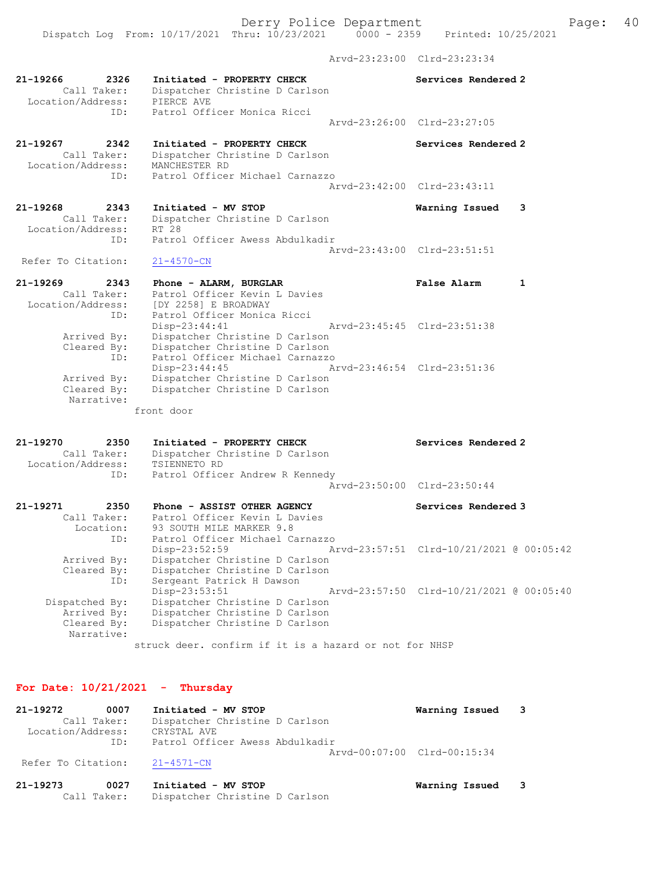Dispatch Log From: 10/17/2021 Thru: 10/23/2021 0000 - 2359 Printed: 10/25/2021

Arvd-23:23:00 Clrd-23:23:34

| 2326<br>21-19266<br>Call Taker:<br>Location/Address:<br>ID: | Initiated - PROPERTY CHECK<br>Dispatcher Christine D Carlson<br>PIERCE AVE<br>Patrol Officer Monica Ricci                   | Services Rendered 2                      |
|-------------------------------------------------------------|-----------------------------------------------------------------------------------------------------------------------------|------------------------------------------|
|                                                             |                                                                                                                             | Arvd-23:26:00 Clrd-23:27:05              |
| 21-19267<br>2342<br>Call Taker:<br>Location/Address:<br>ID: | Initiated - PROPERTY CHECK<br>Dispatcher Christine D Carlson<br>MANCHESTER RD<br>Patrol Officer Michael Carnazzo            | Services Rendered 2                      |
|                                                             |                                                                                                                             | Arvd-23:42:00 Clrd-23:43:11              |
| 21-19268<br>2343<br>Call Taker:<br>Location/Address:<br>ID: | Initiated - MV STOP<br>Dispatcher Christine D Carlson<br>RT 28<br>Patrol Officer Awess Abdulkadir                           | Warning Issued<br>3                      |
| Refer To Citation:                                          | 21-4570-CN                                                                                                                  | Arvd-23:43:00 Clrd-23:51:51              |
| 21-19269<br>2343                                            | Phone - ALARM, BURGLAR                                                                                                      | <b>False Alarm</b><br>$\mathbf{1}$       |
| Call Taker:<br>Location/Address:<br>ID:                     | Patrol Officer Kevin L Davies<br>[DY 2258] E BROADWAY<br>Patrol Officer Monica Ricci                                        |                                          |
| Arrived By:<br>Cleared By:                                  | $Disp-23:44:41$<br>Dispatcher Christine D Carlson<br>Dispatcher Christine D Carlson                                         | Arvd-23:45:45 Clrd-23:51:38              |
| ID:<br>Arrived By:<br>Cleared By:<br>Narrative:             | Patrol Officer Michael Carnazzo<br>Disp-23:44:45<br>Dispatcher Christine D Carlson<br>Dispatcher Christine D Carlson        | Arvd-23:46:54 Clrd-23:51:36              |
|                                                             | front door                                                                                                                  |                                          |
| 21-19270<br>2350<br>Call Taker:<br>Location/Address:<br>ID: | Initiated - PROPERTY CHECK<br>Dispatcher Christine D Carlson<br>TSIENNETO RD<br>Patrol Officer Andrew R Kennedy             | Services Rendered 2                      |
|                                                             |                                                                                                                             | Arvd-23:50:00 Clrd-23:50:44              |
| 21-19271<br>2350<br>Call Taker:<br>Location:<br>ID:         | Phone - ASSIST OTHER AGENCY<br>Patrol Officer Kevin L Davies<br>93 SOUTH MILE MARKER 9.8<br>Patrol Officer Michael Carnazzo | Services Rendered 3                      |
| Arrived By:<br>Cleared By:<br>ID:                           | Disp-23:52:59<br>Dispatcher Christine D Carlson<br>Dispatcher Christine D Carlson<br>Sergeant Patrick H Dawson              | Arvd-23:57:51 Clrd-10/21/2021 @ 00:05:42 |
| Dispatched By:<br>Arrived By:<br>Cleared By:<br>Narrative:  | Disp-23:53:51<br>Dispatcher Christine D Carlson<br>Dispatcher Christine D Carlson<br>Dispatcher Christine D Carlson         | Arvd-23:57:50 Clrd-10/21/2021 @ 00:05:40 |
|                                                             | struck deer. confirm if it is a hazard or not for NHSP                                                                      |                                          |

# For Date: 10/21/2021 - Thursday

Call Taker: Dispatcher Christine D Carlson

| 21-19272           | 0007        | Initiated - MV STOP             | Warning Issued 3            |  |
|--------------------|-------------|---------------------------------|-----------------------------|--|
|                    | Call Taker: | Dispatcher Christine D Carlson  |                             |  |
| Location/Address:  |             | CRYSTAL AVE                     |                             |  |
|                    | ID:         | Patrol Officer Awess Abdulkadir |                             |  |
|                    |             |                                 | Aryd-00:07:00 Clrd-00:15:34 |  |
| Refer To Citation: |             | 21-4571-CN                      |                             |  |
| 21-19273           | 0027        | Initiated - MV STOP             | Warning Issued              |  |
|                    |             |                                 |                             |  |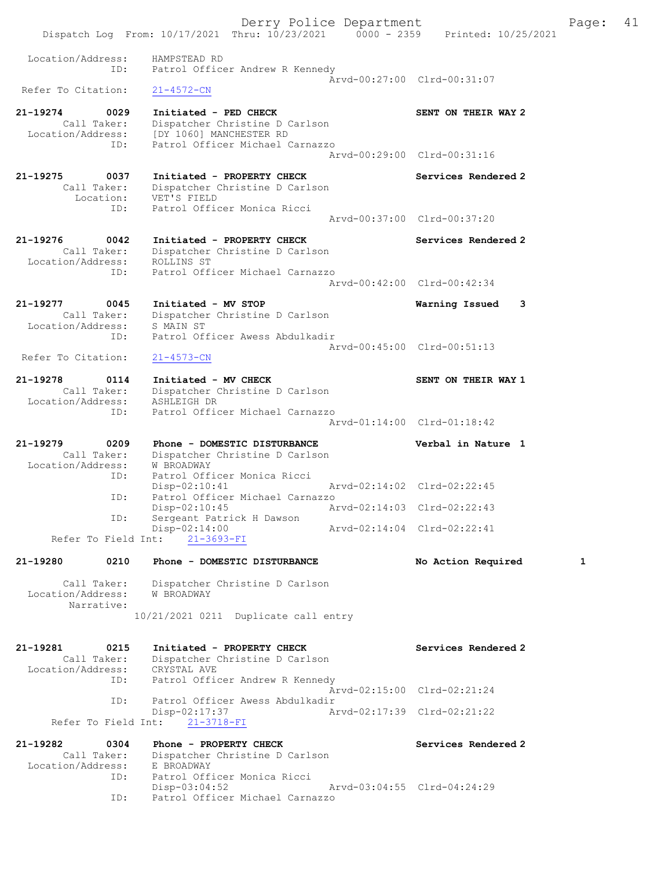Derry Police Department Fage: 41 Dispatch Log From: 10/17/2021 Thru: 10/23/2021 0000 - 2359 Printed: 10/25/2021 Location/Address: HAMPSTEAD RD<br>Ratrol Office ID: Patrol Officer Andrew R Kennedy  $\bar{A}rvd-00:27:00$  Clrd-00:31:07<br>21-4572-CN Refer To Citation: 21-19274 0029 Initiated - PED CHECK SENT ON THEIR WAY 2 Call Taker: Dispatcher Christine D Carlson Location/Address: [DY 1060] MANCHESTER RD ID: Patrol Officer Michael Carnazzo Arvd-00:29:00 Clrd-00:31:16 21-19275 0037 Initiated - PROPERTY CHECK Services Rendered 2 Call Taker: Dispatcher Christine D Carlson Location: VET'S FIELD ID: Patrol Officer Monica Ricci Arvd-00:37:00 Clrd-00:37:20 21-19276 0042 Initiated - PROPERTY CHECK Services Rendered 2 Call Taker: Dispatcher Christine D Carlson Location/Address: ROLLINS ST ID: Patrol Officer Michael Carnazzo Arvd-00:42:00 Clrd-00:42:34 21-19277 0045 Initiated - MV STOP Warning Issued 3 Call Taker: Dispatcher Christine D Carlson Location/Address: S MAIN ST ID: Patrol Officer Awess Abdulkadir Arvd-00:45:00 Clrd-00:51:13<br>21-4573-CN Refer To Citation: 21-19278 0114 Initiated - MV CHECK SENT ON THEIR WAY 1 Call Taker: Dispatcher Christine D Carlson Location/Address: ASHLEIGH DR ID: Patrol Officer Michael Carnazzo Arvd-01:14:00 Clrd-01:18:42 21-19279 0209 Phone - DOMESTIC DISTURBANCE Verbal in Nature 1 Call Taker: Dispatcher Christine D Carlson Location/Address: W BROADWAY ID: Patrol Officer Monica Ricci Disp-02:10:41 Arvd-02:14:02 Clrd-02:22:45 ID: Patrol Officer Michael Carnazzo<br>Disp-02:10:45 Ar Arvd-02:14:03 Clrd-02:22:43 ID: Sergeant Patrick H Dawson Disp-02:14:00 Arvd-02:14:04 Clrd-02:22:41 Refer To Field Int: 21-3693-FI 21-19280 0210 Phone - DOMESTIC DISTURBANCE No Action Required 1 Call Taker: Dispatcher Christine D Carlson Location/Address: W BROADWAY Narrative: 10/21/2021 0211 Duplicate call entry 21-19281 0215 Initiated - PROPERTY CHECK Services Rendered 2 Call Taker: Dispatcher Christine D Carlson Location/Address: CRYSTAL AVE ID: Patrol Officer Andrew R Kennedy Arvd-02:15:00 Clrd-02:21:24 ID: Patrol Officer Awess Abdulkadir Disp-02:17:37 Arvd-02:17:39 Clrd-02:21:22 Refer To Field Int: 21-3718-FI 21-19282 0304 Phone - PROPERTY CHECK Services Rendered 2 Call Taker: Dispatcher Christine D Carlson Location/Address: E BROADWAY ID: Patrol Officer Monica Ricci Disp-03:04:52 Arvd-03:04:55 Clrd-04:24:29 ID: Patrol Officer Michael Carnazzo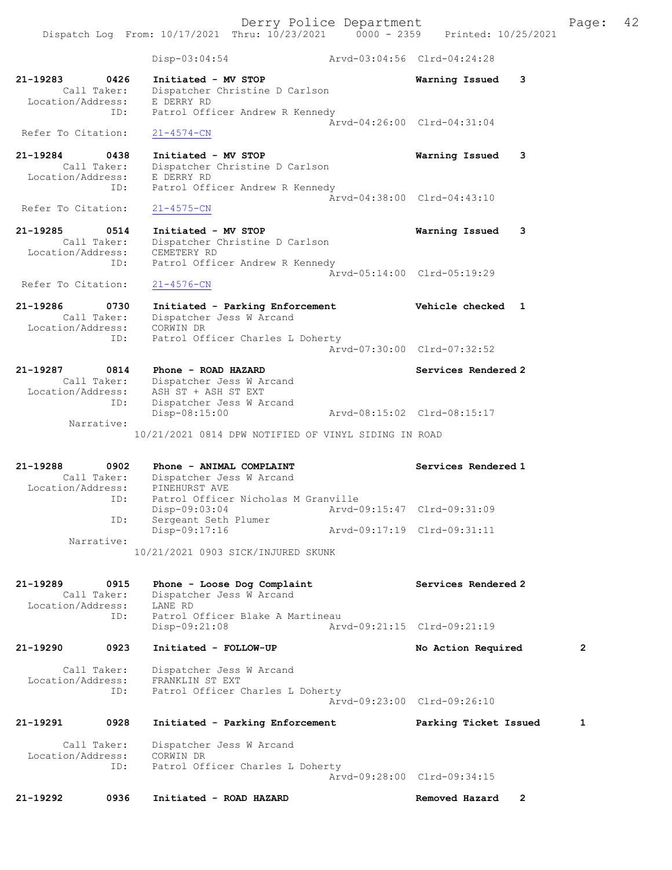Dispatch Log From: 10/17/2021 Thru: 10/23/2021 0000 - 2359 Printed: 10/25/2021 Disp-03:04:54 Arvd-03:04:56 Clrd-04:24:28 21-19283 0426 Initiated - MV STOP Warning Issued 3 Call Taker: Dispatcher Christine D Carlson Location/Address: E DERRY RD ID: Patrol Officer Andrew R Kennedy Arvd-04:26:00 Clrd-04:31:04 Refer To Citation: 21-4574-CN 21-19284 0438 Initiated - MV STOP Warning Issued 3 Call Taker: Dispatcher Christine D Carlson Location/Address: E DERRY RD ID: Patrol Officer Andrew R Kennedy Arvd-04:38:00 Clrd-04:43:10<br>21-4575-CN Refer To Citation: 21-19285 0514 Initiated - MV STOP Warning Issued 3 Call Taker: Dispatcher Christine D Carlson Location/Address: CEMETERY RD ID: Patrol Officer Andrew R Kennedy Arvd-05:14:00 Clrd-05:19:29 Refer To Citation: 21-4576-CN 21-19286 0730 Initiated - Parking Enforcement Vehicle checked 1 Call Taker: Dispatcher Jess W Arcand Location/Address: CORWIN DR ID: Patrol Officer Charles L Doherty Arvd-07:30:00 Clrd-07:32:52 21-19287 0814 Phone - ROAD HAZARD Services Rendered 2 Call Taker: Dispatcher Jess W Arcand Location/Address: ASH ST + ASH ST EXT ID: Dispatcher Jess W Arcand Disp-08:15:00 Arvd-08:15:02 Clrd-08:15:17 Narrative: 10/21/2021 0814 DPW NOTIFIED OF VINYL SIDING IN ROAD 21-19288 0902 Phone - ANIMAL COMPLAINT Services Rendered 1 Call Taker: Dispatcher Jess W Arcand Location/Address: PINEHURST AVE ID: Patrol Officer Nicholas M Granville Disp-09:03:04 Arvd-09:15:47 Clrd-09:31:09 ID: Sergeant Seth Plumer Disp-09:17:16 Arvd-09:17:19 Clrd-09:31:11 Narrative: 10/21/2021 0903 SICK/INJURED SKUNK 21-19289 0915 Phone - Loose Dog Complaint Services Rendered 2 Call Taker: Dispatcher Jess W Arcand Location/Address: LANE RD ID: Patrol Officer Blake A Martineau Disp-09:21:08 Arvd-09:21:15 Clrd-09:21:19 21-19290 0923 Initiated - FOLLOW-UP No Action Required 2 Call Taker: Dispatcher Jess W Arcand Location/Address: FRANKLIN ST EXT ID: Patrol Officer Charles L Doherty Arvd-09:23:00 Clrd-09:26:10 21-19291 0928 Initiated - Parking Enforcement Parking Ticket Issued 1 Call Taker: Dispatcher Jess W Arcand Location/Address: CORWIN DR ID: Patrol Officer Charles L Doherty Arvd-09:28:00 Clrd-09:34:15

21-19292 0936 Initiated - ROAD HAZARD Removed Hazard 2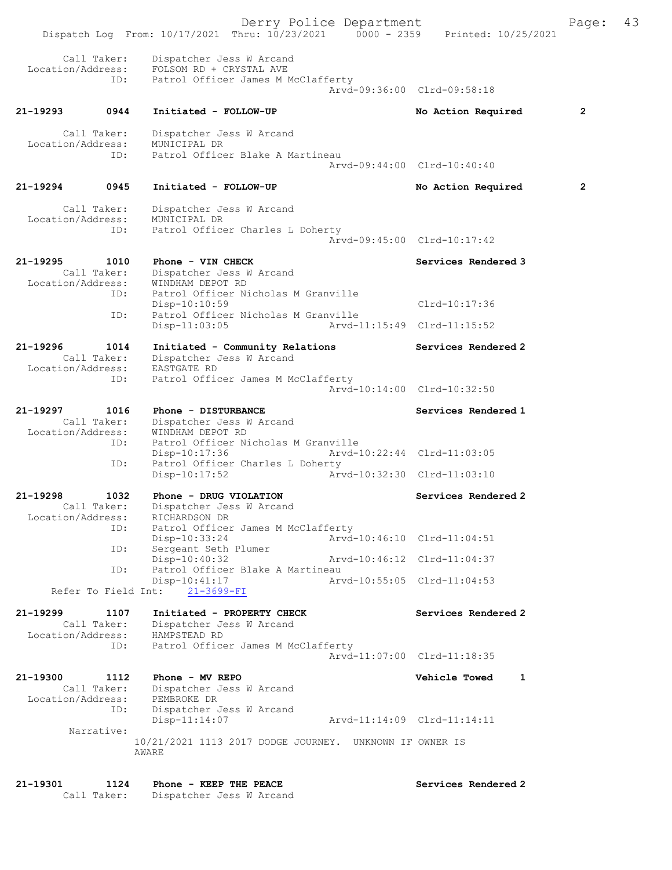Derry Police Department Fage: 43 Dispatch Log From: 10/17/2021 Thru: 10/23/2021 0000 - 2359 Printed: 10/25/2021 Call Taker: Dispatcher Jess W Arcand Location/Address: FOLSOM RD + CRYSTAL AVE ID: Patrol Officer James M McClafferty Arvd-09:36:00 Clrd-09:58:18 21-19293 0944 Initiated - FOLLOW-UP No Action Required 2 Call Taker: Dispatcher Jess W Arcand Location/Address: MUNICIPAL DR ID: Patrol Officer Blake A Martineau Arvd-09:44:00 Clrd-10:40:40 21-19294 0945 Initiated - FOLLOW-UP No Action Required 2 Call Taker: Dispatcher Jess W Arcand Location/Address: MUNICIPAL DR ID: Patrol Officer Charles L Doherty Arvd-09:45:00 Clrd-10:17:42 21-19295 1010 Phone - VIN CHECK North Services Rendered 3 Call Taker: Dispatcher Jess W Arcand Location/Address: WINDHAM DEPOT RD ess: Windham Deroi No<br>ID: Patrol Officer Nicholas M Granville Disp-10:10:59 Clrd-10:17:36<br>TD: Patrol Officer Nicholas M Granville Patrol Officer Nicholas M Granville Disp-11:03:05 Arvd-11:15:49 Clrd-11:15:52 21-19296 1014 Initiated - Community Relations Services Rendered 2 Call Taker: Dispatcher Jess W Arcand Location/Address: EASTGATE RD ID: Patrol Officer James M McClafferty Arvd-10:14:00 Clrd-10:32:50 21-19297 1016 Phone - DISTURBANCE Services Rendered 1 Call Taker: Dispatcher Jess W Arcand Location/Address: WINDHAM DEPOT RD ID: Patrol Officer Nicholas M Granville Disp-10:17:36 Arvd-10:22:44 Clrd-11:03:05<br>ID: Patrol Officer Charles L Doherty Patrol Officer Charles L Doherty Disp-10:17:52 Arvd-10:32:30 Clrd-11:03:10 21-19298 1032 Phone - DRUG VIOLATION Services Rendered 2 Call Taker: Dispatcher Jess W Arcand Location/Address: RICHARDSON DR<br>ID: Patrol Officer James M McClafferty ID: Patrol Officer James M McClafferty Disp-10:33:24 Arvd-10:46:10 Clrd-11:04:51 ID: Sergeant Seth Plumer Disp-10:40:32 Arvd-10:46:12 Clrd-11:04:37 ID: Patrol Officer Blake A Martineau<br>Disp-10:41:17 Arvd-10:55:05 Clrd-11:04:53  $Disp-10:41:17$  Refer To Field Int: 21-3699-FI 21-19299 1107 Initiated - PROPERTY CHECK Services Rendered 2 Call Taker: Dispatcher Jess W Arcand Location/Address: HAMPSTEAD RD ID: Patrol Officer James M McClafferty Arvd-11:07:00 Clrd-11:18:35 21-19300 1112 Phone - MV REPO Vehicle Towed 1 Call Taker: Dispatcher Jess W Arcand Location/Address: PEMBROKE DR ID: Dispatcher Jess W Arcand Disp-11:14:07 Arvd-11:14:09 Clrd-11:14:11 Narrative: 10/21/2021 1113 2017 DODGE JOURNEY. UNKNOWN IF OWNER IS AWARE

21-19301 1124 Phone - KEEP THE PEACE Services Rendered 2 Call Taker: Dispatcher Jess W Arcand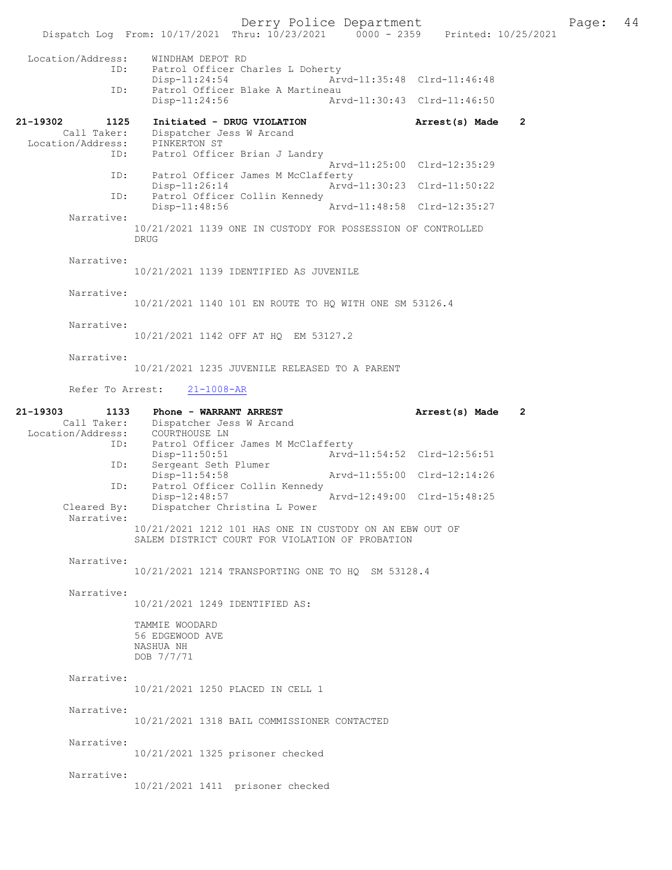Derry Police Department<br>Page: 44 Phru: 10/23/2021 0000 - 2359 Printed: 10/25/2021 Dispatch Log From: 10/17/2021 Thru: 10/23/2021 Location/Address: WINDHAM DEPOT RD ID: Patrol Officer Charles L Doherty Disp-11:24:54 Arvd-11:35:48 Clrd-11:46:48<br>TD: Patrol Officer Blake A Martineau Patrol Officer Blake A Martineau<br>Disp-11:24:56 Art Arvd-11:30:43 Clrd-11:46:50 21-19302 1125 Initiated - DRUG VIOLATION Arrest(s) Made 2<br>Call Taker: Dispatcher Jess W Arcand Call Taker: Dispatcher Jess W Arcand Location/Address: PINKERTON ST ID: Patrol Officer Brian J Landry Arvd-11:25:00 Clrd-12:35:29<br>ID: Patrol Officer James M McClafferty Patrol Officer James M McClafferty<br>Disp-11:26:14 Arvd Disp-11:26:14 Arvd-11:30:23 Clrd-11:50:22 ID: Patrol Officer Collin Kennedy<br>Disp-11:48:56 Arvd-11:48:58 Clrd-12:35:27 Narrative: 10/21/2021 1139 ONE IN CUSTODY FOR POSSESSION OF CONTROLLED DRUG Narrative: 10/21/2021 1139 IDENTIFIED AS JUVENILE Narrative: 10/21/2021 1140 101 EN ROUTE TO HQ WITH ONE SM 53126.4 Narrative: 10/21/2021 1142 OFF AT HQ EM 53127.2 Narrative: 10/21/2021 1235 JUVENILE RELEASED TO A PARENT Refer To Arrest: 21-1008-AR 21-19303 1133 Phone - WARRANT ARREST Arrest(s) Made 2 Call Taker: Dispatcher Jess W Arcand Location/Address: COURTHOUSE LN ID: Patrol Officer James M McClafferty<br>Disp-11:50:51 Arvd-Disp-11:50:51 <br>Disp-11:50:51 <br>Disperse and Seth Plumer <br>Disperse and Seth Plumer Sergeant Seth Plumer<br>Disp-11:54:58 Arvd-11:55:00 Clrd-12:14:26 ID: Patrol Officer Collin Kennedy<br>Disp-12:48:57 Disp-12:48:57 Arvd-12:49:00 Clrd-15:48:25<br>Cleared By: Dispatcher Christina L Power Dispatcher Christina L Power Narrative: 10/21/2021 1212 101 HAS ONE IN CUSTODY ON AN EBW OUT OF SALEM DISTRICT COURT FOR VIOLATION OF PROBATION Narrative: 10/21/2021 1214 TRANSPORTING ONE TO HQ SM 53128.4 Narrative: 10/21/2021 1249 IDENTIFIED AS: TAMMIE WOODARD 56 EDGEWOOD AVE NASHUA NH DOB 7/7/71 Narrative: 10/21/2021 1250 PLACED IN CELL 1

Narrative:

10/21/2021 1318 BAIL COMMISSIONER CONTACTED

Narrative:

10/21/2021 1325 prisoner checked

Narrative:

10/21/2021 1411 prisoner checked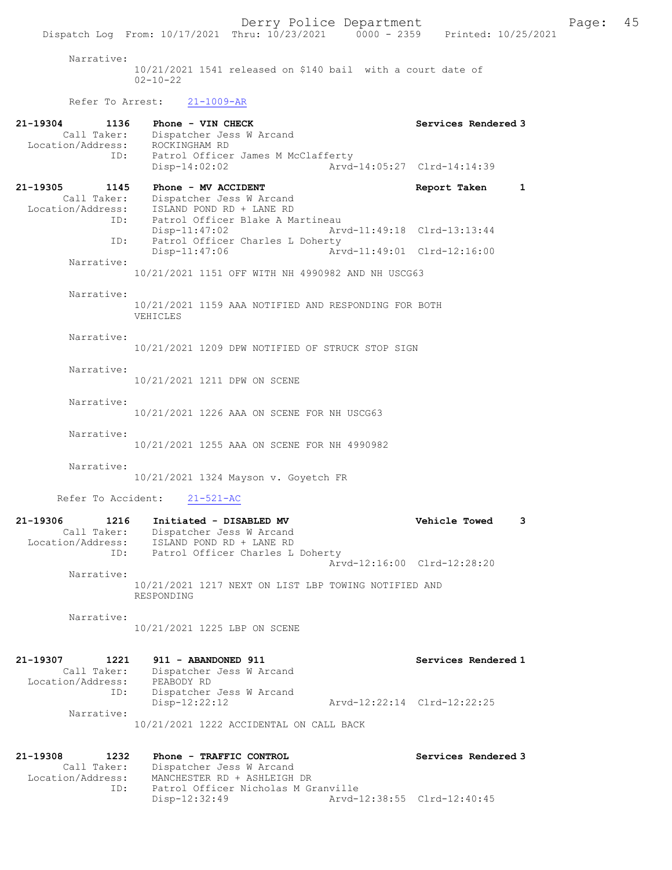Narrative:

10/21/2021 1541 released on \$140 bail with a court date of 02-10-22

Refer To Arrest: 21-1009-AR

| 21-19304<br>1136<br>Call Taker:<br>Location/Address: | Phone - VIN CHECK<br>Dispatcher Jess W Arcand<br>ROCKINGHAM RD                                                                                           |                             | Services Rendered 3          |
|------------------------------------------------------|----------------------------------------------------------------------------------------------------------------------------------------------------------|-----------------------------|------------------------------|
| ID:                                                  | Patrol Officer James M McClafferty<br>Disp-14:02:02                                                                                                      |                             | Arvd-14:05:27 Clrd-14:14:39  |
| 21-19305<br>1145<br>Call Taker:                      | Phone - MV ACCIDENT<br>Dispatcher Jess W Arcand<br>Location/Address: ISLAND POND RD + LANE RD                                                            |                             | $\mathbf{1}$<br>Report Taken |
| ID:<br>ID:                                           | Patrol Officer Blake A Martineau<br>$Disp-11:47:02$<br>Patrol Officer Charles L Doherty                                                                  | Arvd-11:49:18 Clrd-13:13:44 |                              |
| Narrative:                                           | Disp-11:47:06                                                                                                                                            | Arvd-11:49:01 Clrd-12:16:00 |                              |
|                                                      | 10/21/2021 1151 OFF WITH NH 4990982 AND NH USCG63                                                                                                        |                             |                              |
| Narrative:                                           | 10/21/2021 1159 AAA NOTIFIED AND RESPONDING FOR BOTH<br>VEHICLES                                                                                         |                             |                              |
| Narrative:                                           | 10/21/2021 1209 DPW NOTIFIED OF STRUCK STOP SIGN                                                                                                         |                             |                              |
| Narrative:                                           | 10/21/2021 1211 DPW ON SCENE                                                                                                                             |                             |                              |
| Narrative:                                           | 10/21/2021 1226 AAA ON SCENE FOR NH USCG63                                                                                                               |                             |                              |
| Narrative:                                           | 10/21/2021 1255 AAA ON SCENE FOR NH 4990982                                                                                                              |                             |                              |
| Narrative:<br>Refer To Accident:                     | 10/21/2021 1324 Mayson v. Goyetch FR<br>$21 - 521 - AC$                                                                                                  |                             |                              |
| 21-19306<br>1216                                     | Initiated - DISABLED MV                                                                                                                                  |                             | Vehicle Towed<br>3           |
| Location/Address:                                    | Call Taker: Dispatcher Jess William Call Taker: Dispatcher Jess William RD<br>Can 'Address: ISLAND POND RD + LANE RD<br>Patrol Officer Charles L Doherty | Arvd-12:16:00 Clrd-12:28:20 |                              |
| Narrative:                                           | 10/21/2021 1217 NEXT ON LIST LBP TOWING NOTIFIED AND<br>RESPONDING                                                                                       |                             |                              |
| Narrative:                                           | 10/21/2021 1225 LBP ON SCENE                                                                                                                             |                             |                              |
| 21-19307<br>1221<br>Call Taker:<br>Location/Address: | 911 - ABANDONED 911<br>Dispatcher Jess W Arcand<br>PEABODY RD                                                                                            |                             | Services Rendered 1          |
| ID:<br>Narrative:                                    | Dispatcher Jess W Arcand<br>Disp-12:22:12                                                                                                                | Arvd-12:22:14 Clrd-12:22:25 |                              |
|                                                      | 10/21/2021 1222 ACCIDENTAL ON CALL BACK                                                                                                                  |                             |                              |
| 1232<br>21-19308<br>Call Taker:<br>Location/Address: | Phone - TRAFFIC CONTROL<br>Dispatcher Jess W Arcand<br>MANCHESTER RD + ASHLEIGH DR                                                                       |                             | Services Rendered 3          |
| ID:                                                  | Patrol Officer Nicholas M Granville<br>Disp-12:32:49                                                                                                     | Arvd-12:38:55 Clrd-12:40:45 |                              |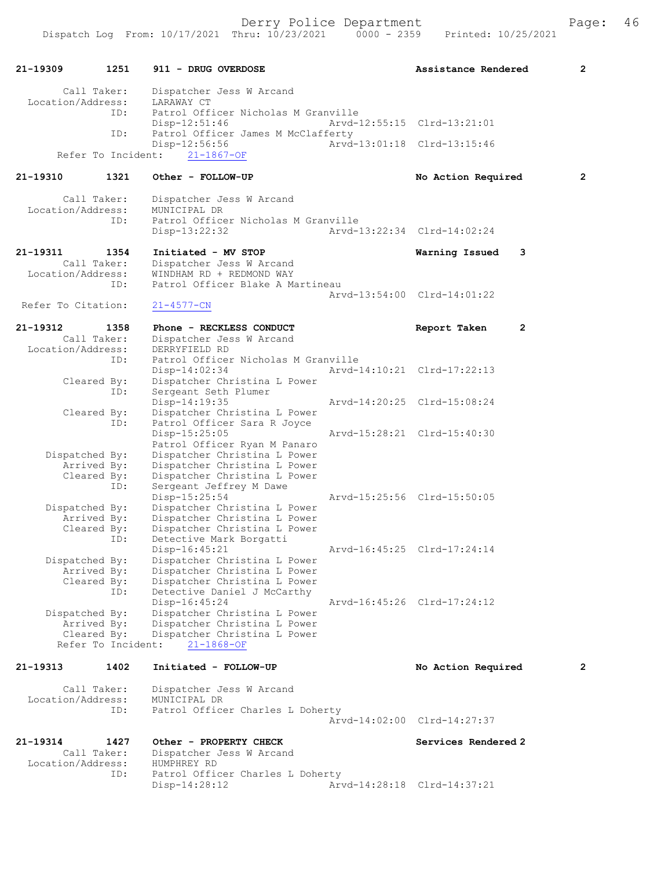| 21-19309           | 1251                       | 911 - DRUG OVERDOSE                                                           | Assistance Rendered         | $\overline{2}$ |
|--------------------|----------------------------|-------------------------------------------------------------------------------|-----------------------------|----------------|
| Location/Address:  | Call Taker:<br>ID:         | Dispatcher Jess W Arcand<br>LARAWAY CT<br>Patrol Officer Nicholas M Granville |                             |                |
|                    | ID:                        | $Disp-12:51:46$<br>Patrol Officer James M McClafferty                         | Arvd-12:55:15 Clrd-13:21:01 |                |
|                    | Refer To Incident:         | Disp-12:56:56<br>$21 - 1867 - OF$                                             | Arvd-13:01:18 Clrd-13:15:46 |                |
|                    |                            |                                                                               |                             |                |
| 21-19310           | 1321                       | Other - FOLLOW-UP                                                             | No Action Required          | 2              |
| Location/Address:  | Call Taker:                | Dispatcher Jess W Arcand<br>MUNICIPAL DR                                      |                             |                |
|                    | ID:                        | Patrol Officer Nicholas M Granville                                           |                             |                |
|                    |                            | Disp-13:22:32                                                                 | Arvd-13:22:34 Clrd-14:02:24 |                |
| 21-19311           | 1354                       | Initiated - MV STOP                                                           | Warning Issued              | 3              |
| Location/Address:  | Call Taker:                | Dispatcher Jess W Arcand<br>WINDHAM RD + REDMOND WAY                          |                             |                |
|                    | ID:                        | Patrol Officer Blake A Martineau                                              |                             |                |
|                    |                            |                                                                               | Arvd-13:54:00 Clrd-14:01:22 |                |
| Refer To Citation: |                            | $21 - 4577 - CN$                                                              |                             |                |
| 21-19312           | 1358                       | Phone - RECKLESS CONDUCT                                                      | Report Taken                | $\overline{2}$ |
|                    | Call Taker:                | Dispatcher Jess W Arcand<br>DERRYFIELD RD                                     |                             |                |
| Location/Address:  | ID:                        | Patrol Officer Nicholas M Granville                                           |                             |                |
|                    |                            | $Disp-14:02:34$                                                               | Arvd-14:10:21 Clrd-17:22:13 |                |
|                    | Cleared By:                | Dispatcher Christina L Power                                                  |                             |                |
|                    | ID:                        | Sergeant Seth Plumer<br>Disp-14:19:35                                         | Arvd-14:20:25 Clrd-15:08:24 |                |
|                    | Cleared By:                | Dispatcher Christina L Power                                                  |                             |                |
|                    | ID:                        | Patrol Officer Sara R Joyce                                                   |                             |                |
|                    |                            | Disp-15:25:05<br>Patrol Officer Ryan M Panaro                                 | Arvd-15:28:21 Clrd-15:40:30 |                |
| Dispatched By:     |                            | Dispatcher Christina L Power                                                  |                             |                |
|                    | Arrived By:                | Dispatcher Christina L Power                                                  |                             |                |
|                    | Cleared By:<br>ID:         | Dispatcher Christina L Power<br>Sergeant Jeffrey M Dawe                       |                             |                |
|                    |                            | Disp-15:25:54                                                                 | Arvd-15:25:56 Clrd-15:50:05 |                |
| Dispatched By:     |                            | Dispatcher Christina L Power                                                  |                             |                |
|                    | Arrived By:                | Dispatcher Christina L Power                                                  |                             |                |
|                    | Cleared By:<br>ID:         | Dispatcher Christina L Power<br>Detective Mark Borgatti                       |                             |                |
|                    |                            | $Disp-16:45:21$                                                               | Arvd-16:45:25 Clrd-17:24:14 |                |
| Dispatched By:     |                            | Dispatcher Christina L Power                                                  |                             |                |
|                    | Arrived By:<br>Cleared By: | Dispatcher Christina L Power<br>Dispatcher Christina L Power                  |                             |                |
|                    | ID:                        | Detective Daniel J McCarthy                                                   |                             |                |
|                    |                            | Disp-16:45:24                                                                 | Arvd-16:45:26 Clrd-17:24:12 |                |
| Dispatched By:     |                            | Dispatcher Christina L Power                                                  |                             |                |
|                    | Arrived By:<br>Cleared By: | Dispatcher Christina L Power<br>Dispatcher Christina L Power                  |                             |                |
|                    | Refer To Incident:         | $21 - 1868 - OF$                                                              |                             |                |
| $21 - 19313$       | 1402                       | Initiated - FOLLOW-UP                                                         | No Action Required          | 2              |
| Location/Address:  | Call Taker:                | Dispatcher Jess W Arcand<br>MUNICIPAL DR                                      |                             |                |
|                    | ID:                        | Patrol Officer Charles L Doherty                                              | Arvd-14:02:00 Clrd-14:27:37 |                |
| 21-19314           | 1427                       | Other - PROPERTY CHECK                                                        | Services Rendered 2         |                |
|                    | Call Taker:                | Dispatcher Jess W Arcand                                                      |                             |                |
| Location/Address:  |                            | HUMPHREY RD                                                                   |                             |                |
|                    | ID:                        | Patrol Officer Charles L Doherty                                              |                             |                |
|                    |                            | Disp-14:28:12                                                                 | Arvd-14:28:18 Clrd-14:37:21 |                |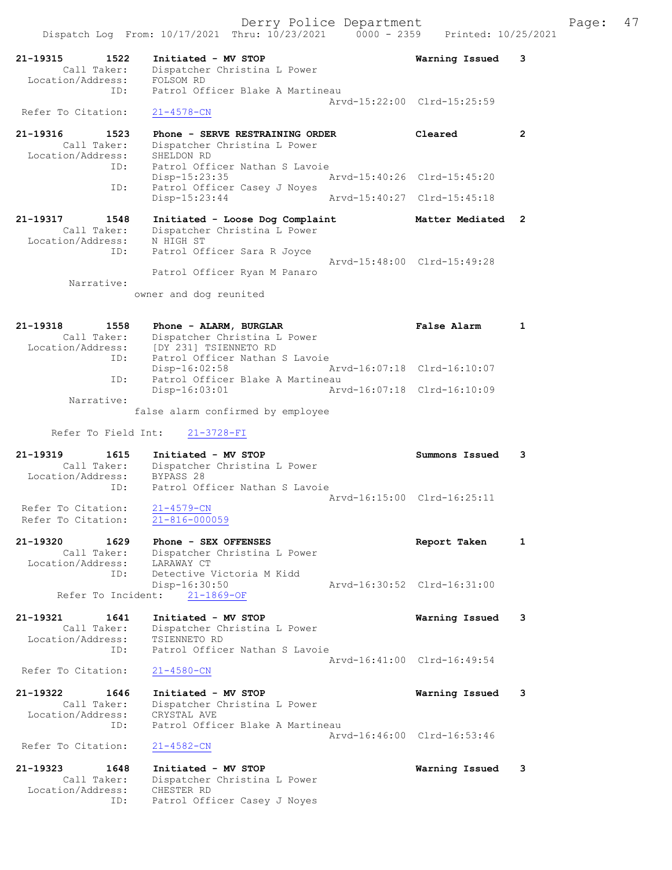| 21-19315<br>1522<br>Call Taker:<br>Location/Address: | Initiated - MV STOP<br>Dispatcher Christina L Power<br>FOLSOM RD                         | Warning Issued              | 3              |
|------------------------------------------------------|------------------------------------------------------------------------------------------|-----------------------------|----------------|
| ID:<br>Refer To Citation:                            | Patrol Officer Blake A Martineau<br>$21 - 4578 - CN$                                     | Arvd-15:22:00 Clrd-15:25:59 |                |
| 21-19316<br>1523<br>Call Taker:<br>Location/Address: | Phone - SERVE RESTRAINING ORDER<br>Dispatcher Christina L Power<br>SHELDON RD            | Cleared                     | $\mathbf{2}$   |
| ID:<br>ID:                                           | Patrol Officer Nathan S Lavoie<br>Disp-15:23:35<br>Patrol Officer Casey J Noyes          | Arvd-15:40:26 Clrd-15:45:20 |                |
|                                                      | $Disp-15:23:44$                                                                          | Arvd-15:40:27 Clrd-15:45:18 |                |
| 21-19317<br>1548<br>Call Taker:<br>Location/Address: | Initiated - Loose Dog Complaint<br>Dispatcher Christina L Power<br>N HIGH ST             | Matter Mediated             | $\overline{2}$ |
| ID:                                                  | Patrol Officer Sara R Joyce<br>Patrol Officer Ryan M Panaro                              | Arvd-15:48:00 Clrd-15:49:28 |                |
| Narrative:                                           | owner and dog reunited                                                                   |                             |                |
| 21-19318<br>1558<br>Call Taker:<br>Location/Address: | Phone - ALARM, BURGLAR<br>Dispatcher Christina L Power<br>[DY 231] TSIENNETO RD          | <b>False Alarm</b>          | $\mathbf{1}$   |
| ID:                                                  | Patrol Officer Nathan S Lavoie<br>Disp-16:02:58                                          | Arvd-16:07:18 Clrd-16:10:07 |                |
| ID:                                                  | Patrol Officer Blake A Martineau<br>Disp-16:03:01                                        | Arvd-16:07:18 Clrd-16:10:09 |                |
| Narrative:                                           | false alarm confirmed by employee                                                        |                             |                |
| Refer To Field Int:                                  | $21 - 3728 - FI$                                                                         |                             |                |
|                                                      |                                                                                          |                             |                |
| $21 - 19319$<br>1615                                 | Initiated - MV STOP                                                                      | Summons Issued              | 3              |
| Call Taker:<br>Location/Address:<br>ID:              | Dispatcher Christina L Power<br>BYPASS 28<br>Patrol Officer Nathan S Lavoie              |                             |                |
| Refer To Citation:<br>Refer To Citation:             | $21 - 4579 - CN$<br>21-816-000059                                                        | Arvd-16:15:00 Clrd-16:25:11 |                |
| 21-19320<br>1629                                     | Phone - SEX OFFENSES                                                                     | Report Taken                | $\mathbf{1}$   |
| Call Taker:<br>Location/Address:<br>ID:              | Dispatcher Christina L Power<br>LARAWAY CT<br>Detective Victoria M Kidd<br>Disp-16:30:50 | Arvd-16:30:52 Clrd-16:31:00 |                |
| Refer To Incident:                                   | $21 - 1869 - OF$                                                                         |                             |                |
| 21-19321<br>1641<br>Call Taker:<br>Location/Address: | Initiated - MV STOP<br>Dispatcher Christina L Power<br>TSIENNETO RD                      | Warning Issued              | 3              |
| ID:<br>Refer To Citation:                            | Patrol Officer Nathan S Lavoie<br>$21 - 4580 - CN$                                       | Arvd-16:41:00 Clrd-16:49:54 |                |
| 21-19322<br>1646<br>Call Taker:<br>Location/Address: | Initiated - MV STOP<br>Dispatcher Christina L Power<br>CRYSTAL AVE                       | Warning Issued              | 3              |
| ID:                                                  | Patrol Officer Blake A Martineau                                                         | Arvd-16:46:00 Clrd-16:53:46 |                |
| Refer To Citation:<br>21-19323<br>1648               | $21 - 4582 - CN$<br>Initiated - MV STOP                                                  | Warning Issued              | 3              |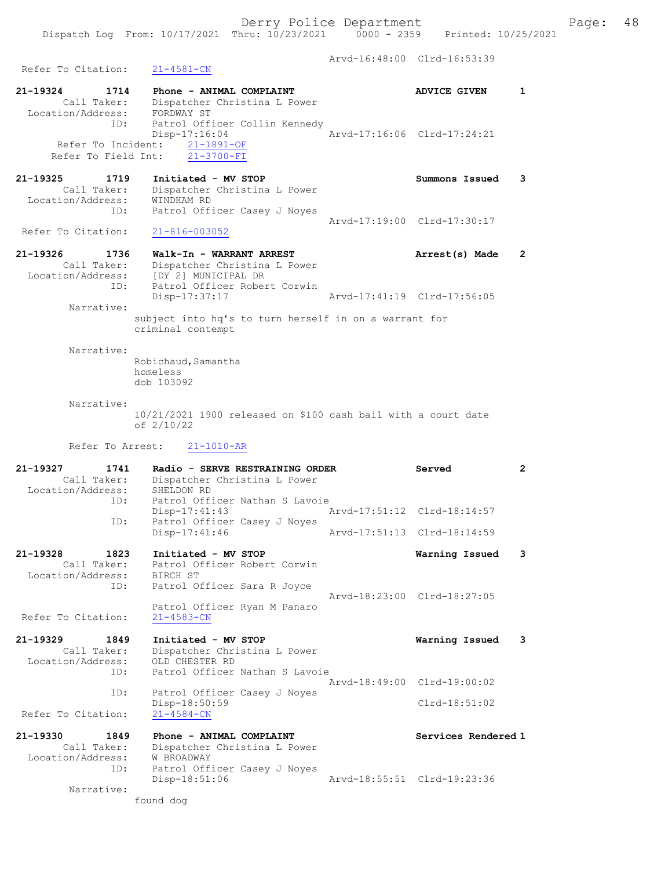Arvd-16:48:00 Clrd-16:53:39 Refer To Citation: 21-4581-CN 21-19324 1714 Phone - ANIMAL COMPLAINT AND ADVICE GIVEN 1 Call Taker: Dispatcher Christina L Power Location/Address: FORDWAY ST ID: Patrol Officer Collin Kennedy Disp-17:16:04 Arvd-17:16:06 Clrd-17:24:21 Refer To Incident: 21-1891-OF Refer To Field Int: 21-3700-FI 21-19325 1719 Initiated - MV STOP Summons Issued 3 Call Taker: Dispatcher Christina L Power Location/Address: WINDHAM RD ID: Patrol Officer Casey J Noyes Arvd-17:19:00 Clrd-17:30:17<br>21-816-003052 Refer To Citation: 21-19326 1736 Walk-In - WARRANT ARREST Arrest(s) Made 2 Call Taker: Dispatcher Christina L Power Location/Address: [DY 2] MUNICIPAL DR ID: Patrol Officer Robert Corwin Disp-17:37:17 Arvd-17:41:19 Clrd-17:56:05 Narrative: subject into hq's to turn herself in on a warrant for criminal contempt Narrative: Robichaud, Samantha homeless dob 103092 Narrative: 10/21/2021 1900 released on \$100 cash bail with a court date of 2/10/22 Refer To Arrest: 21-1010-AR 21-19327 1741 Radio - SERVE RESTRAINING ORDER Served 2 Call Taker: Dispatcher Christina L Power Location/Address: SHELDON RD ID: Patrol Officer Nathan S Lavoie Disp-17:41:43 Arvd-17:51:12 Clrd-18:14:57<br>Disp-17:41:46 Arvd-17:51:13 Clrd-18:14:59 Patrol Officer Casey J Noyes Arvd-17:51:13 Clrd-18:14:59 21-19328 1823 Initiated - MV STOP Warning Issued 3 Call Taker: Patrol Officer Robert Corwin Location/Address: BIRCH ST ID: Patrol Officer Sara R Joyce Arvd-18:23:00 Clrd-18:27:05 Patrol Officer Ryan M Panaro Refer To Citation: 21-4583-CN 21-19329 1849 Initiated - MV STOP Warning Issued 3 Call Taker: Dispatcher Christina L Power Location/Address: OLD CHESTER RD ID: Patrol Officer Nathan S Lavoie Arvd-18:49:00 Clrd-19:00:02 ID: Patrol Officer Casey J Noyes Disp-18:50:59 Clrd-18:51:02 Refer To Citation: 21-4584-CN 21-19330 1849 Phone - ANIMAL COMPLAINT Network Services Rendered 1 Call Taker: Dispatcher Christina L Power Location/Address: W BROADWAY ID: Patrol Officer Casey J Noyes<br>Disp-18:51:06 Disp-18:51:06 Arvd-18:55:51 Clrd-19:23:36

Narrative:

found dog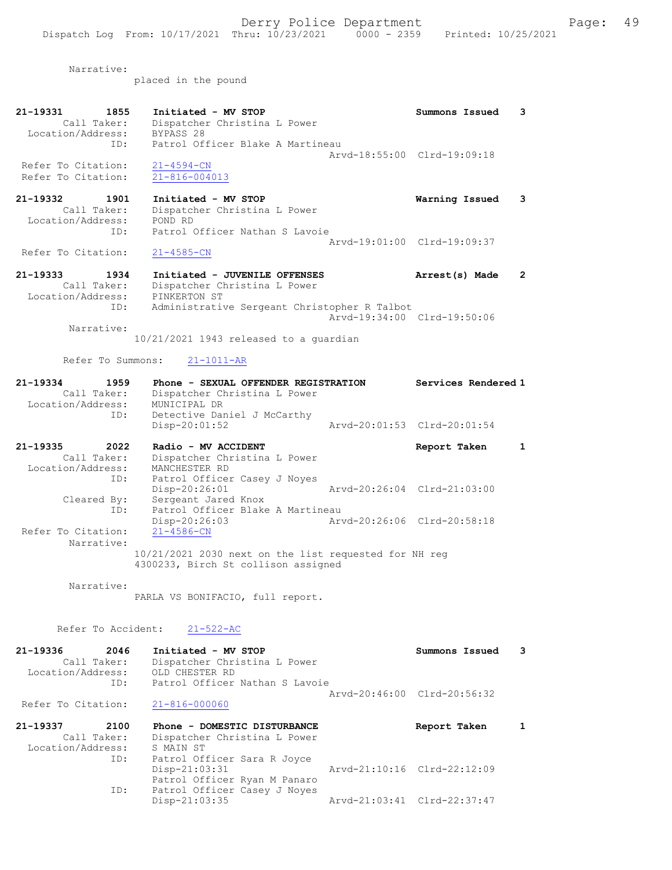Narrative:

placed in the pound

| 21-19331<br>1855<br>Call Taker:<br>Location/Address:<br>ID:            | Initiated - MV STOP<br>Dispatcher Christina L Power<br>BYPASS 28<br>Patrol Officer Blake A Martineau                          | Summons Issued                                | 3 |
|------------------------------------------------------------------------|-------------------------------------------------------------------------------------------------------------------------------|-----------------------------------------------|---|
| Refer To Citation:<br>Refer To Citation:                               | $21 - 4594 - CN$<br>$21 - 816 - 004013$                                                                                       | Arvd-18:55:00 Clrd-19:09:18                   |   |
| 21-19332 1901<br>Call Taker:<br>Location/Address:<br>ID:               | Initiated - MV STOP<br>Dispatcher Christina L Power<br>POND RD<br>Patrol Officer Nathan S Lavoie                              | Warning Issued                                | 3 |
| Refer To Citation:                                                     | $21 - 4585 - CN$                                                                                                              | Arvd-19:01:00 Clrd-19:09:37                   |   |
| 21-19333 1934<br>Call Taker:<br>Location/Address:<br>ID:<br>Narrative: | Initiated - JUVENILE OFFENSES<br>Dispatcher Christina L Power<br>PINKERTON ST<br>Administrative Sergeant Christopher R Talbot | Arrest(s) Made<br>Aryd-19:34:00 Clrd-19:50:06 | 2 |
|                                                                        | $10/21/2021$ 1943 released to a quardian<br>Refer To Summons: 21-1011-AR                                                      |                                               |   |
| 21-19334<br>1959<br>Call Taker:                                        | Phone - SEXUAL OFFENDER REGISTRATION<br>Dispatcher Christina L Power                                                          | Services Rendered 1                           |   |

|                   | Diopacchei childeana B fowci |                             |  |
|-------------------|------------------------------|-----------------------------|--|
| Location/Address: | MUNICIPAL DR                 |                             |  |
| ID:               | Detective Daniel J McCarthy  |                             |  |
|                   | Disp-20:01:52                | Arvd-20:01:53 Clrd-20:01:54 |  |
|                   |                              |                             |  |

| 21-19335<br>2022   | Radio - MV ACCIDENT                                                                          | Report Taken                |  |
|--------------------|----------------------------------------------------------------------------------------------|-----------------------------|--|
| Call Taker:        | Dispatcher Christina L Power                                                                 |                             |  |
| Location/Address:  | MANCHESTER RD                                                                                |                             |  |
| ID:                | Patrol Officer Casey J Noyes                                                                 |                             |  |
|                    | Disp-20:26:01                                                                                | Arvd-20:26:04 Clrd-21:03:00 |  |
| Cleared By:        | Sergeant Jared Knox                                                                          |                             |  |
| ID:                | Patrol Officer Blake A Martineau                                                             |                             |  |
|                    | $Disp-20:26:03$                                                                              | Arvd-20:26:06 Clrd-20:58:18 |  |
| Refer To Citation: | $21 - 4586 - CN$                                                                             |                             |  |
| Narrative:         |                                                                                              |                             |  |
|                    | 10/21/2021 2030 next on the list requested for NH req<br>4300233, Birch St collison assigned |                             |  |

Narrative:

PARLA VS BONIFACIO, full report.

Patrol Officer Ryan M Panaro

ID: Patrol Officer Casey J Noyes<br>Disp-21:03:35

Refer To Accident: 21-522-AC

| 21-19336<br>2046<br>Call Taker:<br>Location/Address:<br>ID: | Initiated - MV STOP<br>Dispatcher Christina L Power<br>OLD CHESTER RD<br>Patrol Officer Nathan S Lavoie | Summons Issued              |  |
|-------------------------------------------------------------|---------------------------------------------------------------------------------------------------------|-----------------------------|--|
| Refer To Citation:                                          | $21 - 816 - 000060$                                                                                     | Arvd-20:46:00 Clrd-20:56:32 |  |
| 21-19337<br>2100                                            | Phone - DOMESTIC DISTURBANCE                                                                            | Report Taken                |  |
| Call Taker:<br>Location/Address:<br>ID:                     | Dispatcher Christina L Power<br>S MAIN ST<br>Patrol Officer Sara R Joyce<br>$Disp-21:03:31$             | Arvd-21:10:16 Clrd-22:12:09 |  |

Disp-21:03:35 Arvd-21:03:41 Clrd-22:37:47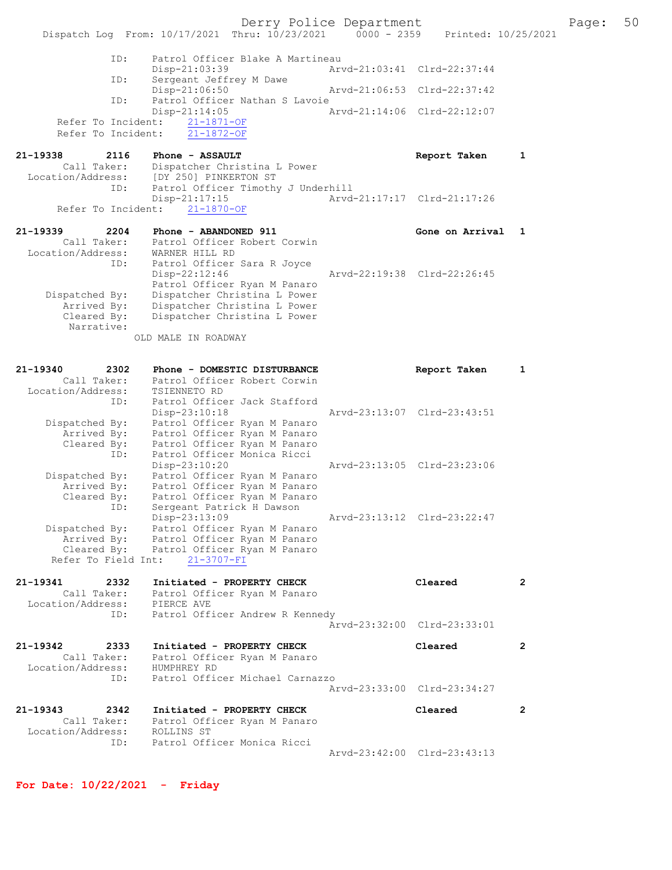Derry Police Department Fage: 50 Dispatch Log From: 10/17/2021 Thru: 10/23/2021 0000 - 2359 Printed: 10/25/2021 ID: Patrol Officer Blake A Martineau Disp-21:03:39 Arvd-21:03:41 Clrd-22:37:44 ID: Sergeant Jeffrey M Dawe Disp-21:06:50 Arvd-21:06:53 Clrd-22:37:42 ID: Patrol Officer Nathan S Lavoie Disp-21:14:05 Arvd-21:14:06 Clrd-22:12:07 Refer To Incident: 21-1871-OF Refer To Incident: 21-1872-OF 21-19338 2116 Phone - ASSAULT Report Taken 1 Call Taker: Dispatcher Christina L Power Location/Address: [DY 250] PINKERTON ST ID: Patrol Officer Timothy J Underhill<br>Disp-21:17:15 Arvd- Disp-21:17:15 Arvd-21:17:17 Clrd-21:17:26 Refer To Incident: 21-1870-OF 21-19339 2204 Phone - ABANDONED 911 Gone on Arrival 1 Call Taker: Patrol Officer Robert Corwin Location/Address: WARNER HILL RD ID: Patrol Officer Sara R Joyce Disp-22:12:46 Arvd-22:19:38 Clrd-22:26:45 Patrol Officer Ryan M Panaro Dispatched By: Dispatcher Christina L Power Arrived By: Dispatcher Christina L Power Cleared By: Dispatcher Christina L Power Narrative: OLD MALE IN ROADWAY 21-19340 2302 Phone - DOMESTIC DISTURBANCE Report Taken 1 Call Taker: Patrol Officer Robert Corwin Location/Address: TSIENNETO RD ID: Patrol Officer Jack Stafford Disp-23:10:18 Arvd-23:13:07 Clrd-23:43:51 Dispatched By: Patrol Officer Ryan M Panaro Arrived By: Patrol Officer Ryan M Panaro Cleared By: Patrol Officer Ryan M Panaro ID: Patrol Officer Monica Ricci Disp-23:10:20 Arvd-23:13:05 Clrd-23:23:06 Dispatched By: Patrol Officer Ryan M Panaro Arrived By: Patrol Officer Ryan M Panaro Cleared By: Patrol Officer Ryan M Panaro ID: Sergeant Patrick H Dawson Disp-23:13:09 Arvd-23:13:12 Clrd-23:22:47 Dispatched By: Patrol Officer Ryan M Panaro Arrived By: Patrol Officer Ryan M Panaro Cleared By: Patrol Officer Ryan M Panaro Refer To Field Int: 21-3707-FI 21-19341 2332 Initiated - PROPERTY CHECK Cleared 2 Call Taker: Patrol Officer Ryan M Panaro Location/Address: PIERCE AVE ID: Patrol Officer Andrew R Kennedy Arvd-23:32:00 Clrd-23:33:01 21-19342 2333 Initiated - PROPERTY CHECK Cleared 2 Call Taker: Patrol Officer Ryan M Panaro Location/Address: HUMPHREY RD ID: Patrol Officer Michael Carnazzo Arvd-23:33:00 Clrd-23:34:27 21-19343 2342 Initiated - PROPERTY CHECK Cleared 2 Call Taker: Patrol Officer Ryan M Panaro Location/Address: ROLLINS ST ID: Patrol Officer Monica Ricci Arvd-23:42:00 Clrd-23:43:13

For Date: 10/22/2021 - Friday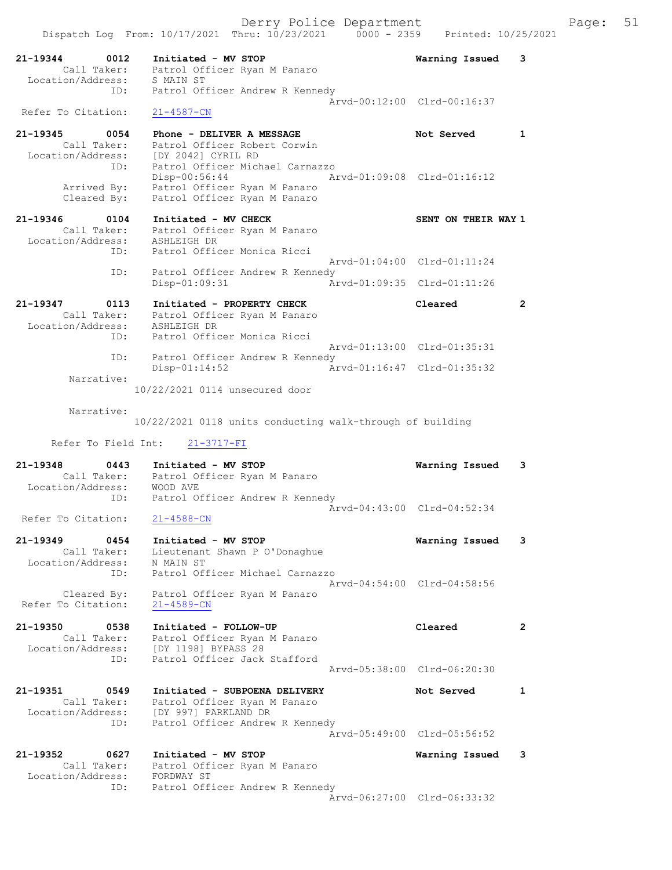Dispatch Log From: 10/17/2021 Thru: 10/23/2021 0000 - 2359 Printed: 10/25/2021 21-19344 0012 Initiated - MV STOP Warning Issued 3 Call Taker: Patrol Officer Ryan M Panaro Location/Address: S MAIN ST ID: Patrol Officer Andrew R Kennedy Arvd-00:12:00 Clrd-00:16:37 Refer To Citation: 21-4587-CN 21-19345 0054 Phone - DELIVER A MESSAGE Not Served 1 Call Taker: Patrol Officer Robert Corwin Location/Address: [DY 2042] CYRIL RD ID: Patrol Officer Michael Carnazzo Disp-00:56:44 Arvd-01:09:08 Clrd-01:16:12 Arrived By: Patrol Officer Ryan M Panaro Cleared By: Patrol Officer Ryan M Panaro 21-19346 0104 Initiated - MV CHECK SENT ON THEIR WAY 1 Call Taker: Patrol Officer Ryan M Panaro Location/Address: ASHLEIGH DR ID: Patrol Officer Monica Ricci Arvd-01:04:00 Clrd-01:11:24 ID: Patrol Officer Andrew R Kennedy Disp-01:09:31 Arvd-01:09:35 Clrd-01:11:26 21-19347 0113 Initiated - PROPERTY CHECK Cleared 2 Call Taker: Patrol Officer Ryan M Panaro Location/Address: ASHLEIGH DR ID: Patrol Officer Monica Ricci Arvd-01:13:00 Clrd-01:35:31 ID: Patrol Officer Andrew R Kennedy Disp-01:14:52 Arvd-01:16:47 Clrd-01:35:32 Narrative: 10/22/2021 0114 unsecured door Narrative: 10/22/2021 0118 units conducting walk-through of building Refer To Field Int: 21-3717-FI 21-19348 0443 Initiated - MV STOP Warning Issued 3 Call Taker: Patrol Officer Ryan M Panaro Location/Address: WOOD AVE ID: Patrol Officer Andrew R Kennedy Arvd-04:43:00 Clrd-04:52:34 Refer To Citation: 21-4588-CN 21-19349 0454 Initiated - MV STOP Warning Issued 3 Call Taker: Lieutenant Shawn P O'Donaghue Location/Address: N MAIN ST ID: Patrol Officer Michael Carnazzo Arvd-04:54:00 Clrd-04:58:56 Cleared By: Patrol Officer Ryan M Panaro Refer To Citation: 21-4589-CN 21-19350 0538 Initiated - FOLLOW-UP Cleared 2 Call Taker: Patrol Officer Ryan M Panaro Location/Address: [DY 1198] BYPASS 28 ID: Patrol Officer Jack Stafford Arvd-05:38:00 Clrd-06:20:30 21-19351 0549 Initiated - SUBPOENA DELIVERY Not Served 1 Call Taker: Patrol Officer Ryan M Panaro Location/Address: [DY 997] PARKLAND DR ID: Patrol Officer Andrew R Kennedy Arvd-05:49:00 Clrd-05:56:52 21-19352 0627 Initiated - MV STOP Warning Issued 3 Call Taker: Patrol Officer Ryan M Panaro Location/Address: FORDWAY ST ID: Patrol Officer Andrew R Kennedy Arvd-06:27:00 Clrd-06:33:32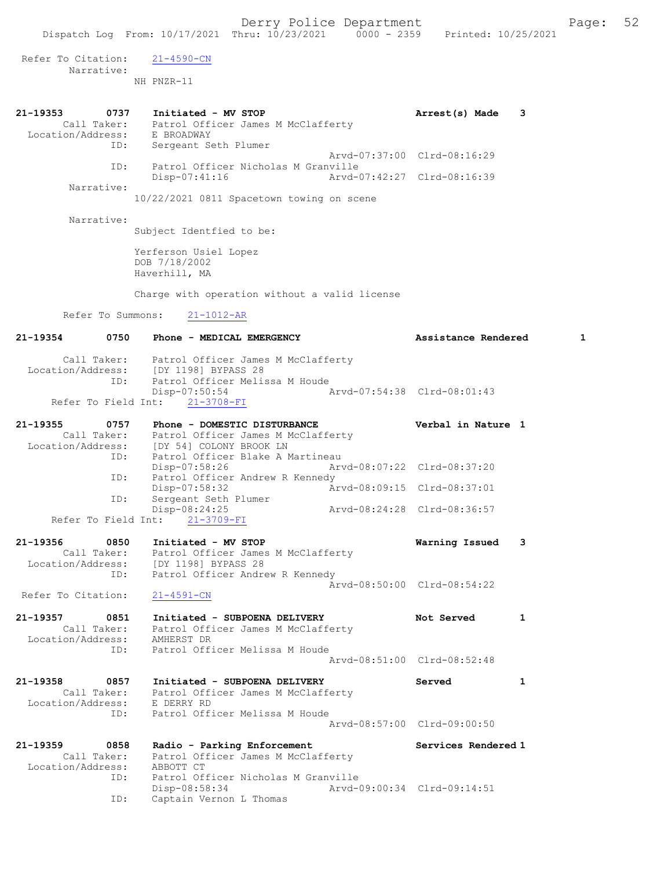Derry Police Department Fage: 52 Dispatch Log From: 10/17/2021 Thru: 10/23/2021 0000 - 2359 Printed: 10/25/2021 Refer To Citation: 21-4590-CN Narrative: NH PNZR-11 21-19353 0737 Initiated - MV STOP 120 120 120 121 122 Arrest(s) Made 3 Call Taker: Patrol Officer James M McClafferty Location/Address: E BROADWAY ID: Sergeant Seth Plumer Arvd-07:37:00 Clrd-08:16:29 ID: Patrol Officer Nicholas M Granville<br>Disp-07:41:16 Arvd-0 Disp-07:41:16 Arvd-07:42:27 Clrd-08:16:39 Narrative: 10/22/2021 0811 Spacetown towing on scene Narrative: Subject Identfied to be: Yerferson Usiel Lopez DOB 7/18/2002 Haverhill, MA Charge with operation without a valid license Refer To Summons: 21-1012-AR 21-19354 0750 Phone - MEDICAL EMERGENCY Assistance Rendered 1 Call Taker: Patrol Officer James M McClafferty Location/Address: [DY 1198] BYPASS 28 ID: Patrol Officer Melissa M Houde Disp-07:50:54 Arvd-07:54:38 Clrd-08:01:43 Refer To Field Int: 21-3708-FI 21-19355 0757 Phone - DOMESTIC DISTURBANCE Verbal in Nature 1 Call Taker: Patrol Officer James M McClafferty Location/Address: [DY 54] COLONY BROOK LN ID: Patrol Officer Blake A Martineau Disp-07:58:26 Arvd-08:07:22 Clrd-08:37:20 ID: Patrol Officer Andrew R Kennedy Disp-07:58:32 <br>
Disp-07:58:32 <br>
Disposible and Arvd-08:09:15 Clrd-08:37:01<br>
Disposible and Plumer Disp-07.50.52<br>Sergeant Seth Plumer<br>Disp-08:24:25 Disp-08:24:25 Arvd-08:24:28 Clrd-08:36:57 Refer To Field Int: 21-3709-FI 21-19356 0850 Initiated - MV STOP Warning Issued 3 Call Taker: Patrol Officer James M McClafferty Location/Address: [DY 1198] BYPASS 28 ID: Patrol Officer Andrew R Kennedy Arvd-08:50:00 Clrd-08:54:22 Refer To Citation: 21-4591-CN 21-19357 0851 Initiated - SUBPOENA DELIVERY Not Served 1 Call Taker: Patrol Officer James M McClafferty Location/Address: AMHERST DR ID: Patrol Officer Melissa M Houde Arvd-08:51:00 Clrd-08:52:48

21-19358 0857 Initiated - SUBPOENA DELIVERY Served 1 Call Taker: Patrol Officer James M McClafferty Location/Address: E DERRY RD ID: Patrol Officer Melissa M Houde Arvd-08:57:00 Clrd-09:00:50

21-19359 0858 Radio - Parking Enforcement Services Rendered 1 Call Taker: Patrol Officer James M McClafferty Location/Address: ABBOTT CT ess. Abborition<br>ID: Patrol Officer Nicholas M Granville Disp-08:58:34 Arvd-09:00:34 Clrd-09:14:51<br>ID: Captain Vernon L Thomas Captain Vernon L Thomas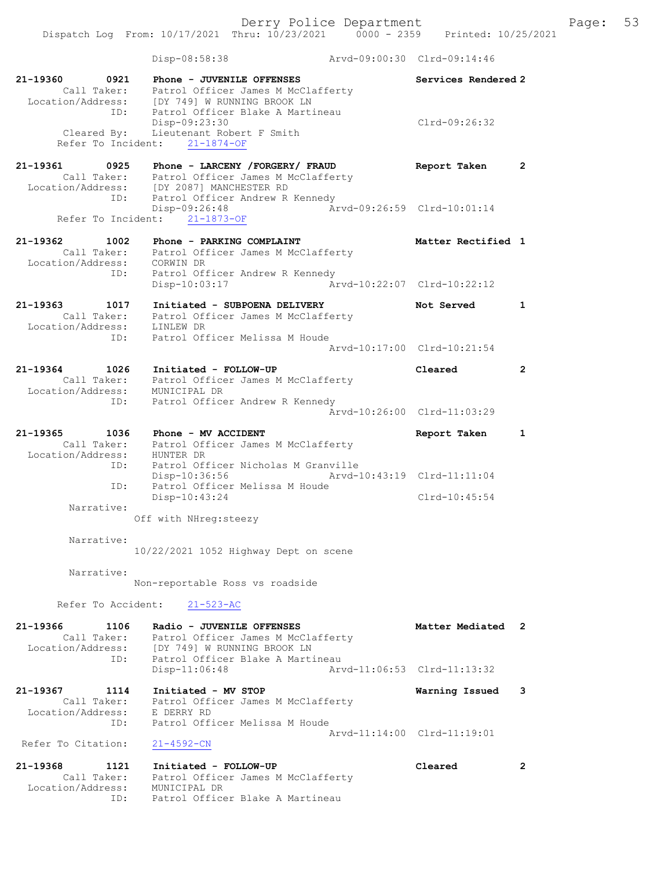Dispatch Log From: 10/17/2021 Thru: 10/23/2021 0000 - 2359 Printed: 10/25/2021

|                                                   | Disp-08:58:38                                                                                                                                       | Aryd-09:00:30 Clrd-09:14:46 |                             |                |
|---------------------------------------------------|-----------------------------------------------------------------------------------------------------------------------------------------------------|-----------------------------|-----------------------------|----------------|
| 21-19360 0921<br>Call Taker:                      | Phone - JUVENILE OFFENSES<br>Patrol Officer James M McClafferty<br>Location/Address: [DY 749] W RUNNING BROOK LN<br>ID: Patrol Officer Blake A Mart |                             | Services Rendered 2         |                |
| Cleared By:                                       | Patrol Officer Blake A Martineau<br>Disp-09:23:30<br>Lieutenant Robert F Smith<br>Refer To Incident: 21-1874-OF                                     |                             | $Clrd-09:26:32$             |                |
| 21-19361 0925                                     | Phone - LARCENY /FORGERY/ FRAUD                                                                                                                     |                             | Report Taken                | $\overline{2}$ |
| Call Taker:<br>ID:                                | Patrol Officer James M McClafferty<br>Location/Address: [DY 2087] MANCHESTER RD<br>Patrol Officer Andrew R Kennedy                                  |                             |                             |                |
|                                                   | Disp-09:26:48<br>Refer To Incident: 21-1873-OF                                                                                                      |                             | Arvd-09:26:59 Clrd-10:01:14 |                |
| 21-19362 1002                                     |                                                                                                                                                     |                             | Matter Rectified 1          |                |
| Call Taker:<br>Location/Address:                  | Patrol Officer James M McClafferty<br>CORWIN DR                                                                                                     |                             |                             |                |
| ID:                                               | Patrol Officer Andrew R Kennedy<br>Disp-10:03:17                                                                                                    | Arvd-10:22:07 Clrd-10:22:12 |                             |                |
| 21-19363 1017<br>Call Taker:<br>Location/Address: | Initiated - SUBPOENA DELIVERY<br>Patrol Officer James M McClafferty<br>LINLEW DR                                                                    |                             | Not Served                  | 1              |
| ID:                                               | Patrol Officer Melissa M Houde                                                                                                                      |                             | Arvd-10:17:00 Clrd-10:21:54 |                |
| 21-19364 1026                                     | Initiated - FOLLOW-UP                                                                                                                               |                             | Cleared                     | $\overline{2}$ |
| Call Taker:<br>Location/Address:                  | Patrol Officer James M McClafferty<br>MUNICIPAL DR                                                                                                  |                             |                             |                |
| ID:                                               | Patrol Officer Andrew R Kennedy                                                                                                                     |                             | Arvd-10:26:00 Clrd-11:03:29 |                |
| 21-19365<br>1036                                  | Phone - MV ACCIDENT                                                                                                                                 |                             | Report Taken                | $\mathbf{1}$   |
| Call Taker:<br>Location/Address:                  | Patrol Officer James M McClafferty<br>HUNTER DR                                                                                                     |                             |                             |                |
| ID:<br>ID:                                        | Patrol Officer Nicholas M Granville<br>Disp-10:36:56<br>Patrol Officer Melissa M Houde                                                              | Arvd-10:43:19 Clrd-11:11:04 |                             |                |
|                                                   | Disp-10:43:24                                                                                                                                       |                             | $Clrd-10:45:54$             |                |
| Narrative:                                        | Off with NHreq: steezy                                                                                                                              |                             |                             |                |
| Narrative:                                        | 10/22/2021 1052 Highway Dept on scene                                                                                                               |                             |                             |                |
| Narrative:                                        |                                                                                                                                                     |                             |                             |                |
|                                                   | Non-reportable Ross vs roadside                                                                                                                     |                             |                             |                |
| Refer To Accident:                                | $21 - 523 - AC$                                                                                                                                     |                             |                             |                |
| 21-19366<br>1106                                  | Radio - JUVENILE OFFENSES                                                                                                                           |                             | Matter Mediated 2           |                |
| Call Taker:<br>Location/Address:                  | Patrol Officer James M McClafferty<br>[DY 749] W RUNNING BROOK LN                                                                                   |                             |                             |                |
| ID:                                               | Patrol Officer Blake A Martineau<br>Disp-11:06:48                                                                                                   |                             | Arvd-11:06:53 Clrd-11:13:32 |                |
| 21-19367<br>1114                                  | Initiated - MV STOP                                                                                                                                 |                             | Warning Issued              | 3              |
| Call Taker:<br>Location/Address:                  | Patrol Officer James M McClafferty<br>E DERRY RD                                                                                                    |                             |                             |                |
| ID:                                               | Patrol Officer Melissa M Houde                                                                                                                      |                             | Arvd-11:14:00 Clrd-11:19:01 |                |
| Refer To Citation:                                | $21 - 4592 - CN$                                                                                                                                    |                             |                             |                |
| 21-19368<br>1121                                  | Initiated - FOLLOW-UP                                                                                                                               |                             | Cleared                     | $\mathbf{2}$   |
| Call Taker:<br>Location/Address:                  | Patrol Officer James M McClafferty                                                                                                                  |                             |                             |                |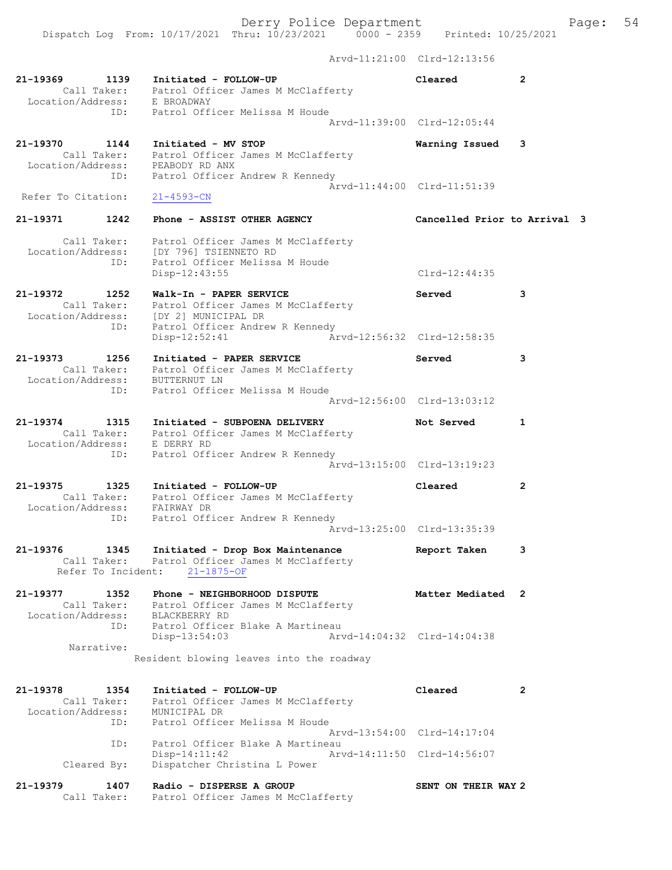Dispatch Log From: 10/17/2021 Thru: 10/23/2021 0000 - 2359 Printed: 10/25/2021 Arvd-11:21:00 Clrd-12:13:56 21-19369 1139 Initiated - FOLLOW-UP Cleared 2 Call Taker: Patrol Officer James M McClafferty Location/Address: E BROADWAY ID: Patrol Officer Melissa M Houde Arvd-11:39:00 Clrd-12:05:44 21-19370 1144 Initiated - MV STOP Warning Issued 3 Call Taker: Patrol Officer James M McClafferty Location/Address: PEABODY RD ANX ID: Patrol Officer Andrew R Kennedy Arvd-11:44:00 Clrd-11:51:39<br>21-4593-CN Refer To Citation: 21-19371 1242 Phone - ASSIST OTHER AGENCY Cancelled Prior to Arrival 3 Call Taker: Patrol Officer James M McClafferty Location/Address: [DY 796] TSIENNETO RD ID: Patrol Officer Melissa M Houde Disp-12:43:55 Clrd-12:44:35 21-19372 1252 Walk-In - PAPER SERVICE Served 3 Call Taker: Patrol Officer James M McClafferty Location/Address: [DY 2] MUNICIPAL DR ID: Patrol Officer Andrew R Kennedy Disp-12:52:41 Arvd-12:56:32 Clrd-12:58:35 21-19373 1256 Initiated - PAPER SERVICE Served 3 Call Taker: Patrol Officer James M McClafferty Location/Address: BUTTERNUT LN ID: Patrol Officer Melissa M Houde Arvd-12:56:00 Clrd-13:03:12 21-19374 1315 Initiated - SUBPOENA DELIVERY Not Served 1 Call Taker: Patrol Officer James M McClafferty Location/Address: E DERRY RD ID: Patrol Officer Andrew R Kennedy Arvd-13:15:00 Clrd-13:19:23 21-19375 1325 Initiated - FOLLOW-UP Cleared 2 Call Taker: Patrol Officer James M McClafferty Location/Address: FAIRWAY DR ID: Patrol Officer Andrew R Kennedy Arvd-13:25:00 Clrd-13:35:39 21-19376 1345 Initiated - Drop Box Maintenance Report Taken 3 Call Taker: Patrol Officer James M McClafferty Refer To Incident: 21-1875-OF 21-19377 1352 Phone - NEIGHBORHOOD DISPUTE Matter Mediated 2 Call Taker: Patrol Officer James M McClafferty Location/Address: BLACKBERRY RD ID: Patrol Officer Blake A Martineau Disp-13:54:03 Arvd-14:04:32 Clrd-14:04:38 Narrative: Resident blowing leaves into the roadway 21-19378 1354 Initiated - FOLLOW-UP Cleared 2 Call Taker: Patrol Officer James M McClafferty Location/Address: MUNICIPAL DR ID: Patrol Officer Melissa M Houde Arvd-13:54:00 Clrd-14:17:04 ID: Patrol Officer Blake A Martineau Disp-14:11:42 Arvd-14:11:50 Clrd-14:56:07 Cleared By: Dispatcher Christina L Power

21-19379 1407 Radio - DISPERSE A GROUP SENT ON THEIR WAY 2 Call Taker: Patrol Officer James M McClafferty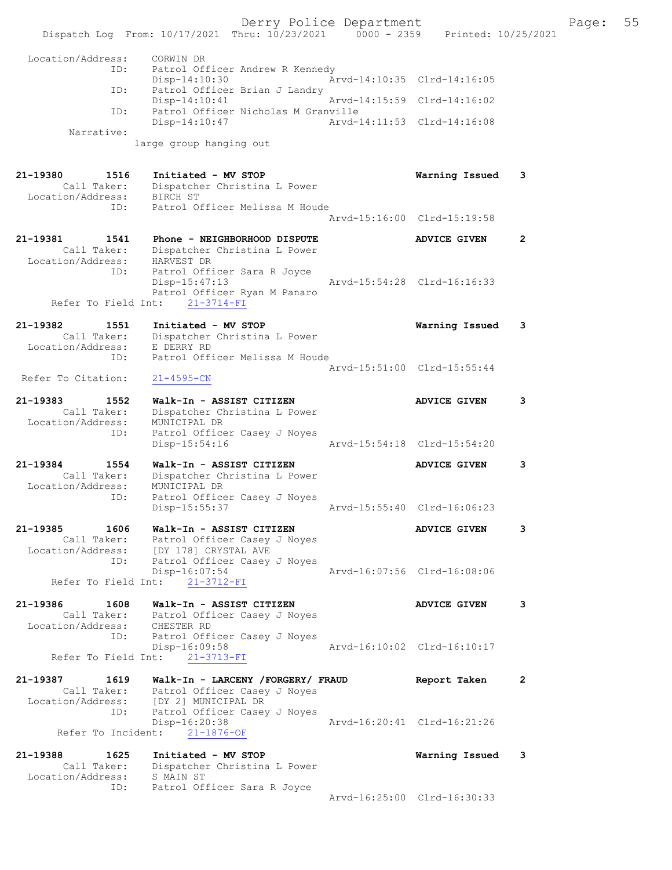Derry Police Department Fage: 55 Dispatch Log From: 10/17/2021 Thru: 10/23/2021 0000 - 2359 Printed: 10/25/2021 Location/Address: CORWIN DR ID: Patrol Officer Andrew R Kennedy Disp-14:10:30 Arvd-14:10:35 Clrd-14:16:05 ID: Patrol Officer Brian J Landry<br>Disp-14:10:41 Arvd-14:15:59 Clrd-14:16:02 Disp-14:10:41 ID: Patrol Officer Nicholas M Granville Disp-14:10:47 Arvd-14:11:53 Clrd-14:16:08 Narrative: large group hanging out 21-19380 1516 Initiated - MV STOP Warning Issued 3 Call Taker: Dispatcher Christina L Power Location/Address: BIRCH ST ID: Patrol Officer Melissa M Houde Arvd-15:16:00 Clrd-15:19:58 21-19381 1541 Phone - NEIGHBORHOOD DISPUTE 19381 2 Call Taker: Dispatcher Christina L Power Location/Address: HARVEST DR ID: Patrol Officer Sara R Joyce Disp-15:47:13 Arvd-15:54:28 Clrd-16:16:33 Patrol Officer Ryan M Panaro Refer To Field Int:  $21-3714-FI$ 21-19382 1551 Initiated - MV STOP Warning Issued 3 Call Taker: Dispatcher Christina L Power Location/Address: E DERRY RD ID: Patrol Officer Melissa M Houde Arvd-15:51:00 Clrd-15:55:44 Refer To Citation: 21-4595-CN 21-19383 1552 Walk-In - ASSIST CITIZEN ADVICE GIVEN 3 Call Taker: Dispatcher Christina L Power Location/Address: MUNICIPAL DR ID: Patrol Officer Casey J Noyes Disp-15:54:16 21-19384 1554 Walk-In - ASSIST CITIZEN ADVICE GIVEN 3 Call Taker: Dispatcher Christina L Power Location/Address: MUNICIPAL DR ID: Patrol Officer Casey J Noyes Disp-15:55:37 Arvd-15:55:40 Clrd-16:06:23 21-19385 1606 Walk-In - ASSIST CITIZEN 1990 ADVICE GIVEN 3 Call Taker: Patrol Officer Casey J Noyes Location/Address: [DY 178] CRYSTAL AVE ID: Patrol Officer Casey J Noyes Disp-16:07:54 Arvd-16:07:56 Clrd-16:08:06 Refer To Field Int: 21-3712-FI 21-19386 1608 Walk-In - ASSIST CITIZEN 1990 ADVICE GIVEN 3 Call Taker: Patrol Officer Casey J Noyes Location/Address: CHESTER RD ID: Patrol Officer Casey J Noyes Disp-16:09:58 Arvd-16:10:02 Clrd-16:10:17 Refer To Field Int: 21-3713-FI 21-19387 1619 Walk-In - LARCENY /FORGERY/ FRAUD Report Taken 2 Call Taker: Patrol Officer Casey J Noyes Location/Address: [DY 2] MUNICIPAL DR ID: Patrol Officer Casey J Noyes Disp-16:20:38 Arvd-16:20:41 Clrd-16:21:26 Refer To Incident: 21-1876-OF 21-19388 1625 Initiated - MV STOP Warning Issued 3 Call Taker: Dispatcher Christina L Power Location/Address: S MAIN ST ID: Patrol Officer Sara R Joyce Arvd-16:25:00 Clrd-16:30:33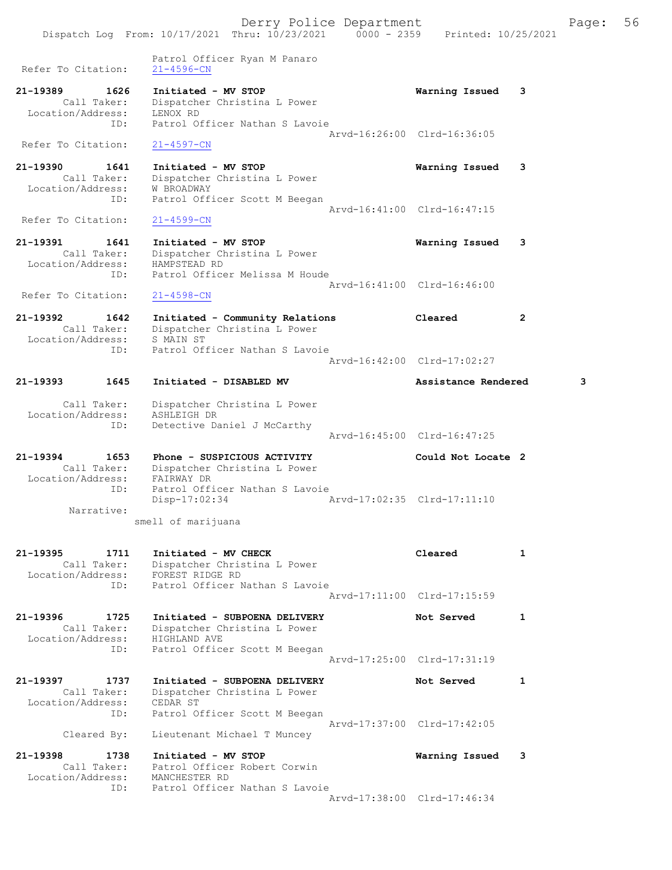Derry Police Department Fage: 56 Dispatch Log From: 10/17/2021 Thru: 10/23/2021 0000 - 2359 Printed: 10/25/2021 Patrol Officer Ryan M Panaro Refer To Citation: 21-4596-CN 21-19389 1626 Initiated - MV STOP Warning Issued 3 Call Taker: Dispatcher Christina L Power Location/Address: LENOX RD ID: Patrol Officer Nathan S Lavoie Arvd-16:26:00 Clrd-16:36:05 Refer To Citation: 21-4597-CN 21-19390 1641 Initiated - MV STOP Warning Issued 3 Call Taker: Dispatcher Christina L Power Location/Address: W BROADWAY ID: Patrol Officer Scott M Beegan Arvd-16:41:00 Clrd-16:47:15<br>
21-4599-CN Refer To Citation: 21-19391 1641 Initiated - MV STOP Warning Issued 3 Call Taker: Dispatcher Christina L Power Location/Address: HAMPSTEAD RD ID: Patrol Officer Melissa M Houde Arvd-16:41:00 Clrd-16:46:00 Refer To Citation: 21-4598-CN 21-19392 1642 Initiated - Community Relations Cleared 2 Call Taker: Dispatcher Christina L Power Location/Address: S MAIN ST ID: Patrol Officer Nathan S Lavoie Arvd-16:42:00 Clrd-17:02:27 21-19393 1645 Initiated - DISABLED MV Assistance Rendered 3 Call Taker: Dispatcher Christina L Power Location/Address: ASHLEIGH DR ID: Detective Daniel J McCarthy Arvd-16:45:00 Clrd-16:47:25 21-19394 1653 Phone - SUSPICIOUS ACTIVITY Could Not Locate 2 Call Taker: Dispatcher Christina L Power Location/Address: FAIRWAY DR ID: Patrol Officer Nathan S Lavoie Disp-17:02:34 Arvd-17:02:35 Clrd-17:11:10 Narrative: smell of marijuana 21-19395 1711 Initiated - MV CHECK Cleared 1 Call Taker: Dispatcher Christina L Power Location/Address: FOREST RIDGE RD ID: Patrol Officer Nathan S Lavoie Arvd-17:11:00 Clrd-17:15:59 21-19396 1725 Initiated - SUBPOENA DELIVERY Not Served 1 Call Taker: Dispatcher Christina L Power Location/Address: HIGHLAND AVE ID: Patrol Officer Scott M Beegan Arvd-17:25:00 Clrd-17:31:19 21-19397 1737 Initiated - SUBPOENA DELIVERY Not Served 1 Call Taker: Dispatcher Christina L Power Location/Address: CEDAR ST ID: Patrol Officer Scott M Beegan Arvd-17:37:00 Clrd-17:42:05 Cleared By: Lieutenant Michael T Muncey

21-19398 1738 Initiated - MV STOP Warning Issued 3 Call Taker: Patrol Officer Robert Corwin<br>Cation/Address: MANCHESTER RD Location/Address:<br>ID: Patrol Officer Nathan S Lavoie Arvd-17:38:00 Clrd-17:46:34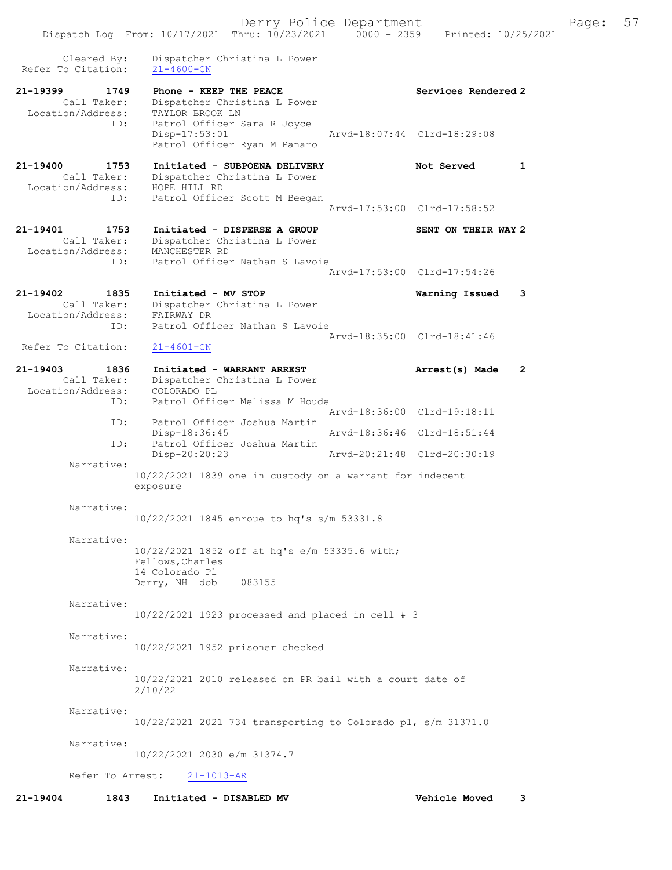Dispatch Log From: 10/17/2021 Thru: 10/23/2021 0000 - 2359 Printed: 10/25/2021 Cleared By: Dispatcher Christina L Power Refer To Citation: 21-4600-CN 21-19399 1749 Phone - KEEP THE PEACE Network Services Rendered 2 Call Taker: Dispatcher Christina L Power Location/Address: TAYLOR BROOK LN ID: Patrol Officer Sara R Joyce Disp-17:53:01 Arvd-18:07:44 Clrd-18:29:08 Patrol Officer Ryan M Panaro 21-19400 1753 Initiated - SUBPOENA DELIVERY Not Served 1 Call Taker: Dispatcher Christina L Power Location/Address: HOPE HILL RD ID: Patrol Officer Scott M Beegan Arvd-17:53:00 Clrd-17:58:52 21-19401 1753 Initiated - DISPERSE A GROUP SENT ON THEIR WAY 2 Call Taker: Dispatcher Christina L Power Location/Address: MANCHESTER RD ID: Patrol Officer Nathan S Lavoie Arvd-17:53:00 Clrd-17:54:26 21-19402 1835 Initiated - MV STOP Warning Issued 3 Call Taker: Dispatcher Christina L Power Location/Address: FAIRWAY DR ID: Patrol Officer Nathan S Lavoie Arvd-18:35:00 Clrd-18:41:46<br>21-4601-CN Refer To Citation: 21-19403 1836 Initiated - WARRANT ARREST Arrest(s) Made 2 Call Taker: Dispatcher Christina L Power Location/Address: COLORADO PL ID: Patrol Officer Melissa M Houde Arvd-18:36:00 Clrd-19:18:11 ID: Patrol Officer Joshua Martin<br>Disp-18:36:45 Mrvd-18:36:46 Clrd-18:51:44 Disp-18:36:45 ID: Patrol Officer Joshua Martin Disp-20:20:23 Arvd-20:21:48 Clrd-20:30:19 Narrative: 10/22/2021 1839 one in custody on a warrant for indecent exposure Narrative: 10/22/2021 1845 enroue to hq's s/m 53331.8 Narrative: 10/22/2021 1852 off at hq's e/m 53335.6 with; Fellows,Charles 14 Colorado Pl Derry, NH dob 083155 Narrative: 10/22/2021 1923 processed and placed in cell # 3 Narrative: 10/22/2021 1952 prisoner checked Narrative: 10/22/2021 2010 released on PR bail with a court date of 2/10/22 Narrative: 10/22/2021 2021 734 transporting to Colorado pl, s/m 31371.0 Narrative: 10/22/2021 2030 e/m 31374.7 Refer To Arrest: 21-1013-AR 21-19404 1843 Initiated - DISABLED MV Vehicle Moved 3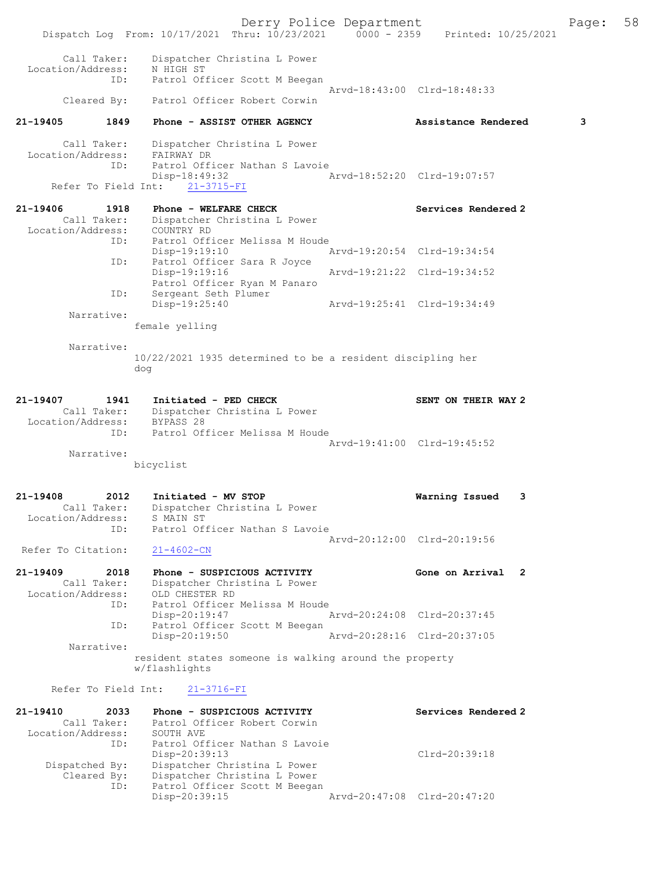|                                  |      |                                                                                | Derry Police Department |                             |   | Page: | 58 |
|----------------------------------|------|--------------------------------------------------------------------------------|-------------------------|-----------------------------|---|-------|----|
|                                  |      | Dispatch Log From: 10/17/2021 Thru: 10/23/2021 0000 - 2359 Printed: 10/25/2021 |                         |                             |   |       |    |
| Call Taker:                      |      | Dispatcher Christina L Power                                                   |                         |                             |   |       |    |
| Location/Address:                | ID:  | N HIGH ST<br>Patrol Officer Scott M Beegan                                     |                         |                             |   |       |    |
|                                  |      |                                                                                |                         | Arvd-18:43:00 Clrd-18:48:33 |   |       |    |
| Cleared By:                      |      | Patrol Officer Robert Corwin                                                   |                         |                             |   |       |    |
| 21-19405                         | 1849 | Phone - ASSIST OTHER AGENCY                                                    |                         | Assistance Rendered         |   | 3     |    |
| Call Taker:                      |      | Dispatcher Christina L Power                                                   |                         |                             |   |       |    |
| Location/Address:                | ID:  | FAIRWAY DR<br>Patrol Officer Nathan S Lavoie                                   |                         |                             |   |       |    |
|                                  |      | Disp-18:49:32                                                                  |                         | Arvd-18:52:20 Clrd-19:07:57 |   |       |    |
| Refer To Field Int:              |      | $21 - 3715 - FI$                                                               |                         |                             |   |       |    |
| 21-19406                         | 1918 | Phone - WELFARE CHECK                                                          |                         | Services Rendered 2         |   |       |    |
| Location/Address: COUNTRY RD     |      | Call Taker: Dispatcher Christina L Power                                       |                         |                             |   |       |    |
|                                  | ID:  | Patrol Officer Melissa M Houde                                                 |                         |                             |   |       |    |
|                                  | ID:  | Disp-19:19:10<br>Patrol Officer Sara R Joyce                                   |                         | Arvd-19:20:54 Clrd-19:34:54 |   |       |    |
|                                  |      | Disp-19:19:16                                                                  |                         | Arvd-19:21:22 Clrd-19:34:52 |   |       |    |
|                                  | ID:  | Patrol Officer Ryan M Panaro<br>Sergeant Seth Plumer                           |                         |                             |   |       |    |
|                                  |      | Disp-19:25:40                                                                  |                         | Arvd-19:25:41 Clrd-19:34:49 |   |       |    |
| Narrative:                       |      | female yelling                                                                 |                         |                             |   |       |    |
| Narrative:                       |      |                                                                                |                         |                             |   |       |    |
|                                  |      | 10/22/2021 1935 determined to be a resident discipling her                     |                         |                             |   |       |    |
|                                  |      | dog                                                                            |                         |                             |   |       |    |
| 21-19407                         | 1941 |                                                                                |                         |                             |   |       |    |
|                                  |      | Initiated - PED CHECK<br>Call Taker: Dispatcher Christina L Power              |                         | SENT ON THEIR WAY 2         |   |       |    |
| Location/Address: BYPASS 28      |      |                                                                                |                         |                             |   |       |    |
|                                  | ID:  | Patrol Officer Melissa M Houde                                                 |                         | Arvd-19:41:00 Clrd-19:45:52 |   |       |    |
| Narrative:                       |      |                                                                                |                         |                             |   |       |    |
|                                  |      | bicyclist                                                                      |                         |                             |   |       |    |
| 21-19408                         | 2012 | Initiated - MV STOP                                                            |                         | Warning Issued              | 3 |       |    |
| Call Taker:                      |      | Dispatcher Christina L Power                                                   |                         |                             |   |       |    |
| Location/Address:                | ID:  | S MAIN ST<br>Patrol Officer Nathan S Lavoie                                    |                         |                             |   |       |    |
|                                  |      |                                                                                |                         | Arvd-20:12:00 Clrd-20:19:56 |   |       |    |
| Refer To Citation:               |      | $21 - 4602 - CN$                                                               |                         |                             |   |       |    |
| 21-19409                         | 2018 | Phone - SUSPICIOUS ACTIVITY                                                    |                         | Gone on Arrival 2           |   |       |    |
| Call Taker:<br>Location/Address: |      | Dispatcher Christina L Power<br>OLD CHESTER RD                                 |                         |                             |   |       |    |
|                                  | ID:  | Patrol Officer Melissa M Houde                                                 |                         |                             |   |       |    |
|                                  | ID:  | $Disp-20:19:47$<br>Patrol Officer Scott M Beegan                               |                         | Arvd-20:24:08 Clrd-20:37:45 |   |       |    |
|                                  |      | Disp-20:19:50                                                                  |                         | Arvd-20:28:16 Clrd-20:37:05 |   |       |    |
| Narrative:                       |      | resident states someone is walking around the property                         |                         |                             |   |       |    |
|                                  |      | w/flashlights                                                                  |                         |                             |   |       |    |
| Refer To Field Int:              |      | $21 - 3716 - FI$                                                               |                         |                             |   |       |    |
| 21-19410                         | 2033 | Phone - SUSPICIOUS ACTIVITY                                                    |                         | Services Rendered 2         |   |       |    |
| Call Taker:                      |      | Patrol Officer Robert Corwin                                                   |                         |                             |   |       |    |
| Location/Address:                | ID:  | SOUTH AVE<br>Patrol Officer Nathan S Lavoie                                    |                         |                             |   |       |    |
|                                  |      | $Disp-20:39:13$                                                                |                         | Clrd-20:39:18               |   |       |    |
| Dispatched By:                   |      | Dispatcher Christina L Power                                                   |                         |                             |   |       |    |
| Cleared By:                      | ID:  | Dispatcher Christina L Power<br>Patrol Officer Scott M Beegan                  |                         |                             |   |       |    |
|                                  |      |                                                                                |                         |                             |   |       |    |

Disp-20:39:15 Arvd-20:47:08 Clrd-20:47:20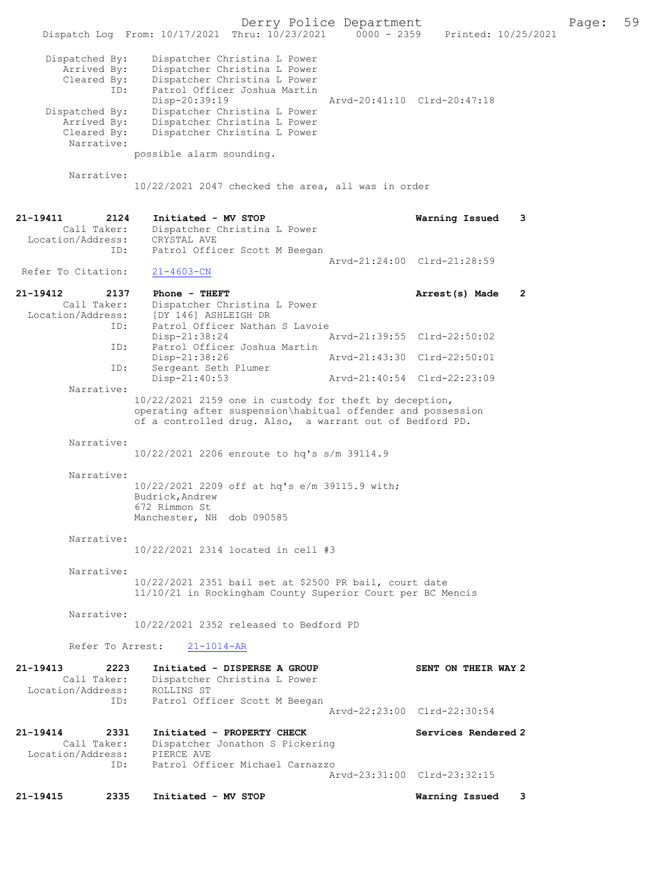| 21-19415<br>2335                                            | Initiated - MV STOP                                                                                                                                                               |                             | Warning Issued      | 3 |       |    |
|-------------------------------------------------------------|-----------------------------------------------------------------------------------------------------------------------------------------------------------------------------------|-----------------------------|---------------------|---|-------|----|
| ID:                                                         | Patrol Officer Michael Carnazzo                                                                                                                                                   | Arvd-23:31:00 Clrd-23:32:15 |                     |   |       |    |
| 21-19414<br>2331<br>Call Taker:<br>Location/Address:        | Initiated - PROPERTY CHECK<br>Dispatcher Jonathon S Pickering<br>PIERCE AVE                                                                                                       |                             | Services Rendered 2 |   |       |    |
| Location/Address:<br>ID:                                    | ROLLINS ST<br>Patrol Officer Scott M Beegan                                                                                                                                       | Arvd-22:23:00 Clrd-22:30:54 |                     |   |       |    |
| Refer To Arrest:<br>21-19413<br>2223<br>Call Taker:         | $21 - 1014 - AR$<br>Initiated - DISPERSE A GROUP<br>Dispatcher Christina L Power                                                                                                  |                             | SENT ON THEIR WAY 2 |   |       |    |
|                                                             | 10/22/2021 2352 released to Bedford PD                                                                                                                                            |                             |                     |   |       |    |
| Narrative:                                                  | 11/10/21 in Rockingham County Superior Court per BC Mencis                                                                                                                        |                             |                     |   |       |    |
| Narrative:                                                  | 10/22/2021 2351 bail set at \$2500 PR bail, court date                                                                                                                            |                             |                     |   |       |    |
| Narrative:                                                  | 10/22/2021 2314 located in cell #3                                                                                                                                                |                             |                     |   |       |    |
| Narrative:                                                  | 10/22/2021 2209 off at hq's e/m 39115.9 with;<br>Budrick, Andrew<br>672 Rimmon St<br>Manchester, NH dob 090585                                                                    |                             |                     |   |       |    |
| Narrative:                                                  | 10/22/2021 2206 enroute to hq's s/m 39114.9                                                                                                                                       |                             |                     |   |       |    |
| Narrative:                                                  | 10/22/2021 2159 one in custody for theft by deception,<br>operating after suspension\habitual offender and possession<br>of a controlled drug. Also, a warrant out of Bedford PD. |                             |                     |   |       |    |
| ID:                                                         | Sergeant Seth Plumer<br>Disp-21:40:53                                                                                                                                             | Arvd-21:40:54 Clrd-22:23:09 |                     |   |       |    |
| ID:                                                         | Patrol Officer Joshua Martin<br>Disp-21:38:26                                                                                                                                     | Arvd-21:43:30 Clrd-22:50:01 |                     |   |       |    |
| Location/Address:<br>ID:                                    | [DY 146] ASHLEIGH DR<br>Patrol Officer Nathan S Lavoie<br>Disp-21:38:24                                                                                                           | Arvd-21:39:55 Clrd-22:50:02 |                     |   |       |    |
| 21-19412<br>2137<br>Call Taker:                             | Phone - THEFT<br>Dispatcher Christina L Power                                                                                                                                     |                             | Arrest(s) Made      | 2 |       |    |
| Refer To Citation:                                          | $21 - 4603 - CN$                                                                                                                                                                  | Arvd-21:24:00 Clrd-21:28:59 |                     |   |       |    |
| 21-19411<br>2124<br>Call Taker:<br>Location/Address:<br>ID: | Initiated - MV STOP<br>Dispatcher Christina L Power<br>CRYSTAL AVE<br>Patrol Officer Scott M Beegan                                                                               |                             | Warning Issued      | 3 |       |    |
| Narrative:                                                  | $10/22/2021$ 2047 checked the area, all was in order                                                                                                                              |                             |                     |   |       |    |
| Cleared By:<br>Narrative:                                   | Dispatcher Christina L Power<br>possible alarm sounding.                                                                                                                          |                             |                     |   |       |    |
| ID:<br>Dispatched By:<br>Arrived By:                        | Patrol Officer Joshua Martin<br>Disp-20:39:19<br>Dispatcher Christina L Power<br>Dispatcher Christina L Power                                                                     | Arvd-20:41:10 Clrd-20:47:18 |                     |   |       |    |
| Dispatched By:<br>Arrived By:<br>Cleared By:                | Dispatcher Christina L Power<br>Dispatcher Christina L Power<br>Dispatcher Christina L Power                                                                                      |                             |                     |   |       |    |
|                                                             | Dispatch Log From: 10/17/2021 Thru: 10/23/2021 0000 - 2359                                                                                                                        |                             | Printed: 10/25/2021 |   |       |    |
|                                                             |                                                                                                                                                                                   | Derry Police Department     |                     |   | Page: | 59 |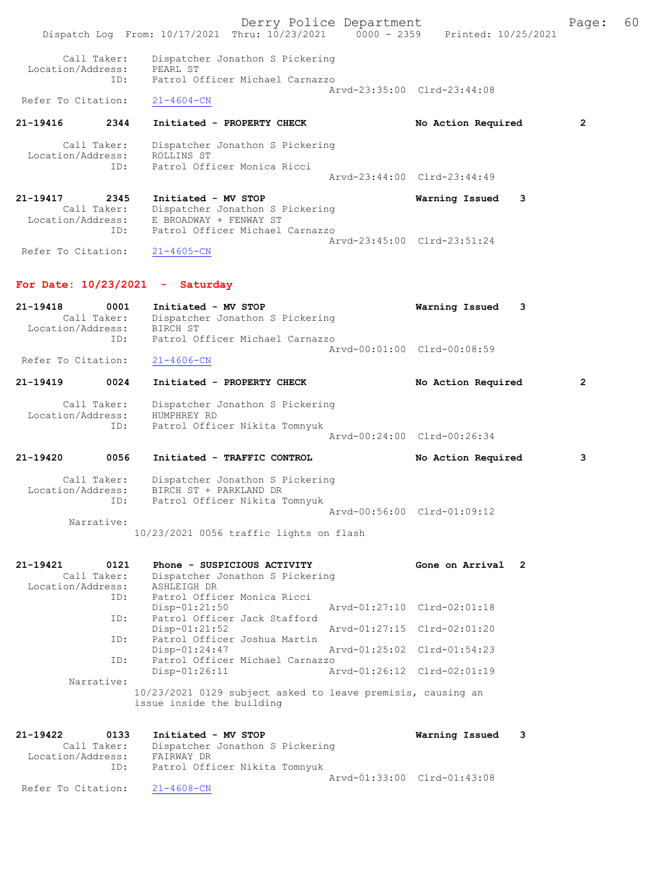Derry Police Department Fage: 60 Dispatch Log From: 10/17/2021 Thru: 10/23/2021 0000 - 2359 Printed: 10/25/2021 Call Taker: Dispatcher Jonathon S Pickering<br>ion/Address: PEAPI ST Location/Address: PEARL ST<br>ID: Patrol O Patrol Officer Michael Carnazzo Arvd-23:35:00 Clrd-23:44:08<br>21-4604-CN Refer To Citation: 21-19416 2344 Initiated - PROPERTY CHECK No Action Required 2 Call Taker: Dispatcher Jonathon S Pickering Location/Address: ROLLINS ST ress: KULLINS SI<br>ID: Patrol Officer Monica Ricci Arvd-23:44:00 Clrd-23:44:49 21-19417 2345 Initiated - MV STOP Warning Issued 3 Call Taker: Dispatcher Jonathon S Pickering Location/Address: E BROADWAY + FENWAY ST ID: Patrol Officer Michael Carnazzo Arvd-23:45:00 Clrd-23:51:24 Refer To Citation: 21-4605-CN For Date: 10/23/2021 - Saturday 21-19418 0001 Initiated - MV STOP Warning Issued 3 Call Taker: Dispatcher Jonathon S Pickering Location/Address: BIRCH ST ID: Patrol Officer Michael Carnazzo Arvd-00:01:00 Clrd-00:08:59<br>21-4606-CN Refer To Citation: 21-19419 0024 Initiated - PROPERTY CHECK No Action Required 2 Call Taker: Dispatcher Jonathon S Pickering Location/Address: HUMPHREY RD ID: Patrol Officer Nikita Tomnyuk Arvd-00:24:00 Clrd-00:26:34 21-19420 0056 Initiated - TRAFFIC CONTROL No Action Required 3 Call Taker: Dispatcher Jonathon S Pickering Location/Address: BIRCH ST + PARKLAND DR ID: Patrol Officer Nikita Tomnyuk Arvd-00:56:00 Clrd-01:09:12 Narrative: 10/23/2021 0056 traffic lights on flash 21-19421 0121 Phone - SUSPICIOUS ACTIVITY Gone on Arrival 2 Call Taker: Dispatcher Jonathon S Pickering Location/Address: ASHLEIGH DR ID: Patrol Officer Monica Ricci Disp-01:21:50 Arvd-01:27:10 Clrd-02:01:18 ID: Patrol Officer Jack Stafford Disp-01:21:52 Arvd-01:27:15 Clrd-02:01:20 ID: Patrol Officer Joshua Martin Disp-01:24:47 Arvd-01:25:02 Clrd-01:54:23 ID: Patrol Officer Michael Carnazzo Disp-01:26:11 Arvd-01:26:12 Clrd-02:01:19 Narrative: 10/23/2021 0129 subject asked to leave premisis, causing an issue inside the building 21-19422 0133 Initiated - MV STOP Warning Issued 3 Call Taker: Dispatcher Jonathon S Pickering Location/Address: FAIRWAY DR ID: Patrol Officer Nikita Tomnyuk Arvd-01:33:00 Clrd-01:43:08<br>21-4608-CN Refer To Citation: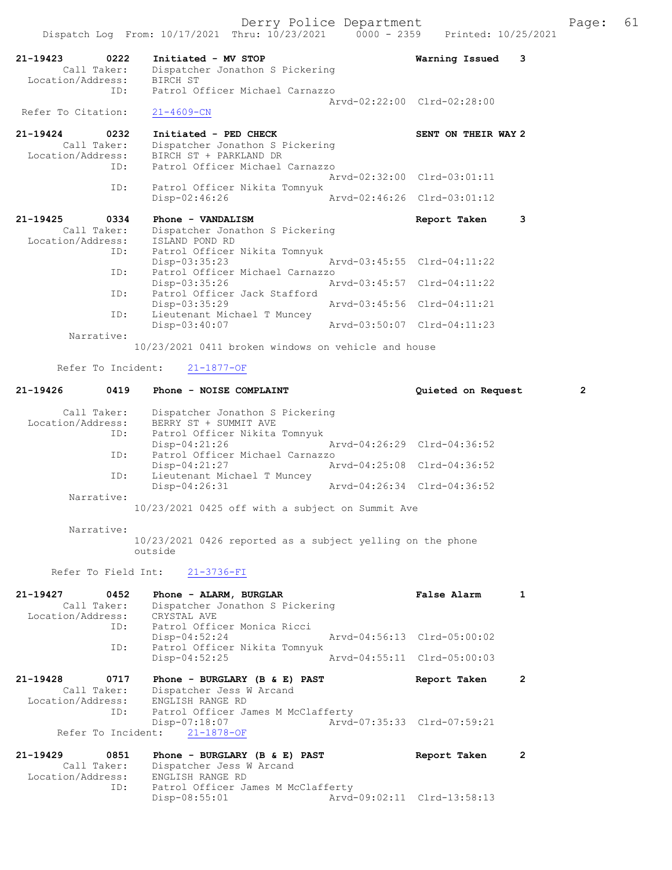|                                                             | Dispatch Log From: 10/17/2021 Thru: 10/23/2021                                                                                            | Printed: 10/25/2021<br>$0000 - 2359$                        |                |
|-------------------------------------------------------------|-------------------------------------------------------------------------------------------------------------------------------------------|-------------------------------------------------------------|----------------|
| 21-19423<br>0222<br>Call Taker:<br>Location/Address:        | Initiated - MV STOP<br>Dispatcher Jonathon S Pickering<br>BIRCH ST                                                                        | Warning Issued<br>3                                         |                |
| ID:                                                         | Patrol Officer Michael Carnazzo                                                                                                           | Arvd-02:22:00 Clrd-02:28:00                                 |                |
| Refer To Citation:                                          | $21 - 4609 - CN$                                                                                                                          |                                                             |                |
| 21-19424<br>0232<br>Call Taker:<br>Location/Address:<br>ID: | Initiated - PED CHECK<br>Dispatcher Jonathon S Pickering<br>BIRCH ST + PARKLAND DR<br>Patrol Officer Michael Carnazzo                     | SENT ON THEIR WAY 2                                         |                |
|                                                             |                                                                                                                                           | Arvd-02:32:00 Clrd-03:01:11                                 |                |
| ID:                                                         | Patrol Officer Nikita Tomnyuk<br>Disp-02:46:26                                                                                            | Arvd-02:46:26 Clrd-03:01:12                                 |                |
| $21 - 19425$<br>0334<br>Call Taker:<br>Location/Address:    | Phone - VANDALISM<br>Dispatcher Jonathon S Pickering<br>ISLAND POND RD                                                                    | Report Taken<br>3                                           |                |
| ID:                                                         | Patrol Officer Nikita Tomnyuk<br>$Disp-03:35:23$                                                                                          | Arvd-03:45:55 Clrd-04:11:22                                 |                |
| ID:                                                         | Patrol Officer Michael Carnazzo<br>Disp-03:35:26                                                                                          | Arvd-03:45:57 Clrd-04:11:22                                 |                |
| ID:                                                         | Patrol Officer Jack Stafford<br>Disp-03:35:29                                                                                             | Arvd-03:45:56 Clrd-04:11:21                                 |                |
| ID:<br>Narrative:                                           | Lieutenant Michael T Muncey<br>Disp-03:40:07                                                                                              | Arvd-03:50:07 Clrd-04:11:23                                 |                |
|                                                             | 10/23/2021 0411 broken windows on vehicle and house                                                                                       |                                                             |                |
| Refer To Incident:                                          | $21 - 1877 - OF$                                                                                                                          |                                                             |                |
| $21 - 19426$<br>0419                                        | Phone - NOISE COMPLAINT                                                                                                                   | Quieted on Request                                          | $\overline{2}$ |
| Call Taker:<br>Location/Address:<br>ID:                     | Dispatcher Jonathon S Pickering<br>BERRY ST + SUMMIT AVE<br>Patrol Officer Nikita Tomnyuk<br>Disp-04:21:26                                | Arvd-04:26:29 Clrd-04:36:52                                 |                |
| ID:                                                         | Patrol Officer Michael Carnazzo<br>$Disp-04:21:27$                                                                                        | Arvd-04:25:08 Clrd-04:36:52                                 |                |
| ID:                                                         | Lieutenant Michael T Muncey<br>Disp-04:26:31                                                                                              | Arvd-04:26:34 Clrd-04:36:52                                 |                |
| Narrative:                                                  | 10/23/2021 0425 off with a subject on Summit Ave                                                                                          |                                                             |                |
| Narrative:                                                  | 10/23/2021 0426 reported as a subject yelling on the phone                                                                                |                                                             |                |
|                                                             | outside                                                                                                                                   |                                                             |                |
| Refer To Field Int:                                         | 21-3736-FI                                                                                                                                |                                                             |                |
| 21-19427<br>0452<br>Call Taker:<br>Location/Address:<br>ID: | Phone - ALARM, BURGLAR<br>Dispatcher Jonathon S Pickering<br>CRYSTAL AVE<br>Patrol Officer Monica Ricci                                   | <b>False Alarm</b><br>$\mathbf{1}$                          |                |
| ID:                                                         | Disp-04:52:24<br>Patrol Officer Nikita Tomnyuk                                                                                            | Arvd-04:56:13 Clrd-05:00:02                                 |                |
|                                                             | $Disp-04:52:25$                                                                                                                           | Arvd-04:55:11 Clrd-05:00:03                                 |                |
| 21-19428<br>0717<br>Call Taker:<br>Location/Address:<br>ID: | Phone - BURGLARY (B $\&$ E) PAST<br>Dispatcher Jess W Arcand<br>ENGLISH RANGE RD<br>Patrol Officer James M McClafferty                    | Report Taken<br>2                                           |                |
| Refer To Incident:                                          | Disp-07:18:07<br>$21 - 1878 - OF$                                                                                                         | Arvd-07:35:33 Clrd-07:59:21                                 |                |
| 21-19429<br>0851<br>Call Taker:<br>Location/Address:<br>ID: | Phone - BURGLARY (B $\&$ E) PAST<br>Dispatcher Jess W Arcand<br>ENGLISH RANGE RD<br>Patrol Officer James M McClafferty<br>$Disp-08:55:01$ | Report Taken<br>$\mathbf{2}$<br>Arvd-09:02:11 Clrd-13:58:13 |                |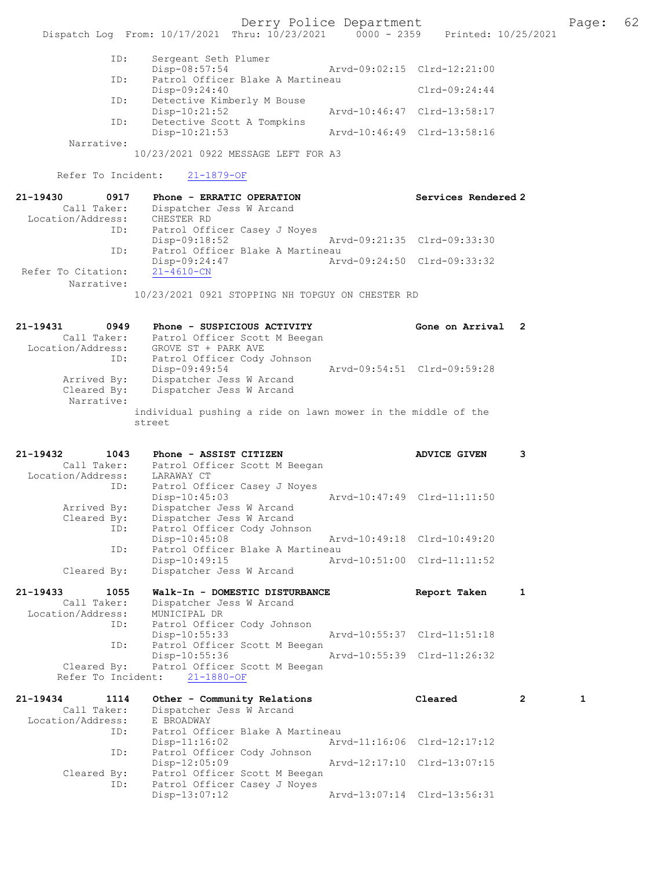Derry Police Department The Page: 62 Dispatch Log From: 10/17/2021 Thru: 10/23/2021 0000 - 2359 Printed: 10/25/2021 ID: Sergeant Seth Plumer Disp-08:57:54 Arvd-09:02:15 Clrd-12:21:00<br>TD: Patrol Officer Blake A Martineau Patrol Officer Blake A Martineau Disp-09:24:40 Clrd-09:24:44<br>TD: Detective Kimberly M Bouse Detective Kimberly M Bouse<br>Disp-10:21:52 Disp-10:21:52 Arvd-10:46:47 Clrd-13:58:17 ID: Detective Scott A Tompkins<br>Disp-10:21:53 Disp-10:21:53 Arvd-10:46:49 Clrd-13:58:16 Narrative: 10/23/2021 0922 MESSAGE LEFT FOR A3 Refer To Incident: 21-1879-OF 21-19430 0917 Phone - ERRATIC OPERATION Services Rendered 2 Call Taker: Dispatcher Jess W Arcand Location/Address: CHESTER RD ID: Patrol Officer Casey J Noyes<br>Disp-09:18:52 Arvd-09:21:35 Clrd-09:33:30 ID: Patrol Officer Blake A Martineau<br>Disp-09:24:47 Arvd-09:24:50 Clrd-09:33:32 Disp-09:24:47<br>21-4610-CN Refer To Citation: Narrative: 10/23/2021 0921 STOPPING NH TOPGUY ON CHESTER RD 21-19431 0949 Phone - SUSPICIOUS ACTIVITY Gone on Arrival 2 Call Taker: Patrol Officer Scott M Beegan Location/Address: GROVE ST + PARK AVE ID: Patrol Officer Cody Johnson Disp-09:49:54 Arvd-09:54:51 Clrd-09:59:28 Arrived By: Dispatcher Jess W Arcand<br>Cleared By: Dispatcher Jess W Arcand Dispatcher Jess W Arcand Narrative: individual pushing a ride on lawn mower in the middle of the street 21-19432 1043 Phone - ASSIST CITIZEN ADVICE GIVEN 3 Call Taker: Patrol Officer Scott M Beegan<br>Location/Address: LARAWAY CT Location/Address: LARAWAY CT ID: Patrol Officer Casey J Noyes Disp-10:45:03 Arvd-10:47:49 Clrd-11:11:50 Arrived By: Dispatcher Jess W Arcand Cleared By: Dispatcher Jess W Arcand ID: Patrol Officer Cody Johnson Disp-10:45:08 Arvd-10:49:18 Clrd-10:49:20 ID: Patrol Officer Blake A Martineau<br>Disp-10:49:15 Arw Arvd-10:51:00 Clrd-11:11:52 Cleared By: Dispatcher Jess W Arcand 21-19433 1055 Walk-In - DOMESTIC DISTURBANCE Report Taken 1 Call Taker: Dispatcher Jess W Arcand Location/Address: MUNICIPAL DR ID: Patrol Officer Cody Johnson Disp-10:55:33 Arvd-10:55:37 Clrd-11:51:18<br>ID: Patrol Officer Scott M Beegan Patrol Officer Scott M Beegan<br>Disp-10:55:36 Disp-10:55:36 Arvd-10:55:39 Clrd-11:26:32 Cleared By: Patrol Officer Scott M Beegan Refer To Incident: 21-1880-OF 21-19434 1114 Other - Community Relations Cleared 2 1 Call Taker: Dispatcher Jess W Arcand Location/Address: E BROADWAY ID: Patrol Officer Blake A Martineau

Disp-11:16:02 Arvd-11:16:06 Clrd-12:17:12<br>ID: Patrol Officer Cody Johnson

Disp-12:05:09 Arvd-12:17:10 Clrd-13:07:15

Disp-13:07:12 Arvd-13:07:14 Clrd-13:56:31

Patrol Officer Cody Johnson<br>Disp-12:05:09

Patrol Officer Casey J Noyes<br>Disp-13:07:12

Cleared By: Patrol Officer Scott M Beegan<br>TD: Patrol Officer Casey J Noves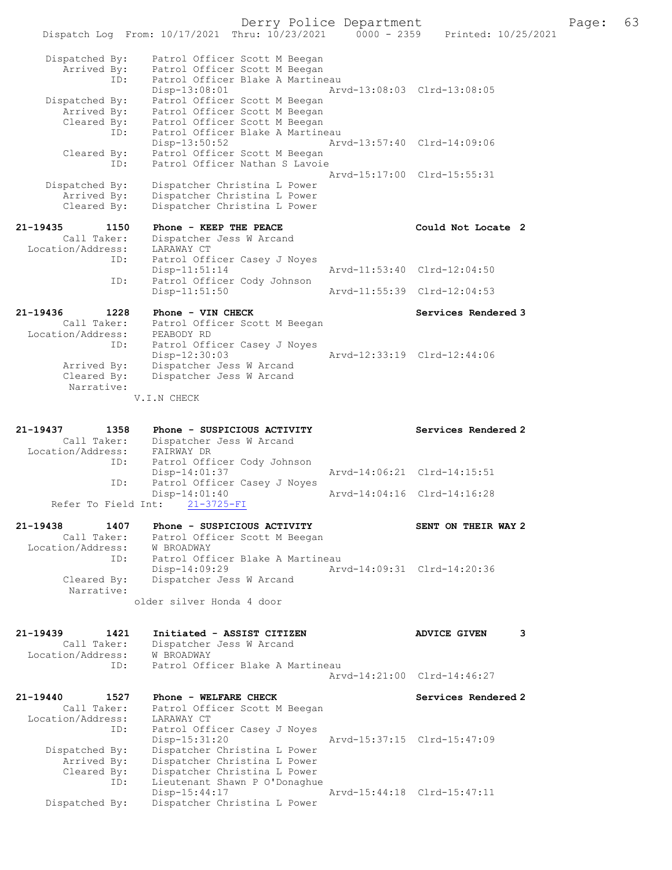Derry Police Department The Page: 63 Dispatch Log From: 10/17/2021 Thru: 10/23/2021 0000 - 2359 Printed: 10/25/2021 Dispatched By: Patrol Officer Scott M Beegan Arrived By: Patrol Officer Scott M Beegan ID: Patrol Officer Blake A Martineau Disp-13:08:01 Arvd-13:08:03 Clrd-13:08:05 Dispatched By: Patrol Officer Scott M Beegan Arrived By: Patrol Officer Scott M Beegan Cleared By: Patrol Officer Scott M Beegan ID: Patrol Officer Blake A Martineau Disp-13:50:52 Arvd-13:57:40 Clrd-14:09:06 Cleared By: Patrol Officer Scott M Beegan ID: Patrol Officer Nathan S Lavoie Arvd-15:17:00 Clrd-15:55:31 Dispatched By: Dispatcher Christina L Power Arrived By: Dispatcher Christina L Power Cleared By: Dispatcher Christina L Power 21-19435 1150 Phone - KEEP THE PEACE 2 Could Not Locate 2 Call Taker: Dispatcher Jess W Arcand Location/Address: LARAWAY CT ID: Patrol Officer Casey J Noyes Disp-11:51:14 Arvd-11:53:40 Clrd-12:04:50 ID: Patrol Officer Cody Johnson Arvd-11:55:39 Clrd-12:04:53 21-19436 1228 Phone - VIN CHECK Services Rendered 3 Call Taker: Patrol Officer Scott M Beegan Location/Address: PEABODY RD ID: Patrol Officer Casey J Noyes<br>Disp-12:30:03 Disp-12:30:03 Arvd-12:33:19 Clrd-12:44:06 Arrived By: Dispatcher Jess W Arcand Cleared By: Dispatcher Jess W Arcand Narrative: V.I.N CHECK 21-19437 1358 Phone - SUSPICIOUS ACTIVITY Services Rendered 2 Call Taker: Dispatcher Jess W Arcand Location/Address: FAIRWAY DR ID: Patrol Officer Cody Johnson Disp-14:01:37 **Arvd-14:06:21 Clrd-14:15:51**<br>TD: Patrol Officer Casey J Noves Patrol Officer Casey J Noyes<br>Disp-14:01:40 Disp-14:01:40 Arvd-14:04:16 Clrd-14:16:28 Refer To Field Int: 21-3725-FI 21-19438 1407 Phone - SUSPICIOUS ACTIVITY SENT ON THEIR WAY 2 Call Taker: Patrol Officer Scott M Beegan Location/Address: W BROADWAY ID: Patrol Officer Blake A Martineau<br>Disp-14:09:29 Ary Disp-14:09:29 Arvd-14:09:31 Clrd-14:20:36<br>Cleared By: Dispatcher Jess W Arcand Dispatcher Jess W Arcand Narrative: older silver Honda 4 door 21-19439 1421 Initiated - ASSIST CITIZEN ADVICE GIVEN 3 Call Taker: Dispatcher Jess W Arcand Location/Address: W BROADWAY ID: Patrol Officer Blake A Martineau Arvd-14:21:00 Clrd-14:46:27 21-19440 1527 Phone - WELFARE CHECK Services Rendered 2 Call Taker: Patrol Officer Scott M Beegan Location/Address: LARAWAY CT ID: Patrol Officer Casey J Noyes Disp-15:31:20 Arvd-15:37:15 Clrd-15:47:09 Dispatched By: Dispatcher Christina L Power Arrived By: Dispatcher Christina L Power Cleared By: Dispatcher Christina L Power ID: Lieutenant Shawn P O'Donaghue Disp-15:44:17 Arvd-15:44:18 Clrd-15:47:11 Dispatched By: Dispatcher Christina L Power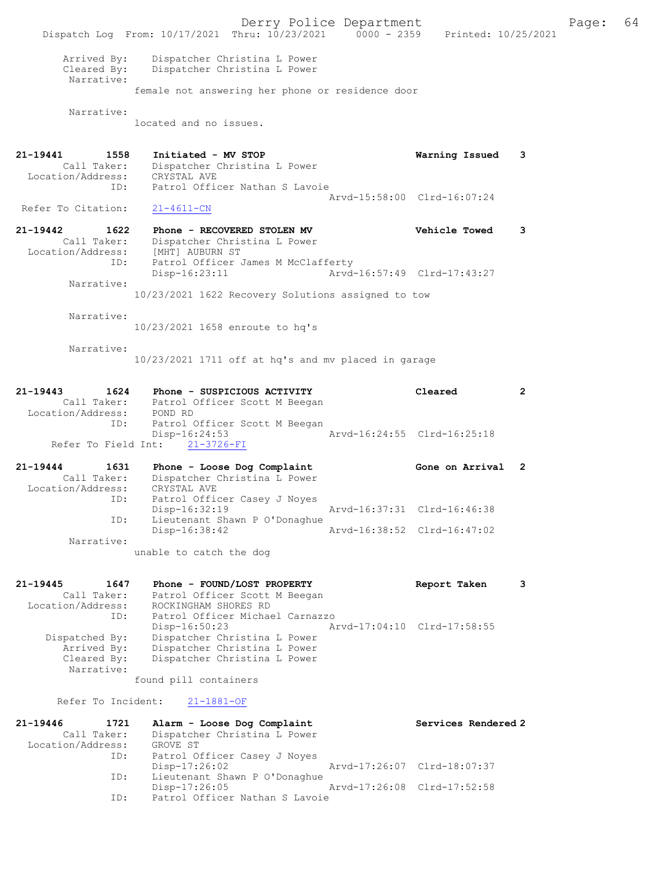Derry Police Department Fage: 64 Dispatch Log From: 10/17/2021 Thru: 10/23/2021 0000 - 2359 Printed: 10/25/2021 Arrived By: Dispatcher Christina L Power Cleared By: Dispatcher Christina L Power Narrative: female not answering her phone or residence door Narrative: located and no issues. 21-19441 1558 Initiated - MV STOP Warning Issued 3 Call Taker: Dispatcher Christina L Power Location/Address: CRYSTAL AVE ID: Patrol Officer Nathan S Lavoie Arvd-15:58:00 Clrd-16:07:24<br>21-4611-CN Refer To Citation: 21-19442 1622 Phone - RECOVERED STOLEN MV Vehicle Towed 3 Call Taker: Dispatcher Christina L Power Location/Address: [MHT] AUBURN ST ID: Patrol Officer James M McClafferty Disp-16:23:11 Arvd-16:57:49 Clrd-17:43:27 Narrative: 10/23/2021 1622 Recovery Solutions assigned to tow Narrative: 10/23/2021 1658 enroute to hq's Narrative: 10/23/2021 1711 off at hq's and mv placed in garage 21-19443 1624 Phone - SUSPICIOUS ACTIVITY Cleared 2 Call Taker: Patrol Officer Scott M Beegan Location/Address: POND RD ID: Patrol Officer Scott M Beegan Disp-16:24:53 Arvd-16:24:55 Clrd-16:25:18 Refer To Field Int: 21-3726-FI 21-19444 1631 Phone - Loose Dog Complaint Gone on Arrival 2 Call Taker: Dispatcher Christina L Power Location/Address: CRYSTAL AVE ID: Patrol Officer Casey J Noyes Disp-16:32:19 Arvd-16:37:31 Clrd-16:46:38 ID: Lieutenant Shawn P O'Donaghue<br>Disp-16:38:42 Disp-16:38:42 Arvd-16:38:52 Clrd-16:47:02 Narrative: unable to catch the dog 21-19445 1647 Phone - FOUND/LOST PROPERTY Report Taken 3 Call Taker: Patrol Officer Scott M Beegan Location/Address: ROCKINGHAM SHORES RD ID: Patrol Officer Michael Carnazzo<br>Disp-16:50:23 Am Disp-16:50:23 Arvd-17:04:10 Clrd-17:58:55 Dispatched By: Dispatcher Christina L Power Arrived By: Dispatcher Christina L Power Cleared By: Dispatcher Christina L Power Narrative: found pill containers Refer To Incident: 21-1881-OF 21-19446 1721 Alarm - Loose Dog Complaint Services Rendered 2 Call Taker: Dispatcher Christina L Power Location/Address: GROVE ST ID: Patrol Officer Casey J Noyes<br>Disp-17:26:02 Disp-17:26:02 Arvd-17:26:07 Clrd-18:07:37 ID: Lieutenant Shawn P O'Donaghue Disp-17:26:05 Arvd-17:26:08 Clrd-17:52:58 ID: Patrol Officer Nathan S Lavoie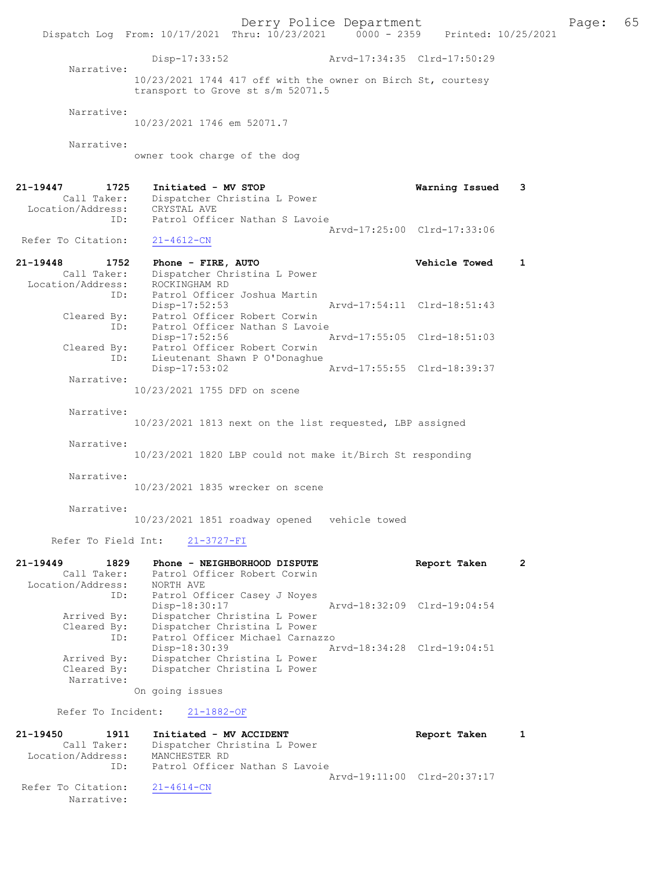Derry Police Department The Page: 65 Dispatch Log From: 10/17/2021 Thru: 10/23/2021 0000 - 2359 Printed: 10/25/2021 Disp-17:33:52 Arvd-17:34:35 Clrd-17:50:29 Narrative: 10/23/2021 1744 417 off with the owner on Birch St, courtesy transport to Grove st s/m 52071.5 Narrative: 10/23/2021 1746 em 52071.7 Narrative: owner took charge of the dog 21-19447 1725 Initiated - MV STOP Warning Issued 3 Call Taker: Dispatcher Christina L Power Location/Address: CRYSTAL AVE ID: Patrol Officer Nathan S Lavoie Arvd-17:25:00 Clrd-17:33:06<br>21-4612-CN Refer To Citation: 21-19448 1752 Phone - FIRE, AUTO Vehicle Towed 1 Call Taker: Dispatcher Christina L Power Location/Address: ROCKINGHAM RD ID: Patrol Officer Joshua Martin Disp-17:52:53 Arvd-17:54:11 Clrd-18:51:43 Cleared By: Patrol Officer Robert Corwin ID: Patrol Officer Nathan S Lavoie<br>Disp-17:52:56 P Disp-17:52:56 Arvd-17:55:05 Clrd-18:51:03 Cleared By: Patrol Officer Robert Corwin ID: Lieutenant Shawn P O'Donaghue Disp-17:53:02 Arvd-17:55:55 Clrd-18:39:37 Narrative: 10/23/2021 1755 DFD on scene Narrative: 10/23/2021 1813 next on the list requested, LBP assigned Narrative: 10/23/2021 1820 LBP could not make it/Birch St responding Narrative: 10/23/2021 1835 wrecker on scene Narrative: 10/23/2021 1851 roadway opened vehicle towed Refer To Field Int: 21-3727-FI 21-19449 1829 Phone - NEIGHBORHOOD DISPUTE Report Taken 2 Call Taker: Patrol Officer Robert Corwin Location/Address: NORTH AVE ID: Patrol Officer Casey J Noyes<br>Disp-18:30:17 Disp-18:30:17 Arvd-18:32:09 Clrd-19:04:54 Arrived By: Dispatcher Christina L Power Cleared By: Dispatcher Christina L Power ID: Patrol Officer Michael Carnazzo Disp-18:30:39 Arvd-18:34:28 Clrd-19:04:51 Arrived By: Dispatcher Christina L Power<br>Cleared By: Dispatcher Christina L Power Dispatcher Christina L Power Narrative: On going issues Refer To Incident: 21-1882-OF 21-19450 1911 Initiated - MV ACCIDENT Report Taken 1 Call Taker: Dispatcher Christina L Power Location/Address: MANCHESTER RD ID: Patrol Officer Nathan S Lavoie Arvd-19:11:00 Clrd-20:37:17<br>21-4614-CN

Refer To Citation:

Narrative: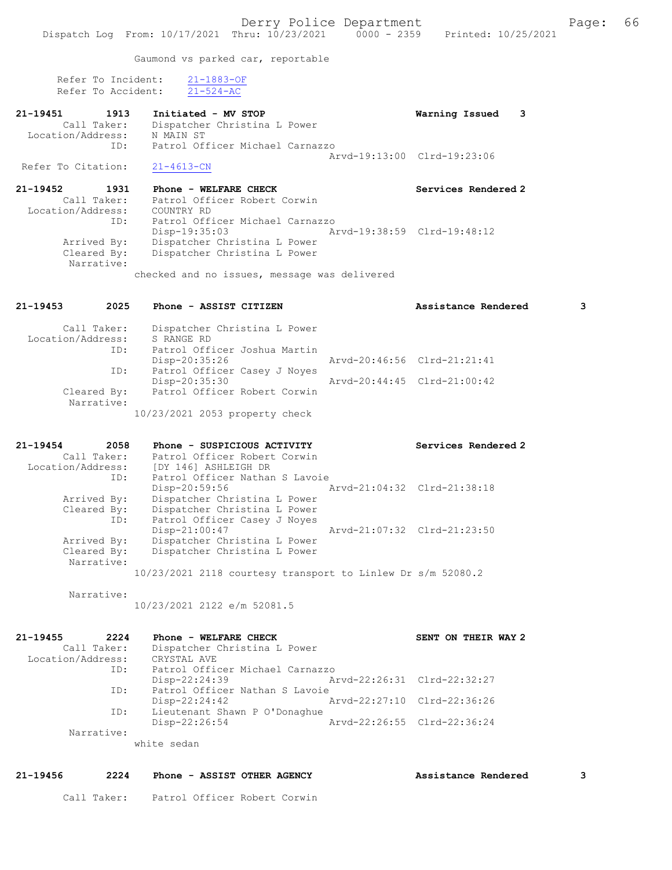Gaumond vs parked car, reportable

 Refer To Incident: 21-1883-OF Refer To Accident: 21-524-AC

| 21-19451           | 1913        | Initiated - MV STOP             | Warning Issued 3            |  |
|--------------------|-------------|---------------------------------|-----------------------------|--|
|                    | Call Taker: | Dispatcher Christina L Power    |                             |  |
| Location/Address:  |             | N MAIN ST                       |                             |  |
|                    | ID:         | Patrol Officer Michael Carnazzo |                             |  |
|                    |             |                                 | Aryd-19:13:00 Clrd-19:23:06 |  |
| Refer To Citation: |             | $21 - 4613 - CN$                |                             |  |

21-19452 1931 Phone - WELFARE CHECK Services Rendered 2 Call Taker: Patrol Officer Robert Corwin Location/Address: COUNTRY RD ID: Patrol Officer Michael Carnazzo Disp-19:35:03 Arvd-19:38:59 Clrd-19:48:12 Arrived By: Dispatcher Christina L Power Cleared By: Dispatcher Christina L Power Narrative:

checked and no issues, message was delivered

| Call Taker:<br>Location/Address:<br>ID:<br>ID: | Dispatcher Christina L Power<br>S RANGE RD<br>Patrol Officer Joshua Martin<br>Disp-20:35:26<br>Patrol Officer Casey J Noyes | Arvd-20:46:56 Clrd-21:21:41 |                             |
|------------------------------------------------|-----------------------------------------------------------------------------------------------------------------------------|-----------------------------|-----------------------------|
|                                                | Disp-20:35:30                                                                                                               |                             | Aryd-20:44:45 Clrd-21:00:42 |
| Cleared By:<br>Narrative:                      | Patrol Officer Robert Corwin                                                                                                |                             |                             |
|                                                | 10/23/2021 2053 property check                                                                                              |                             |                             |
| $21 - 19454$<br>2058<br>Call Taker:            | Phone - SUSPICIOUS ACTIVITY<br>Patrol Officer Robert Corwin                                                                 |                             | Services Rendered 2         |

21-19453 2025 Phone - ASSIST CITIZEN Assistance Rendered 3

| Location/Address: | [DY 146] ASHLEIGH DR                                          |  |
|-------------------|---------------------------------------------------------------|--|
| ID:               | Patrol Officer Nathan S Lavoie                                |  |
|                   | Arvd-21:04:32 Clrd-21:38:18<br>Disp-20:59:56                  |  |
| Arrived By:       | Dispatcher Christina L Power                                  |  |
| Cleared By:       | Dispatcher Christina L Power                                  |  |
| ID:               | Patrol Officer Casey J Noyes                                  |  |
|                   | Arvd-21:07:32 Clrd-21:23:50<br>Disp-21:00:47                  |  |
| Arrived By:       | Dispatcher Christina L Power                                  |  |
| Cleared By:       | Dispatcher Christina L Power                                  |  |
| Narrative:        |                                                               |  |
|                   | $10/23/2021$ 2118 courtesy transport to Linlew Dr s/m 52080.2 |  |
|                   |                                                               |  |

Narrative:

10/23/2021 2122 e/m 52081.5

| 21-19455<br>2224  | Phone - WELFARE CHECK           |                             | SENT ON THEIR WAY 2         |
|-------------------|---------------------------------|-----------------------------|-----------------------------|
| Call Taker:       | Dispatcher Christina L Power    |                             |                             |
| Location/Address: | CRYSTAL AVE                     |                             |                             |
| ID:               | Patrol Officer Michael Carnazzo |                             |                             |
|                   | Disp-22:24:39                   | Arvd-22:26:31 Clrd-22:32:27 |                             |
| ID:               | Patrol Officer Nathan S Lavoie  |                             |                             |
|                   | $Disp-22:24:42$                 |                             | Arvd-22:27:10 Clrd-22:36:26 |
| ID:               | Lieutenant Shawn P O'Donaghue   |                             |                             |
|                   | Disp-22:26:54                   |                             | Arvd-22:26:55 Clrd-22:36:24 |
| Narrative:        |                                 |                             |                             |
|                   | white sedan                     |                             |                             |

## 21-19456 2224 Phone - ASSIST OTHER AGENCY Assistance Rendered 3

Call Taker: Patrol Officer Robert Corwin